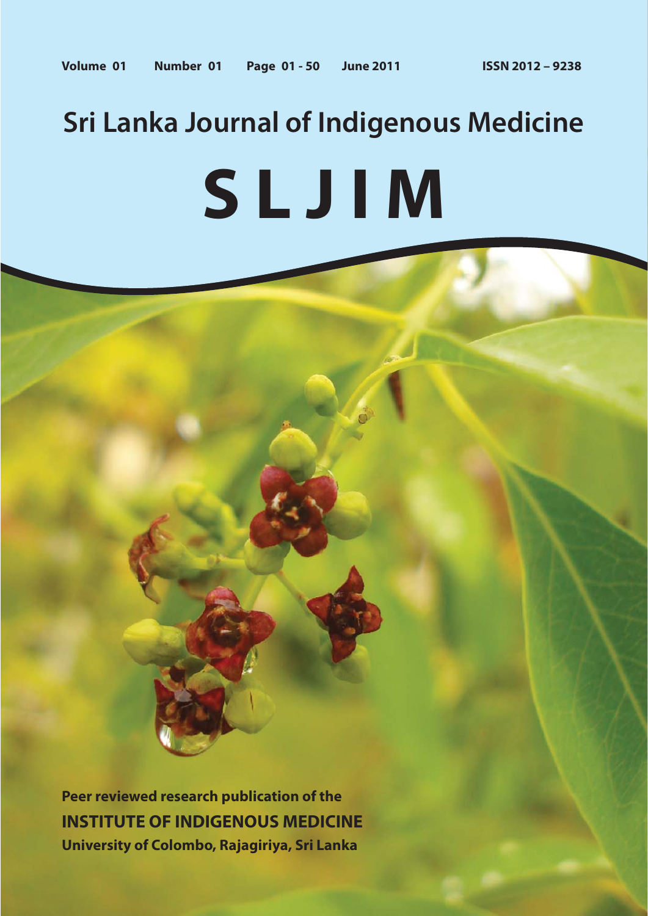# **Sri Lanka Journal of Indigenous Medicine S L J I M**

**Peer reviewed research publication of the INSTITUTE OF INDIGENOUS MEDICINE University of Colombo, Rajagiriya, Sri Lanka**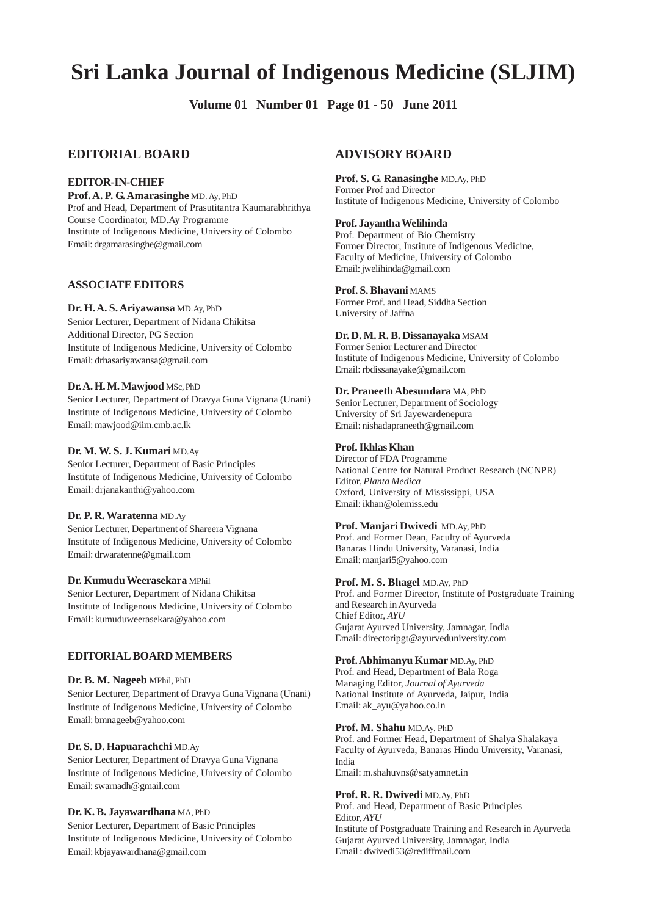# **Sri Lanka Journal of Indigenous Medicine (SLJIM)**

**Volume 01 Number 01 Page 01 - 50 June 2011**

# **EDITORIAL BOARD**

# **EDITOR-IN-CHIEF**

**Prof. A. P. G. Amarasinghe** MD. Ay, PhD Prof and Head, Department of Prasutitantra Kaumarabhrithya Course Coordinator, MD.Ay Programme Institute of Indigenous Medicine, University of Colombo Email: drgamarasinghe@gmail.com

# **ASSOCIATE EDITORS**

# **Dr. H. A. S. Ariyawansa** MD.Ay, PhD

Senior Lecturer, Department of Nidana Chikitsa Additional Director, PG Section Institute of Indigenous Medicine, University of Colombo Email: drhasariyawansa@gmail.com

# **Dr. A. H. M. Mawjood** MSc, PhD

Senior Lecturer, Department of Dravya Guna Vignana (Unani) Institute of Indigenous Medicine, University of Colombo Email: mawjood@iim.cmb.ac.lk

# **Dr. M. W. S. J. Kumari** MD.Ay

Senior Lecturer, Department of Basic Principles Institute of Indigenous Medicine, University of Colombo Email: drjanakanthi@yahoo.com

# **Dr. P. R. Waratenna** MD.Ay

Senior Lecturer, Department of Shareera Vignana Institute of Indigenous Medicine, University of Colombo Email: drwaratenne@gmail.com

# **Dr. Kumudu Weerasekara** MPhil

Senior Lecturer, Department of Nidana Chikitsa Institute of Indigenous Medicine, University of Colombo Email: kumuduweerasekara@yahoo.com

# **EDITORIAL BOARD MEMBERS**

#### **Dr. B. M. Nageeb** MPhil, PhD

Senior Lecturer, Department of Dravya Guna Vignana (Unani) Institute of Indigenous Medicine, University of Colombo Email: bmnageeb@yahoo.com

# **Dr. S. D. Hapuarachchi** MD.Ay

Senior Lecturer, Department of Dravya Guna Vignana Institute of Indigenous Medicine, University of Colombo Email: swarnadh@gmail.com

# **Dr. K. B. Jayawardhana** MA, PhD

Senior Lecturer, Department of Basic Principles Institute of Indigenous Medicine, University of Colombo Email: kbjayawardhana@gmail.com

# **ADVISORY BOARD**

**Prof. S. G. Ranasinghe** MD.Ay, PhD Former Prof and Director Institute of Indigenous Medicine, University of Colombo

# **Prof. Jayantha Welihinda**

Prof. Department of Bio Chemistry Former Director, Institute of Indigenous Medicine, Faculty of Medicine, University of Colombo Email: jwelihinda@gmail.com

#### **Prof. S. Bhavani** MAMS

Former Prof. and Head, Siddha Section University of Jaffna

# **Dr. D. M. R. B. Dissanayaka** MSAM

Former Senior Lecturer and Director Institute of Indigenous Medicine, University of Colombo Email: rbdissanayake@gmail.com

#### **Dr. Praneeth Abesundara** MA, PhD

Senior Lecturer, Department of Sociology University of Sri Jayewardenepura Email: nishadapraneeth@gmail.com

#### **Prof. Ikhlas Khan**

Director of FDA Programme National Centre for Natural Product Research (NCNPR) Editor, *Planta Medica* Oxford, University of Mississippi, USA Email: ikhan@olemiss.edu

#### **Prof. Manjari Dwivedi** MD.Ay, PhD

Prof. and Former Dean, Faculty of Ayurveda Banaras Hindu University, Varanasi, India Email: manjari5@yahoo.com

#### **Prof. M. S. Bhagel** MD.Ay, PhD

Prof. and Former Director, Institute of Postgraduate Training and Research in Ayurveda Chief Editor, *AYU* Gujarat Ayurved University, Jamnagar, India Email: directoripgt@ayurveduniversity.com

# **Prof. Abhimanyu Kumar** MD.Ay, PhD

Prof. and Head, Department of Bala Roga Managing Editor, *Journal of Ayurveda* National Institute of Ayurveda, Jaipur, India Email: ak\_ayu@yahoo.co.in

#### **Prof. M. Shahu** MD.Ay, PhD

Prof. and Former Head, Department of Shalya Shalakaya Faculty of Ayurveda, Banaras Hindu University, Varanasi, India Email: m.shahuvns@satyamnet.in

#### **Prof. R. R. Dwivedi** MD.Ay, PhD

Prof. and Head, Department of Basic Principles Editor, *AYU* Institute of Postgraduate Training and Research in Ayurveda Gujarat Ayurved University, Jamnagar, India Email : dwivedi53@rediffmail.com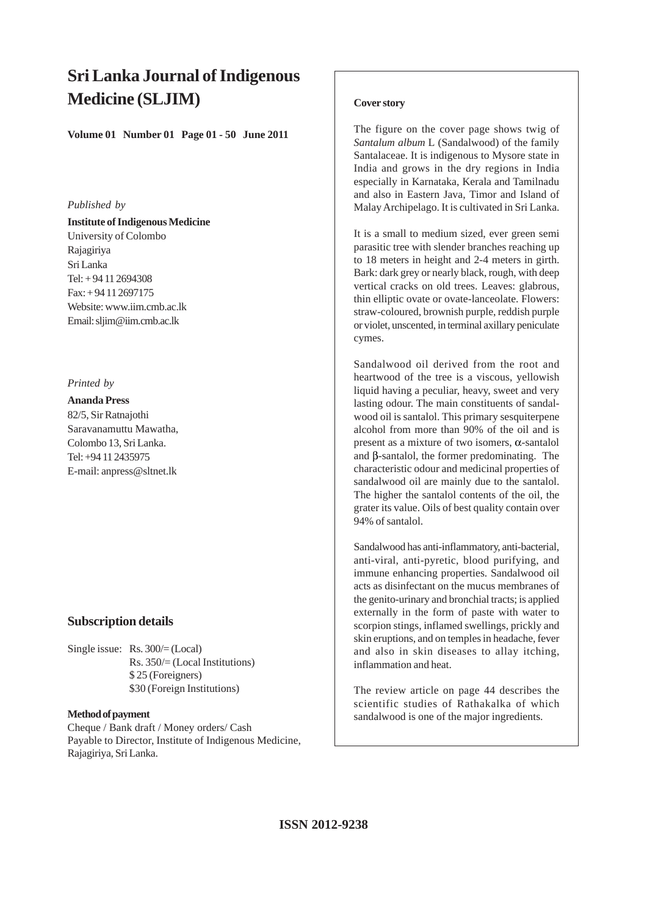# **Sri Lanka Journal of Indigenous Medicine (SLJIM)**

**Volume 01 Number 01 Page 01 - 50 June 2011**

# *Published by*

**Institute of Indigenous Medicine** University of Colombo Rajagiriya Sri Lanka Tel: + 94 11 2694308 Fax: + 94 11 2697175 Website: www.iim.cmb.ac.lk Email: sljim@iim.cmb.ac.lk

# *Printed by*

**Ananda Press** 82/5, Sir Ratnajothi Saravanamuttu Mawatha, Colombo 13, Sri Lanka. Tel: +94 11 2435975 E-mail: anpress@sltnet.lk

# **Subscription details**

Single issue: Rs. 300/= (Local) Rs. 350/= (Local Institutions) \$ 25 (Foreigners) \$30 (Foreign Institutions)

# **Method of payment**

Cheque / Bank draft / Money orders/ Cash Payable to Director, Institute of Indigenous Medicine, Rajagiriya, Sri Lanka.

# **Cover story**

The figure on the cover page shows twig of *Santalum album* L (Sandalwood) of the family Santalaceae. It is indigenous to Mysore state in India and grows in the dry regions in India especially in Karnataka, Kerala and Tamilnadu and also in Eastern Java, Timor and Island of Malay Archipelago. It is cultivated in Sri Lanka.

It is a small to medium sized, ever green semi parasitic tree with slender branches reaching up to 18 meters in height and 2-4 meters in girth. Bark: dark grey or nearly black, rough, with deep vertical cracks on old trees. Leaves: glabrous, thin elliptic ovate or ovate-lanceolate. Flowers: straw-coloured, brownish purple, reddish purple or violet, unscented, in terminal axillary peniculate cymes.

Sandalwood oil derived from the root and heartwood of the tree is a viscous, yellowish liquid having a peculiar, heavy, sweet and very lasting odour. The main constituents of sandalwood oil is santalol. This primary sesquiterpene alcohol from more than 90% of the oil and is present as a mixture of two isomers, α-santalol and β-santalol, the former predominating. The characteristic odour and medicinal properties of sandalwood oil are mainly due to the santalol. The higher the santalol contents of the oil, the grater its value. Oils of best quality contain over 94% of santalol.

Sandalwood has anti-inflammatory, anti-bacterial, anti-viral, anti-pyretic, blood purifying, and immune enhancing properties. Sandalwood oil acts as disinfectant on the mucus membranes of the genito-urinary and bronchial tracts; is applied externally in the form of paste with water to scorpion stings, inflamed swellings, prickly and skin eruptions, and on temples in headache, fever and also in skin diseases to allay itching, inflammation and heat.

The review article on page 44 describes the scientific studies of Rathakalka of which sandalwood is one of the major ingredients.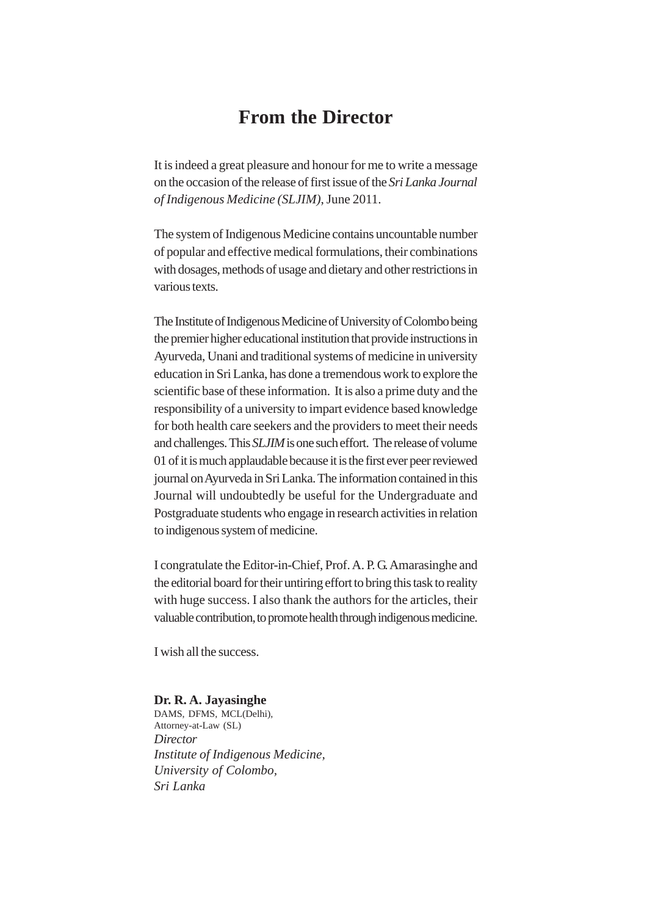# **From the Director**

It is indeed a great pleasure and honour for me to write a message on the occasion of the release of first issue of the *Sri Lanka Journal of Indigenous Medicine (SLJIM)*, June 2011.

The system of Indigenous Medicine contains uncountable number of popular and effective medical formulations, their combinations with dosages, methods of usage and dietary and other restrictions in various texts.

The Institute of Indigenous Medicine of University of Colombo being the premier higher educational institution that provide instructions in Ayurveda, Unani and traditional systems of medicine in university education in Sri Lanka, has done a tremendous work to explore the scientific base of these information. It is also a prime duty and the responsibility of a university to impart evidence based knowledge for both health care seekers and the providers to meet their needs and challenges. This *SLJIM* is one such effort. The release of volume 01 of it is much applaudable because it is the first ever peer reviewed journal on Ayurveda in Sri Lanka. The information contained in this Journal will undoubtedly be useful for the Undergraduate and Postgraduate students who engage in research activities in relation to indigenous system of medicine.

I congratulate the Editor-in-Chief, Prof. A. P. G. Amarasinghe and the editorial board for their untiring effort to bring this task to reality with huge success. I also thank the authors for the articles, their valuable contribution, to promote health through indigenous medicine.

I wish all the success.

# **Dr. R. A. Jayasinghe**

DAMS, DFMS, MCL(Delhi), Attorney-at-Law (SL) *Director Institute of Indigenous Medicine, University of Colombo, Sri Lanka*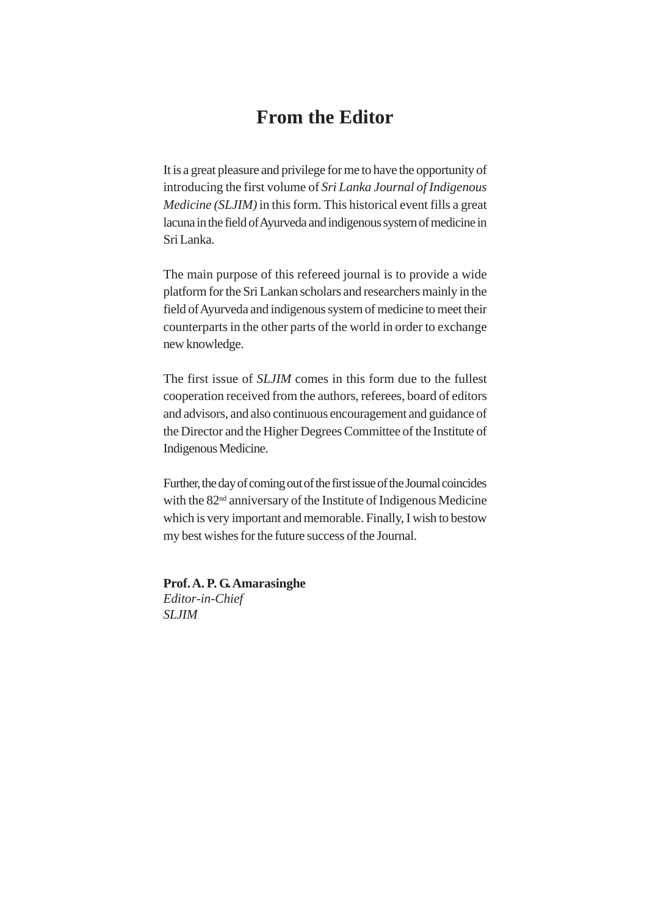# **From the Editor**

It is a great pleasure and privilege for me to have the opportunity of introducing the first volume of *Sri Lanka Journal of Indigenous Medicine (SLJIM)* in this form. This historical event fills a great lacuna in the field of Ayurveda and indigenous system of medicine in Sri Lanka.

The main purpose of this refereed journal is to provide a wide platform for the Sri Lankan scholars and researchers mainly in the field of Ayurveda and indigenous system of medicine to meet their counterparts in the other parts of the world in order to exchange new knowledge.

The first issue of *SLJIM* comes in this form due to the fullest cooperation received from the authors, referees, board of editors and advisors, and also continuous encouragement and guidance of the Director and the Higher Degrees Committee of the Institute of Indigenous Medicine.

Further, the day of coming out of the first issue of the Journal coincides with the 82<sup>nd</sup> anniversary of the Institute of Indigenous Medicine which is very important and memorable. Finally, I wish to bestow my best wishes for the future success of the Journal.

**Prof. A. P. G. Amarasinghe** *Editor-in-Chief SLJIM*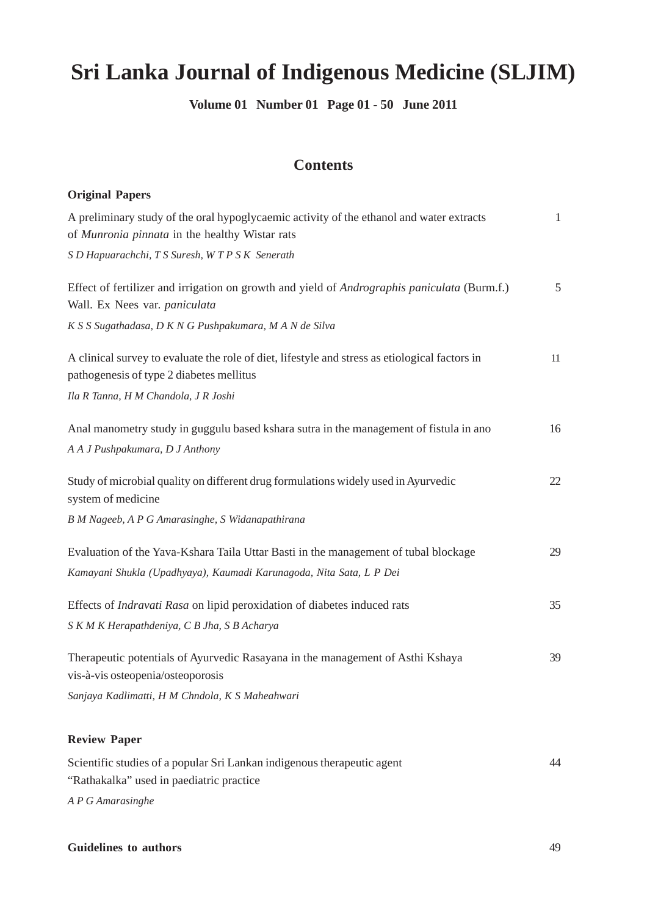# **Sri Lanka Journal of Indigenous Medicine (SLJIM)**

**Volume 01 Number 01 Page 01 - 50 June 2011**

# **Contents**

| <b>Original Papers</b>                                                                                                                     |              |
|--------------------------------------------------------------------------------------------------------------------------------------------|--------------|
| A preliminary study of the oral hypoglycaemic activity of the ethanol and water extracts                                                   | $\mathbf{1}$ |
| of Munronia pinnata in the healthy Wistar rats                                                                                             |              |
| S D Hapuarachchi, T S Suresh, W T P S K Senerath                                                                                           |              |
| Effect of fertilizer and irrigation on growth and yield of Andrographis paniculata (Burm.f.)<br>Wall. Ex Nees var. paniculata              | 5            |
| K S S Sugathadasa, D K N G Pushpakumara, M A N de Silva                                                                                    |              |
| A clinical survey to evaluate the role of diet, lifestyle and stress as etiological factors in<br>pathogenesis of type 2 diabetes mellitus | 11           |
| Ila R Tanna, H M Chandola, J R Joshi                                                                                                       |              |
| Anal manometry study in guggulu based kshara sutra in the management of fistula in ano                                                     | 16           |
| A A J Pushpakumara, D J Anthony                                                                                                            |              |
| Study of microbial quality on different drug formulations widely used in Ayurvedic<br>system of medicine                                   | 22           |
| B M Nageeb, A P G Amarasinghe, S Widanapathirana                                                                                           |              |
| Evaluation of the Yava-Kshara Taila Uttar Basti in the management of tubal blockage                                                        | 29           |
| Kamayani Shukla (Upadhyaya), Kaumadi Karunagoda, Nita Sata, L P Dei                                                                        |              |
|                                                                                                                                            |              |
| Effects of <i>Indravati Rasa</i> on lipid peroxidation of diabetes induced rats                                                            | 35           |
| S K M K Herapathdeniya, C B Jha, S B Acharya                                                                                               |              |
| Therapeutic potentials of Ayurvedic Rasayana in the management of Asthi Kshaya<br>vis-à-vis osteopenia/osteoporosis                        | 39           |
| Sanjaya Kadlimatti, H M Chndola, K S Maheahwari                                                                                            |              |
|                                                                                                                                            |              |
| <b>Review Paper</b>                                                                                                                        |              |
| Scientific studies of a popular Sri Lankan indigenous therapeutic agent                                                                    | 44           |
| "Rathakalka" used in paediatric practice                                                                                                   |              |
| A P G Amarasinghe                                                                                                                          |              |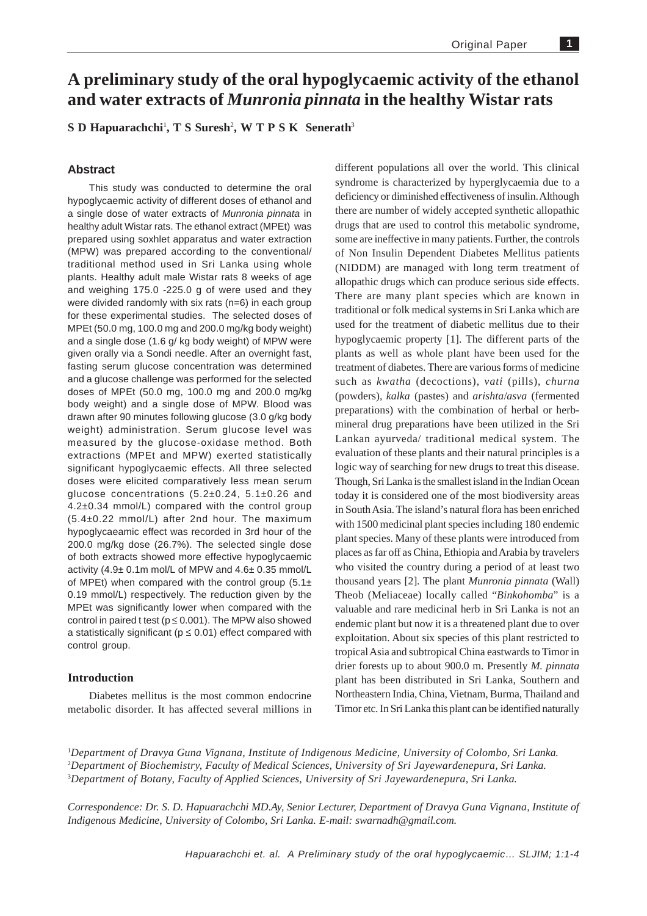# **A preliminary study of the oral hypoglycaemic activity of the ethanol and water extracts of** *Munronia pinnata* **in the healthy Wistar rats**

**S D Hapuarachchi**<sup>1</sup> **, T S Suresh**<sup>2</sup> **, W T P S K Senerath**<sup>3</sup>

### **Abstract**

This study was conducted to determine the oral hypoglycaemic activity of different doses of ethanol and a single dose of water extracts of *Munronia pinnata* in healthy adult Wistar rats. The ethanol extract (MPEt) was prepared using soxhlet apparatus and water extraction (MPW) was prepared according to the conventional/ traditional method used in Sri Lanka using whole plants. Healthy adult male Wistar rats 8 weeks of age and weighing 175.0 -225.0 g of were used and they were divided randomly with six rats (n=6) in each group for these experimental studies. The selected doses of MPEt (50.0 mg, 100.0 mg and 200.0 mg/kg body weight) and a single dose (1.6 g/ kg body weight) of MPW were given orally via a Sondi needle. After an overnight fast, fasting serum glucose concentration was determined and a glucose challenge was performed for the selected doses of MPEt (50.0 mg, 100.0 mg and 200.0 mg/kg body weight) and a single dose of MPW. Blood was drawn after 90 minutes following glucose (3.0 g/kg body weight) administration. Serum glucose level was measured by the glucose-oxidase method. Both extractions (MPEt and MPW) exerted statistically significant hypoglycaemic effects. All three selected doses were elicited comparatively less mean serum glucose concentrations (5.2±0.24, 5.1±0.26 and 4.2±0.34 mmol/L) compared with the control group (5.4±0.22 mmol/L) after 2nd hour. The maximum hypoglycaeamic effect was recorded in 3rd hour of the 200.0 mg/kg dose (26.7%). The selected single dose of both extracts showed more effective hypoglycaemic activity (4.9± 0.1m mol/L of MPW and 4.6± 0.35 mmol/L of MPEt) when compared with the control group  $(5.1\pm$ 0.19 mmol/L) respectively. The reduction given by the MPEt was significantly lower when compared with the control in paired t test ( $p \le 0.001$ ). The MPW also showed a statistically significant ( $p \le 0.01$ ) effect compared with control group.

# **Introduction**

Diabetes mellitus is the most common endocrine metabolic disorder. It has affected several millions in

different populations all over the world. This clinical syndrome is characterized by hyperglycaemia due to a deficiency or diminished effectiveness of insulin. Although there are number of widely accepted synthetic allopathic drugs that are used to control this metabolic syndrome, some are ineffective in many patients. Further, the controls of Non Insulin Dependent Diabetes Mellitus patients (NIDDM) are managed with long term treatment of allopathic drugs which can produce serious side effects. There are many plant species which are known in traditional or folk medical systems in Sri Lanka which are used for the treatment of diabetic mellitus due to their hypoglycaemic property [1]. The different parts of the plants as well as whole plant have been used for the treatment of diabetes. There are various forms of medicine such as *kwatha* (decoctions), *vati* (pills), *churna* (powders), *kalka* (pastes) and *arishta*/*asva* (fermented preparations) with the combination of herbal or herbmineral drug preparations have been utilized in the Sri Lankan ayurveda/ traditional medical system. The evaluation of these plants and their natural principles is a logic way of searching for new drugs to treat this disease. Though, Sri Lanka is the smallest island in the Indian Ocean today it is considered one of the most biodiversity areas in South Asia. The island's natural flora has been enriched with 1500 medicinal plant species including 180 endemic plant species. Many of these plants were introduced from places as far off as China, Ethiopia and Arabia by travelers who visited the country during a period of at least two thousand years [2]. The plant *Munronia pinnata* (Wall) Theob (Meliaceae) locally called "*Binkohomba*" is a valuable and rare medicinal herb in Sri Lanka is not an endemic plant but now it is a threatened plant due to over exploitation. About six species of this plant restricted to tropical Asia and subtropical China eastwards to Timor in drier forests up to about 900.0 m. Presently *M. pinnata* plant has been distributed in Sri Lanka, Southern and Northeastern India, China, Vietnam, Burma, Thailand and Timor etc. In Sri Lanka this plant can be identified naturally

1 *Department of Dravya Guna Vignana, Institute of Indigenous Medicine, University of Colombo, Sri Lanka.* 2 *Department of Biochemistry, Faculty of Medical Sciences, University of Sri Jayewardenepura, Sri Lanka.* 3 *Department of Botany, Faculty of Applied Sciences, University of Sri Jayewardenepura, Sri Lanka.*

*Correspondence: Dr. S. D. Hapuarachchi MD.Ay, Senior Lecturer, Department of Dravya Guna Vignana, Institute of Indigenous Medicine, University of Colombo, Sri Lanka. E-mail: swarnadh@gmail.com.*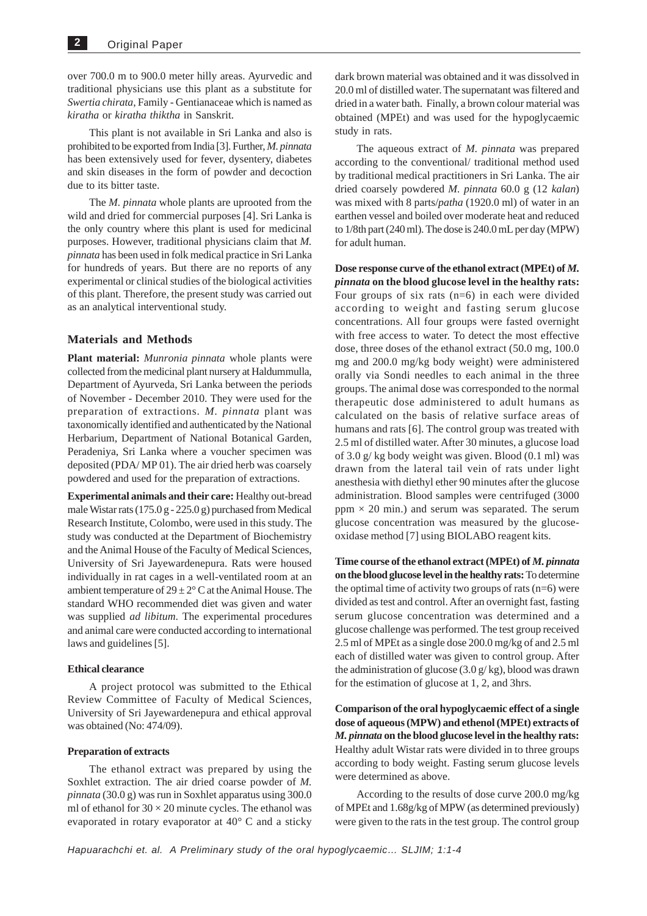over 700.0 m to 900.0 meter hilly areas. Ayurvedic and traditional physicians use this plant as a substitute for *Swertia chirata*, Family - Gentianaceae which is named as *kiratha* or *kiratha thiktha* in Sanskrit.

This plant is not available in Sri Lanka and also is prohibited to be exported from India [3]. Further, *M. pinnata* has been extensively used for fever, dysentery, diabetes and skin diseases in the form of powder and decoction due to its bitter taste.

The *M. pinnata* whole plants are uprooted from the wild and dried for commercial purposes [4]. Sri Lanka is the only country where this plant is used for medicinal purposes. However, traditional physicians claim that *M. pinnata* has been used in folk medical practice in Sri Lanka for hundreds of years. But there are no reports of any experimental or clinical studies of the biological activities of this plant. Therefore, the present study was carried out as an analytical interventional study.

### **Materials and Methods**

**Plant material:** *Munronia pinnata* whole plants were collected from the medicinal plant nursery at Haldummulla, Department of Ayurveda, Sri Lanka between the periods of November - December 2010. They were used for the preparation of extractions. *M. pinnata* plant was taxonomically identified and authenticated by the National Herbarium, Department of National Botanical Garden, Peradeniya, Sri Lanka where a voucher specimen was deposited (PDA/ MP 01). The air dried herb was coarsely powdered and used for the preparation of extractions.

**Experimental animals and their care:** Healthy out-bread male Wistar rats (175.0 g - 225.0 g) purchased from Medical Research Institute, Colombo, were used in this study. The study was conducted at the Department of Biochemistry and the Animal House of the Faculty of Medical Sciences, University of Sri Jayewardenepura. Rats were housed individually in rat cages in a well-ventilated room at an ambient temperature of  $29 \pm 2^{\circ}$  C at the Animal House. The standard WHO recommended diet was given and water was supplied *ad libitum*. The experimental procedures and animal care were conducted according to international laws and guidelines [5].

#### **Ethical clearance**

A project protocol was submitted to the Ethical Review Committee of Faculty of Medical Sciences, University of Sri Jayewardenepura and ethical approval was obtained (No: 474/09).

#### **Preparation of extracts**

The ethanol extract was prepared by using the Soxhlet extraction. The air dried coarse powder of *M. pinnata* (30.0 g) was run in Soxhlet apparatus using 300.0 ml of ethanol for  $30 \times 20$  minute cycles. The ethanol was evaporated in rotary evaporator at 40° C and a sticky dark brown material was obtained and it was dissolved in 20.0 ml of distilled water. The supernatant was filtered and dried in a water bath. Finally, a brown colour material was obtained (MPEt) and was used for the hypoglycaemic study in rats.

The aqueous extract of *M. pinnata* was prepared according to the conventional/ traditional method used by traditional medical practitioners in Sri Lanka. The air dried coarsely powdered *M. pinnata* 60.0 g (12 *kalan*) was mixed with 8 parts/*patha* (1920.0 ml) of water in an earthen vessel and boiled over moderate heat and reduced to 1/8th part (240 ml). The dose is 240.0 mL per day (MPW) for adult human.

**Dose response curve of the ethanol extract (MPEt) of** *M. pinnata* **on the blood glucose level in the healthy rats:** Four groups of six rats  $(n=6)$  in each were divided according to weight and fasting serum glucose concentrations. All four groups were fasted overnight with free access to water. To detect the most effective dose, three doses of the ethanol extract (50.0 mg, 100.0 mg and 200.0 mg/kg body weight) were administered orally via Sondi needles to each animal in the three groups. The animal dose was corresponded to the normal therapeutic dose administered to adult humans as calculated on the basis of relative surface areas of humans and rats [6]. The control group was treated with 2.5 ml of distilled water. After 30 minutes, a glucose load of 3.0 g/ kg body weight was given. Blood (0.1 ml) was drawn from the lateral tail vein of rats under light anesthesia with diethyl ether 90 minutes after the glucose administration. Blood samples were centrifuged (3000 ppm  $\times$  20 min.) and serum was separated. The serum glucose concentration was measured by the glucoseoxidase method [7] using BIOLABO reagent kits.

**Time course of the ethanol extract (MPEt) of** *M. pinnata* **on the blood glucose level in the healthy rats:** To determine the optimal time of activity two groups of rats  $(n=6)$  were divided as test and control. After an overnight fast, fasting serum glucose concentration was determined and a glucose challenge was performed. The test group received 2.5 ml of MPEt as a single dose 200.0 mg/kg of and 2.5 ml each of distilled water was given to control group. After the administration of glucose  $(3.0 \text{ g/kg})$ , blood was drawn for the estimation of glucose at 1, 2, and 3hrs.

**Comparison of the oral hypoglycaemic effect of a single dose of aqueous (MPW) and ethenol (MPEt) extracts of** *M. pinnata* **on the blood glucose level in the healthy rats:** Healthy adult Wistar rats were divided in to three groups according to body weight. Fasting serum glucose levels were determined as above.

According to the results of dose curve 200.0 mg/kg of MPEt and 1.68g/kg of MPW (as determined previously) were given to the rats in the test group. The control group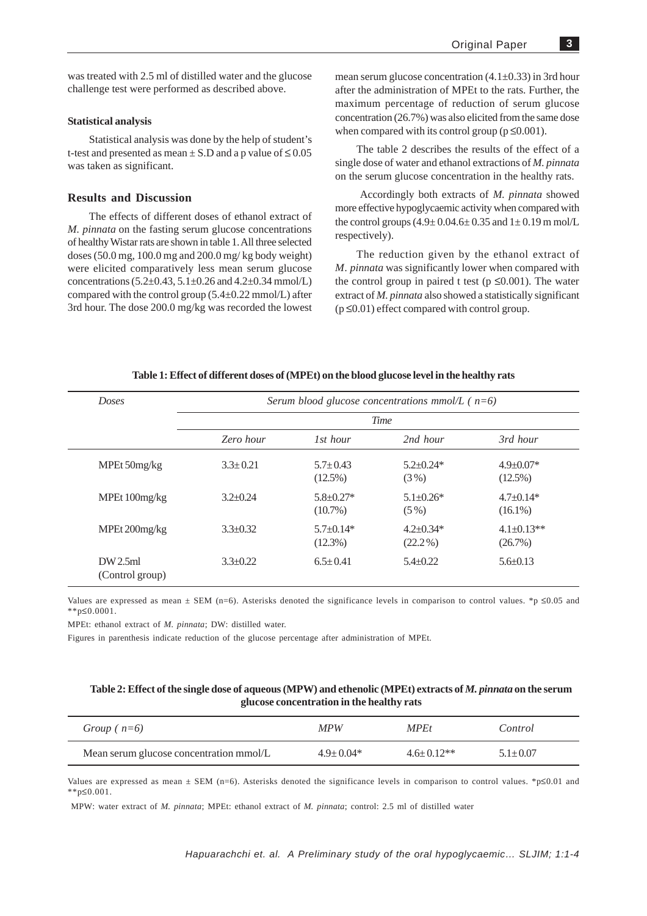was treated with 2.5 ml of distilled water and the glucose challenge test were performed as described above.

#### **Statistical analysis**

Statistical analysis was done by the help of student's t-test and presented as mean  $\pm$  S.D and a p value of  $\leq$  0.05 was taken as significant.

#### **Results and Discussion**

The effects of different doses of ethanol extract of *M. pinnata* on the fasting serum glucose concentrations of healthy Wistar rats are shown in table 1. All three selected doses (50.0 mg, 100.0 mg and 200.0 mg/ kg body weight) were elicited comparatively less mean serum glucose concentrations  $(5.2 \pm 0.43, 5.1 \pm 0.26 \text{ and } 4.2 \pm 0.34 \text{ mmol/L})$ compared with the control group  $(5.4\pm0.22 \text{ mmol/L})$  after 3rd hour. The dose 200.0 mg/kg was recorded the lowest

mean serum glucose concentration  $(4.1\pm0.33)$  in 3rd hour after the administration of MPEt to the rats. Further, the maximum percentage of reduction of serum glucose concentration (26.7%) was also elicited from the same dose when compared with its control group ( $p \le 0.001$ ).

The table 2 describes the results of the effect of a single dose of water and ethanol extractions of *M. pinnata* on the serum glucose concentration in the healthy rats.

 Accordingly both extracts of *M. pinnata* showed more effective hypoglycaemic activity when compared with the control groups  $(4.9 \pm 0.04.6 \pm 0.35$  and  $1 \pm 0.19$  m mol/L respectively).

The reduction given by the ethanol extract of *M. pinnata* was significantly lower when compared with the control group in paired t test ( $p \le 0.001$ ). The water extract of *M. pinnata* also showed a statistically significant  $(p \le 0.01)$  effect compared with control group.

| Doses                      | Serum blood glucose concentrations $mmol/L$ ( $n=6$ ) |                               |                             |                               |  |  |
|----------------------------|-------------------------------------------------------|-------------------------------|-----------------------------|-------------------------------|--|--|
|                            | Time                                                  |                               |                             |                               |  |  |
|                            | Zero hour                                             | 1st hour                      | 2nd hour                    | 3rd hour                      |  |  |
| $MPEt$ 50mg/kg             | $3.3 \pm 0.21$                                        | $5.7 \pm 0.43$<br>$(12.5\%)$  | $5.2 + 0.24*$<br>$(3\%)$    | $4.9 \pm 0.07*$<br>$(12.5\%)$ |  |  |
| MPEt 100mg/kg              | $3.2 + 0.24$                                          | $5.8 \pm 0.27*$<br>$(10.7\%)$ | $5.1 \pm 0.26^*$<br>$(5\%)$ | $4.7 \pm 0.14*$<br>$(16.1\%)$ |  |  |
| MPEt 200mg/kg              | $3.3 \pm 0.32$                                        | $5.7+0.14*$<br>$(12.3\%)$     | $4.2 + 0.34*$<br>$(22.2\%)$ | $4.1 \pm 0.13**$<br>(26.7%)   |  |  |
| DW2.5ml<br>(Control group) | $3.3 \pm 0.22$                                        | $6.5 \pm 0.41$                | $5.4 \pm 0.22$              | $5.6 \pm 0.13$                |  |  |

#### **Table 1: Effect of different doses of (MPEt) on the blood glucose level in the healthy rats**

Values are expressed as mean  $\pm$  SEM (n=6). Asterisks denoted the significance levels in comparison to control values. \*p ≤0.05 and \*\*p≤0.0001.

MPEt: ethanol extract of *M. pinnata*; DW: distilled water.

Figures in parenthesis indicate reduction of the glucose percentage after administration of MPEt.

### **Table 2: Effect of the single dose of aqueous (MPW) and ethenolic (MPEt) extracts of** *M. pinnata* **on the serum glucose concentration in the healthy rats**

| Group $(n=6)$                           | <b>MPW</b>      | <i>MPEt</i>    | Control        |
|-----------------------------------------|-----------------|----------------|----------------|
| Mean serum glucose concentration mmol/L | $4.9 \pm 0.04*$ | $4.6 + 0.12**$ | $5.1 \pm 0.07$ |

Values are expressed as mean  $\pm$  SEM (n=6). Asterisks denoted the significance levels in comparison to control values. \*p≤0.01 and \*\*p≤0.001.

MPW: water extract of *M. pinnata*; MPEt: ethanol extract of *M. pinnata*; control: 2.5 ml of distilled water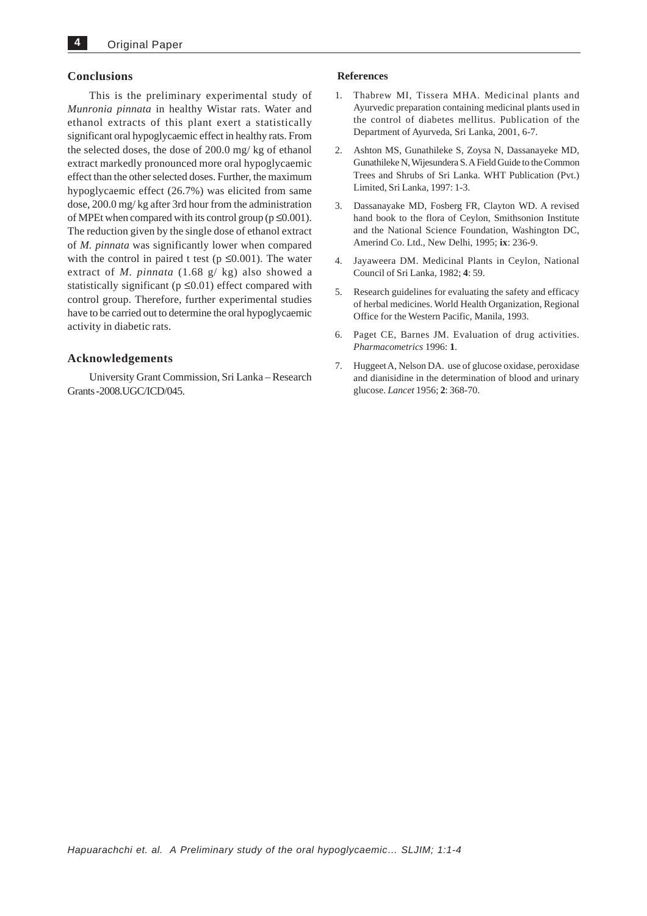#### **Conclusions**

This is the preliminary experimental study of *Munronia pinnata* in healthy Wistar rats. Water and ethanol extracts of this plant exert a statistically significant oral hypoglycaemic effect in healthy rats. From the selected doses, the dose of 200.0 mg/ kg of ethanol extract markedly pronounced more oral hypoglycaemic effect than the other selected doses. Further, the maximum hypoglycaemic effect (26.7%) was elicited from same dose, 200.0 mg/ kg after 3rd hour from the administration of MPEt when compared with its control group ( $p \le 0.001$ ). The reduction given by the single dose of ethanol extract of *M. pinnata* was significantly lower when compared with the control in paired t test ( $p \le 0.001$ ). The water extract of *M. pinnata* (1.68 g/ kg) also showed a statistically significant ( $p \le 0.01$ ) effect compared with control group. Therefore, further experimental studies have to be carried out to determine the oral hypoglycaemic activity in diabetic rats.

#### **Acknowledgements**

University Grant Commission, Sri Lanka – Research Grants -2008.UGC/ICD/045.

#### **References**

- 1. Thabrew MI, Tissera MHA. Medicinal plants and Ayurvedic preparation containing medicinal plants used in the control of diabetes mellitus. Publication of the Department of Ayurveda, Sri Lanka, 2001, 6-7.
- 2. Ashton MS, Gunathileke S, Zoysa N, Dassanayeke MD, Gunathileke N, Wijesundera S. A Field Guide to the Common Trees and Shrubs of Sri Lanka. WHT Publication (Pvt.) Limited, Sri Lanka, 1997: 1-3.
- 3. Dassanayake MD, Fosberg FR, Clayton WD. A revised hand book to the flora of Ceylon, Smithsonion Institute and the National Science Foundation, Washington DC, Amerind Co. Ltd., New Delhi, 1995; **ix**: 236-9.
- 4. Jayaweera DM. Medicinal Plants in Ceylon, National Council of Sri Lanka, 1982; **4**: 59.
- 5. Research guidelines for evaluating the safety and efficacy of herbal medicines. World Health Organization, Regional Office for the Western Pacific, Manila, 1993.
- Paget CE, Barnes JM. Evaluation of drug activities. *Pharmacometrics* 1996: **1**.
- 7. Huggeet A, Nelson DA. use of glucose oxidase, peroxidase and dianisidine in the determination of blood and urinary glucose. *Lancet* 1956; **2**: 368-70.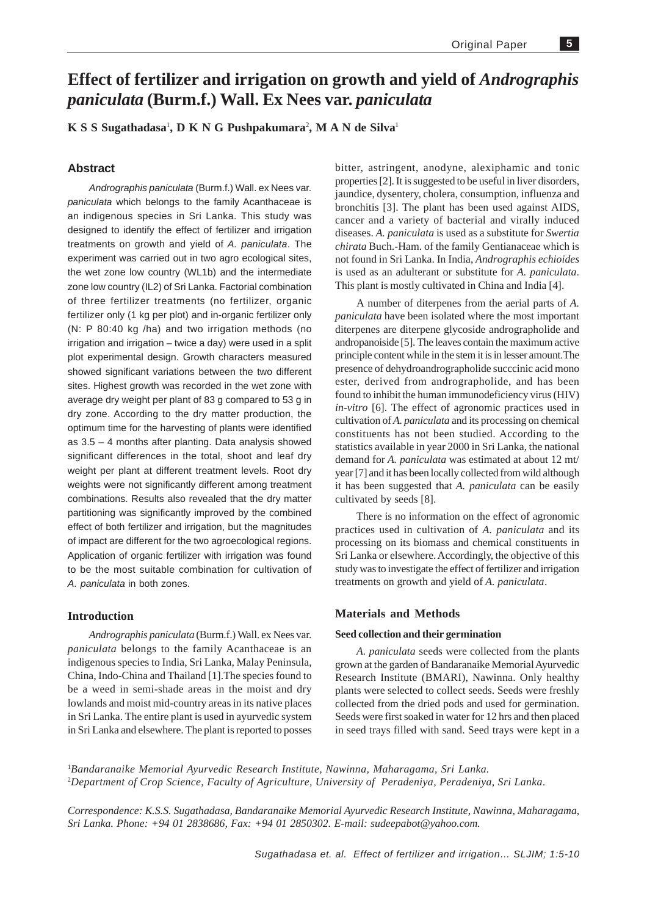# **Effect of fertilizer and irrigation on growth and yield of** *Andrographis paniculata* **(Burm.f.) Wall. Ex Nees var.** *paniculata*

**K S S Sugathadasa**<sup>1</sup> **, D K N G Pushpakumara**<sup>2</sup> **, M A N de Silva**<sup>1</sup>

# **Abstract**

*Andrographis paniculata* (Burm.f.) Wall. ex Nees var. *paniculata* which belongs to the family Acanthaceae is an indigenous species in Sri Lanka. This study was designed to identify the effect of fertilizer and irrigation treatments on growth and yield of *A. paniculata*. The experiment was carried out in two agro ecological sites, the wet zone low country (WL1b) and the intermediate zone low country (IL2) of Sri Lanka. Factorial combination of three fertilizer treatments (no fertilizer, organic fertilizer only (1 kg per plot) and in-organic fertilizer only (N: P 80:40 kg /ha) and two irrigation methods (no irrigation and irrigation – twice a day) were used in a split plot experimental design. Growth characters measured showed significant variations between the two different sites. Highest growth was recorded in the wet zone with average dry weight per plant of 83 g compared to 53 g in dry zone. According to the dry matter production, the optimum time for the harvesting of plants were identified as 3.5 – 4 months after planting. Data analysis showed significant differences in the total, shoot and leaf dry weight per plant at different treatment levels. Root dry weights were not significantly different among treatment combinations. Results also revealed that the dry matter partitioning was significantly improved by the combined effect of both fertilizer and irrigation, but the magnitudes of impact are different for the two agroecological regions. Application of organic fertilizer with irrigation was found to be the most suitable combination for cultivation of *A. paniculata* in both zones.

#### **Introduction**

*Andrographis paniculata* (Burm.f.) Wall. ex Nees var. *paniculata* belongs to the family Acanthaceae is an indigenous species to India, Sri Lanka, Malay Peninsula, China, Indo-China and Thailand [1].The species found to be a weed in semi-shade areas in the moist and dry lowlands and moist mid-country areas in its native places in Sri Lanka. The entire plant is used in ayurvedic system in Sri Lanka and elsewhere. The plant is reported to posses

bitter, astringent, anodyne, alexiphamic and tonic properties [2]. It is suggested to be useful in liver disorders, jaundice, dysentery, cholera, consumption, influenza and bronchitis [3]. The plant has been used against AIDS, cancer and a variety of bacterial and virally induced diseases. *A. paniculata* is used as a substitute for *Swertia chirata* Buch.-Ham. of the family Gentianaceae which is not found in Sri Lanka. In India, *Andrographis echioides* is used as an adulterant or substitute for *A. paniculata*. This plant is mostly cultivated in China and India [4].

A number of diterpenes from the aerial parts of *A. paniculata* have been isolated where the most important diterpenes are diterpene glycoside andrographolide and andropanoiside [5]. The leaves contain the maximum active principle content while in the stem it is in lesser amount.The presence of dehydroandrographolide succcinic acid mono ester, derived from andrographolide, and has been found to inhibit the human immunodeficiency virus (HIV) *in-vitro* [6]. The effect of agronomic practices used in cultivation of *A. paniculata* and its processing on chemical constituents has not been studied. According to the statistics available in year 2000 in Sri Lanka, the national demand for *A. paniculata* was estimated at about 12 mt/ year [7] and it has been locally collected from wild although it has been suggested that *A. paniculata* can be easily cultivated by seeds [8].

There is no information on the effect of agronomic practices used in cultivation of *A. paniculata* and its processing on its biomass and chemical constituents in Sri Lanka or elsewhere. Accordingly, the objective of this study was to investigate the effect of fertilizer and irrigation treatments on growth and yield of *A. paniculata*.

#### **Materials and Methods**

#### **Seed collection and their germination**

*A. paniculata* seeds were collected from the plants grown at the garden of Bandaranaike Memorial Ayurvedic Research Institute (BMARI), Nawinna. Only healthy plants were selected to collect seeds. Seeds were freshly collected from the dried pods and used for germination. Seeds were first soaked in water for 12 hrs and then placed in seed trays filled with sand. Seed trays were kept in a

1 *Bandaranaike Memorial Ayurvedic Research Institute, Nawinna, Maharagama, Sri Lanka.* 2 *Department of Crop Science, Faculty of Agriculture, University of Peradeniya, Peradeniya, Sri Lanka.*

*Correspondence: K.S.S. Sugathadasa, Bandaranaike Memorial Ayurvedic Research Institute, Nawinna, Maharagama, Sri Lanka. Phone: +94 01 2838686, Fax: +94 01 2850302. E-mail: sudeepabot@yahoo.com.*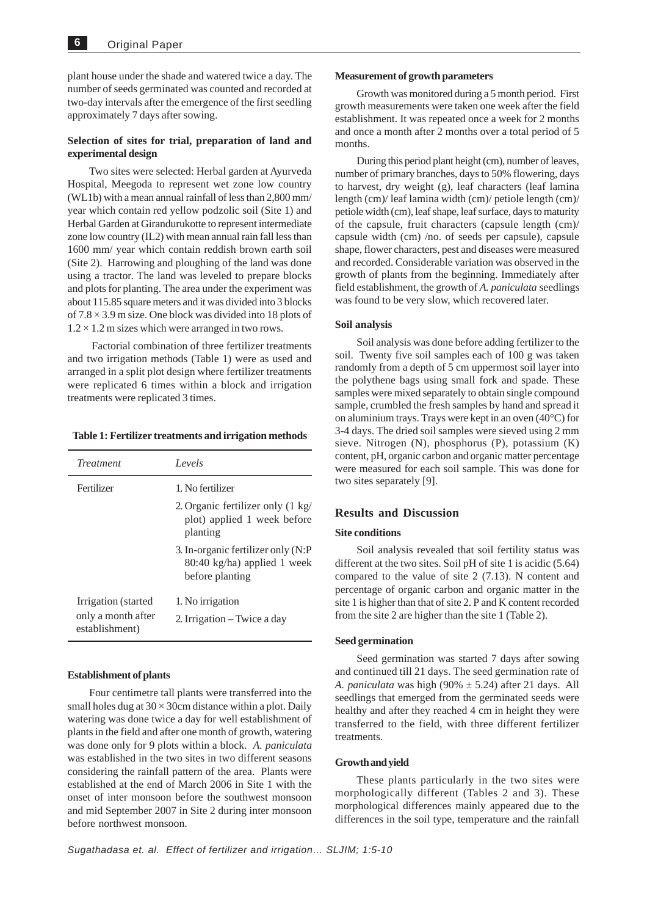plant house under the shade and watered twice a day. The number of seeds germinated was counted and recorded at two-day intervals after the emergence of the first seedling approximately 7 days after sowing.

### **Selection of sites for trial, preparation of land and experimental design**

Two sites were selected: Herbal garden at Ayurveda Hospital, Meegoda to represent wet zone low country (WL1b) with a mean annual rainfall of less than 2,800 mm/ year which contain red yellow podzolic soil (Site 1) and Herbal Garden at Girandurukotte to represent intermediate zone low country (IL2) with mean annual rain fall less than 1600 mm/ year which contain reddish brown earth soil (Site 2). Harrowing and ploughing of the land was done using a tractor. The land was leveled to prepare blocks and plots for planting. The area under the experiment was about 115.85 square meters and it was divided into 3 blocks of 7.8 × 3.9 m size. One block was divided into 18 plots of  $1.2 \times 1.2$  m sizes which were arranged in two rows.

 Factorial combination of three fertilizer treatments and two irrigation methods (Table 1) were as used and arranged in a split plot design where fertilizer treatments were replicated 6 times within a block and irrigation treatments were replicated 3 times.

| Table 1: Fertilizer treatments and irrigation methods |  |
|-------------------------------------------------------|--|
|-------------------------------------------------------|--|

| <i>Treatment</i>                                            | Levels                                                                                           |
|-------------------------------------------------------------|--------------------------------------------------------------------------------------------------|
| Fertilizer                                                  | 1. No fertilizer<br>2. Organic fertilizer only (1 kg/<br>plot) applied 1 week before<br>planting |
|                                                             | 3. In-organic fertilizer only (N:P)<br>80:40 kg/ha) applied 1 week<br>before planting            |
| Irrigation (started<br>only a month after<br>establishment) | 1. No irrigation<br>2. Irrigation – Twice a day                                                  |

#### **Establishment of plants**

Four centimetre tall plants were transferred into the small holes dug at  $30 \times 30$ cm distance within a plot. Daily watering was done twice a day for well establishment of plants in the field and after one month of growth, watering was done only for 9 plots within a block. *A. paniculata* was established in the two sites in two different seasons considering the rainfall pattern of the area. Plants were established at the end of March 2006 in Site 1 with the onset of inter monsoon before the southwest monsoon and mid September 2007 in Site 2 during inter monsoon before northwest monsoon.

#### **Measurement of growth parameters**

Growth was monitored during a 5 month period. First growth measurements were taken one week after the field establishment. It was repeated once a week for 2 months and once a month after 2 months over a total period of 5 months.

During this period plant height (cm), number of leaves, number of primary branches, days to 50% flowering, days to harvest, dry weight (g), leaf characters (leaf lamina length (cm)/ leaf lamina width (cm)/ petiole length (cm)/ petiole width (cm), leaf shape, leaf surface, days to maturity of the capsule, fruit characters (capsule length (cm)/ capsule width (cm) /no. of seeds per capsule), capsule shape, flower characters, pest and diseases were measured and recorded. Considerable variation was observed in the growth of plants from the beginning. Immediately after field establishment, the growth of *A. paniculata* seedlings was found to be very slow, which recovered later.

#### **Soil analysis**

Soil analysis was done before adding fertilizer to the soil. Twenty five soil samples each of 100 g was taken randomly from a depth of 5 cm uppermost soil layer into the polythene bags using small fork and spade. These samples were mixed separately to obtain single compound sample, crumbled the fresh samples by hand and spread it on aluminium trays. Trays were kept in an oven (40°C) for 3-4 days. The dried soil samples were sieved using 2 mm sieve. Nitrogen (N), phosphorus (P), potassium (K) content, pH, organic carbon and organic matter percentage were measured for each soil sample. This was done for two sites separately [9].

#### **Results and Discussion**

#### **Site conditions**

Soil analysis revealed that soil fertility status was different at the two sites. Soil pH of site 1 is acidic (5.64) compared to the value of site 2 (7.13). N content and percentage of organic carbon and organic matter in the site 1 is higher than that of site 2. P and K content recorded from the site 2 are higher than the site 1 (Table 2).

#### **Seed germination**

Seed germination was started 7 days after sowing and continued till 21 days. The seed germination rate of *A. paniculata* was high (90%  $\pm$  5.24) after 21 days. All seedlings that emerged from the germinated seeds were healthy and after they reached 4 cm in height they were transferred to the field, with three different fertilizer treatments.

#### **Growth and yield**

These plants particularly in the two sites were morphologically different (Tables 2 and 3). These morphological differences mainly appeared due to the differences in the soil type, temperature and the rainfall

*Sugathadasa et. al. Effect of fertilizer and irrigation… SLJIM; 1:5-10*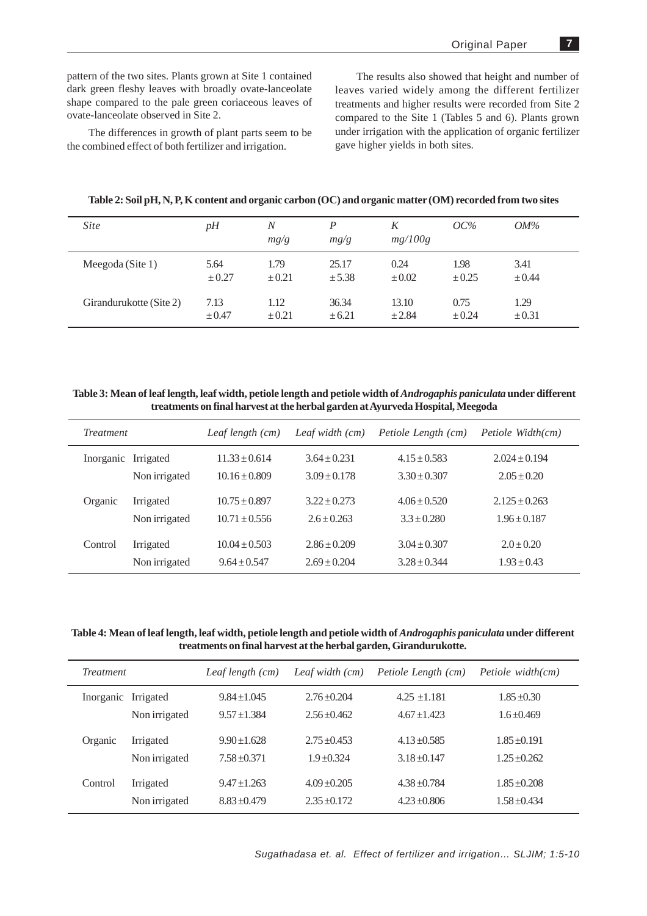pattern of the two sites. Plants grown at Site 1 contained dark green fleshy leaves with broadly ovate-lanceolate shape compared to the pale green coriaceous leaves of ovate-lanceolate observed in Site 2.

The differences in growth of plant parts seem to be the combined effect of both fertilizer and irrigation.

The results also showed that height and number of leaves varied widely among the different fertilizer treatments and higher results were recorded from Site 2 compared to the Site 1 (Tables 5 and 6). Plants grown under irrigation with the application of organic fertilizer gave higher yields in both sites.

| Table 2: Soil pH, N, P, K content and organic carbon (OC) and organic matter (OM) recorded from two sites |  |  |  |  |  |
|-----------------------------------------------------------------------------------------------------------|--|--|--|--|--|
|                                                                                                           |  |  |  |  |  |

| <i>Site</i>             | pH                 | N<br>mg/g          | D<br>mg/g           | K<br>mg/100g       | $OC\%$             | OM%                |  |
|-------------------------|--------------------|--------------------|---------------------|--------------------|--------------------|--------------------|--|
| Meegoda (Site 1)        | 5.64<br>$\pm 0.27$ | 1.79<br>$\pm 0.21$ | 25.17<br>$\pm$ 5.38 | 0.24<br>$\pm 0.02$ | 1.98<br>± 0.25     | 3.41<br>$\pm 0.44$ |  |
| Girandurukotte (Site 2) | 7.13<br>$\pm 0.47$ | 1.12<br>$\pm 0.21$ | 36.34<br>± 6.21     | 13.10<br>±2.84     | 0.75<br>$\pm 0.24$ | 1.29<br>$\pm 0.31$ |  |

Table 3: Mean of leaf length, leaf width, petiole length and petiole width of *Androgaphis paniculata* under different **treatments on final harvest at the herbal garden at Ayurveda Hospital, Meegoda**

| <i>Treatment</i> |                            | Leaf length (cm)                    | Leaf width (cm)                    | Petiole Length (cm)                | Petiole Width(cm)                 |
|------------------|----------------------------|-------------------------------------|------------------------------------|------------------------------------|-----------------------------------|
| Inorganic        | Irrigated<br>Non irrigated | $11.33 + 0.614$<br>$10.16 + 0.809$  | $3.64 + 0.231$<br>$3.09 + 0.178$   | $4.15 + 0.583$<br>$3.30 + 0.307$   | $2.024 + 0.194$<br>$2.05 + 0.20$  |
| Organic          | Irrigated                  | $10.75 + 0.897$                     | $3.22 + 0.273$                     | $4.06 + 0.520$                     | $2.125 + 0.263$                   |
|                  | Non irrigated              | $10.71 \pm 0.556$                   | $2.6 + 0.263$                      | $3.3 \pm 0.280$                    | $1.96 \pm 0.187$                  |
| Control          | Irrigated<br>Non irrigated | $10.04 \pm 0.503$<br>$9.64 + 0.547$ | $2.86 \pm 0.209$<br>$2.69 + 0.204$ | $3.04 \pm 0.307$<br>$3.28 + 0.344$ | $2.0 \pm 0.20$<br>$1.93 \pm 0.43$ |

Table 4: Mean of leaf length, leaf width, petiole length and petiole width of *Androgaphis paniculata* under different **treatments on final harvest at the herbal garden, Girandurukotte.**

| <i>Treatment</i> |                     | Leaf length (cm) | Leaf width $(cm)$ | Petiole Length (cm) | Petiole width(cm) |
|------------------|---------------------|------------------|-------------------|---------------------|-------------------|
|                  | Inorganic Irrigated | $9.84 + 1.045$   | $2.76 + 0.204$    | $4.25 + 1.181$      | $1.85 \pm 0.30$   |
|                  | Non irrigated       | $9.57 + 1.384$   | $2.56 + 0.462$    | $4.67 + 1.423$      | $1.6 \pm 0.469$   |
| Organic          | Irrigated           | $9.90 \pm 1.628$ | $2.75 + 0.453$    | $4.13 + 0.585$      | $1.85 + 0.191$    |
|                  | Non irrigated       | $7.58 + 0.371$   | $1.9 + 0.324$     | $3.18 + 0.147$      | $1.25 + 0.262$    |
| Control          | Irrigated           | $9.47 \pm 1.263$ | $4.09 + 0.205$    | $4.38 + 0.784$      | $1.85 + 0.208$    |
|                  | Non irrigated       | $8.83 + 0.479$   | $2.35 + 0.172$    | $4.23 \pm 0.806$    | $1.58 + 0.434$    |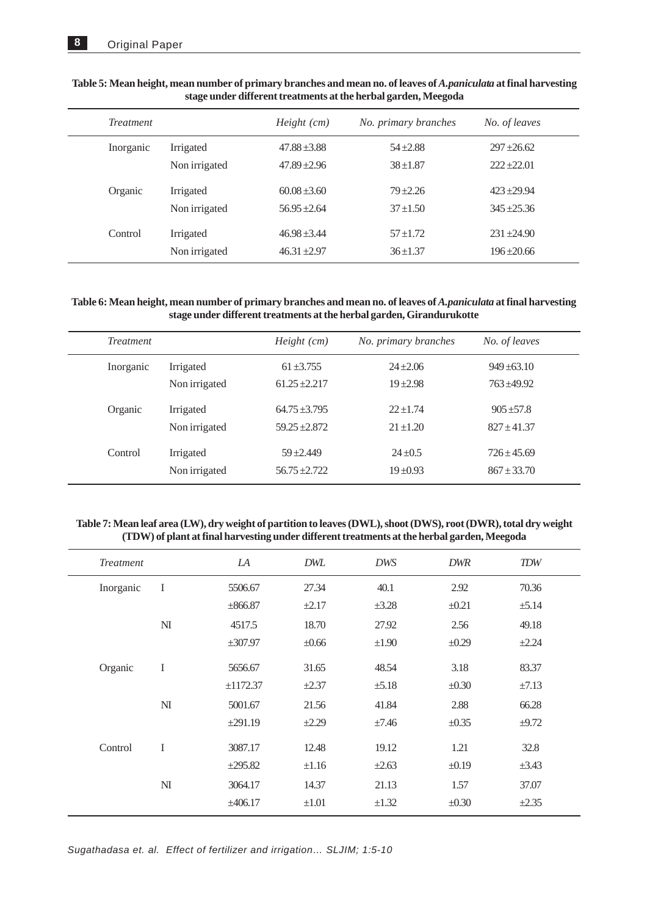| <i>Treatment</i> |               | Height (cm)      | No. primary branches | No. of leaves |
|------------------|---------------|------------------|----------------------|---------------|
| Inorganic        | Irrigated     | $47.88 + 3.88$   | $54 + 2.88$          | $297 + 26.62$ |
|                  | Non irrigated | $47.89 + 2.96$   | $38 + 1.87$          | $222 + 22.01$ |
| Organic          | Irrigated     | $60.08 \pm 3.60$ | $79 + 2.26$          | $423 + 29.94$ |
|                  | Non irrigated | $56.95 + 2.64$   | $37 + 1.50$          | $345 + 25.36$ |
| Control          | Irrigated     | $46.98 + 3.44$   | $57 + 1.72$          | $231 + 24.90$ |
|                  | Non irrigated | $46.31 \pm 2.97$ | $36 + 1.37$          | $196 + 20.66$ |

# **Table 5: Mean height, mean number of primary branches and mean no. of leaves of** *A.paniculata* **at final harvesting stage under different treatments at the herbal garden, Meegoda**

# Table 6: Mean height, mean number of primary branches and mean no. of leaves of *A.paniculata* at final harvesting **stage under different treatments at the herbal garden, Girandurukotte**

| <i>Treatment</i> |                            | Height (cm)                        | No. primary branches       | No. of leaves                  |  |
|------------------|----------------------------|------------------------------------|----------------------------|--------------------------------|--|
| Inorganic        | Irrigated<br>Non irrigated | $61 + 3.755$<br>$61.25 + 2.217$    | $24 + 2.06$<br>$19 + 2.98$ | $949 + 63.10$<br>$763 + 49.92$ |  |
| Organic          | Irrigated<br>Non irrigated | $64.75 + 3.795$<br>$59.25 + 2.872$ | $22+1.74$<br>$21 \pm 1.20$ | $905 + 57.8$<br>$827 + 41.37$  |  |
| Control          | Irrigated<br>Non irrigated | $59 + 2.449$<br>$56.75 + 2.722$    | $24 + 0.5$<br>$19 + 0.93$  | $726 + 45.69$<br>$867 + 33.70$ |  |

# **Table 7: Mean leaf area (LW), dry weight of partition to leaves (DWL), shoot (DWS), root (DWR), total dry weight (TDW) of plant at final harvesting under different treatments at the herbal garden, Meegoda**

| <b>Treatment</b> |                | IA       | <b>DWL</b> | <b>DWS</b> | <b>DWR</b> | <b>TDW</b> |
|------------------|----------------|----------|------------|------------|------------|------------|
| Inorganic        | $\mathbf I$    | 5506.67  | 27.34      | 40.1       | 2.92       | 70.36      |
|                  |                | ±866.87  | ±2.17      | $\pm 3.28$ | $\pm 0.21$ | ±5.14      |
|                  | N <sub>I</sub> | 4517.5   | 18.70      | 27.92      | 2.56       | 49.18      |
|                  |                | ±307.97  | $\pm 0.66$ | $\pm 1.90$ | ±0.29      | ±2.24      |
| Organic          | $\mathbf I$    | 5656.67  | 31.65      | 48.54      | 3.18       | 83.37      |
|                  |                | ±1172.37 | ±2.37      | $\pm$ 5.18 | $\pm 0.30$ | $\pm 7.13$ |
|                  | N <sub>I</sub> | 5001.67  | 21.56      | 41.84      | 2.88       | 66.28      |
|                  |                | ±291.19  | ±2.29      | $\pm 7.46$ | $\pm 0.35$ | $\pm 9.72$ |
| Control          | $\bf I$        | 3087.17  | 12.48      | 19.12      | 1.21       | 32.8       |
|                  |                | ±295.82  | $\pm 1.16$ | ±2.63      | $\pm 0.19$ | ±3.43      |
|                  | N <sub>I</sub> | 3064.17  | 14.37      | 21.13      | 1.57       | 37.07      |
|                  |                | ±406.17  | $\pm 1.01$ | $\pm 1.32$ | ±0.30      | $\pm 2.35$ |

*Sugathadasa et. al. Effect of fertilizer and irrigation… SLJIM; 1:5-10*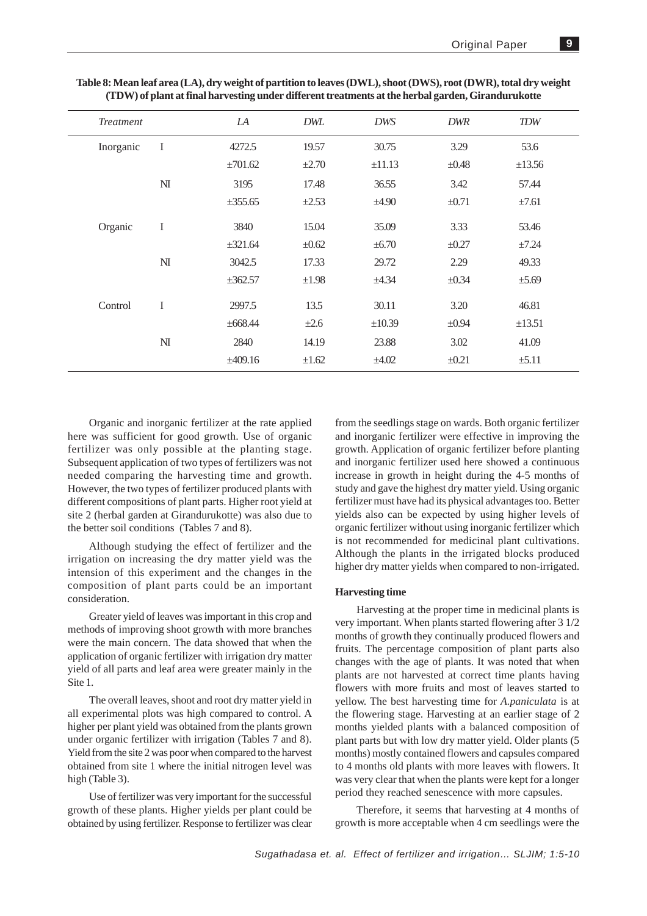| <b>Treatment</b> |                | LA      | <b>DWL</b> | <b>DWS</b> | <b>DWR</b> | <b>TDW</b> |
|------------------|----------------|---------|------------|------------|------------|------------|
| Inorganic        | I              | 4272.5  | 19.57      | 30.75      | 3.29       | 53.6       |
|                  |                | ±701.62 | ±2.70      | ±11.13     | ±0.48      | ±13.56     |
|                  | N <sub>I</sub> | 3195    | 17.48      | 36.55      | 3.42       | 57.44      |
|                  |                | ±355.65 | $\pm 2.53$ | ±4.90      | $\pm 0.71$ | ±7.61      |
| Organic          | I              | 3840    | 15.04      | 35.09      | 3.33       | 53.46      |
|                  |                | ±321.64 | $\pm 0.62$ | $\pm 6.70$ | ±0.27      | ±7.24      |
|                  | $\mathbf{M}$   | 3042.5  | 17.33      | 29.72      | 2.29       | 49.33      |
|                  |                | ±362.57 | $\pm 1.98$ | ±4.34      | ±0.34      | $\pm$ 5.69 |
| Control          | I              | 2997.5  | 13.5       | 30.11      | 3.20       | 46.81      |
|                  |                | ±668.44 | $\pm 2.6$  | ±10.39     | ±0.94      | ±13.51     |
|                  | $\mathbf{M}$   | 2840    | 14.19      | 23.88      | 3.02       | 41.09      |
|                  |                | ±409.16 | $\pm 1.62$ | $\pm 4.02$ | ±0.21      | $\pm$ 5.11 |

**Table 8: Mean leaf area (LA), dry weight of partition to leaves (DWL), shoot (DWS), root (DWR), total dry weight (TDW) of plant at final harvesting under different treatments at the herbal garden, Girandurukotte**

Organic and inorganic fertilizer at the rate applied here was sufficient for good growth. Use of organic fertilizer was only possible at the planting stage. Subsequent application of two types of fertilizers was not needed comparing the harvesting time and growth. However, the two types of fertilizer produced plants with different compositions of plant parts. Higher root yield at site 2 (herbal garden at Girandurukotte) was also due to the better soil conditions (Tables 7 and 8).

Although studying the effect of fertilizer and the irrigation on increasing the dry matter yield was the intension of this experiment and the changes in the composition of plant parts could be an important consideration.

Greater yield of leaves was important in this crop and methods of improving shoot growth with more branches were the main concern. The data showed that when the application of organic fertilizer with irrigation dry matter yield of all parts and leaf area were greater mainly in the Site 1.

The overall leaves, shoot and root dry matter yield in all experimental plots was high compared to control. A higher per plant yield was obtained from the plants grown under organic fertilizer with irrigation (Tables 7 and 8). Yield from the site 2 was poor when compared to the harvest obtained from site 1 where the initial nitrogen level was high (Table 3).

Use of fertilizer was very important for the successful growth of these plants. Higher yields per plant could be obtained by using fertilizer. Response to fertilizer was clear from the seedlings stage on wards. Both organic fertilizer and inorganic fertilizer were effective in improving the growth. Application of organic fertilizer before planting and inorganic fertilizer used here showed a continuous increase in growth in height during the 4-5 months of study and gave the highest dry matter yield. Using organic fertilizer must have had its physical advantages too. Better yields also can be expected by using higher levels of organic fertilizer without using inorganic fertilizer which is not recommended for medicinal plant cultivations. Although the plants in the irrigated blocks produced higher dry matter yields when compared to non-irrigated.

#### **Harvesting time**

Harvesting at the proper time in medicinal plants is very important. When plants started flowering after 3 1/2 months of growth they continually produced flowers and fruits. The percentage composition of plant parts also changes with the age of plants. It was noted that when plants are not harvested at correct time plants having flowers with more fruits and most of leaves started to yellow. The best harvesting time for *A.paniculata* is at the flowering stage. Harvesting at an earlier stage of 2 months yielded plants with a balanced composition of plant parts but with low dry matter yield. Older plants (5 months) mostly contained flowers and capsules compared to 4 months old plants with more leaves with flowers. It was very clear that when the plants were kept for a longer period they reached senescence with more capsules.

Therefore, it seems that harvesting at 4 months of growth is more acceptable when 4 cm seedlings were the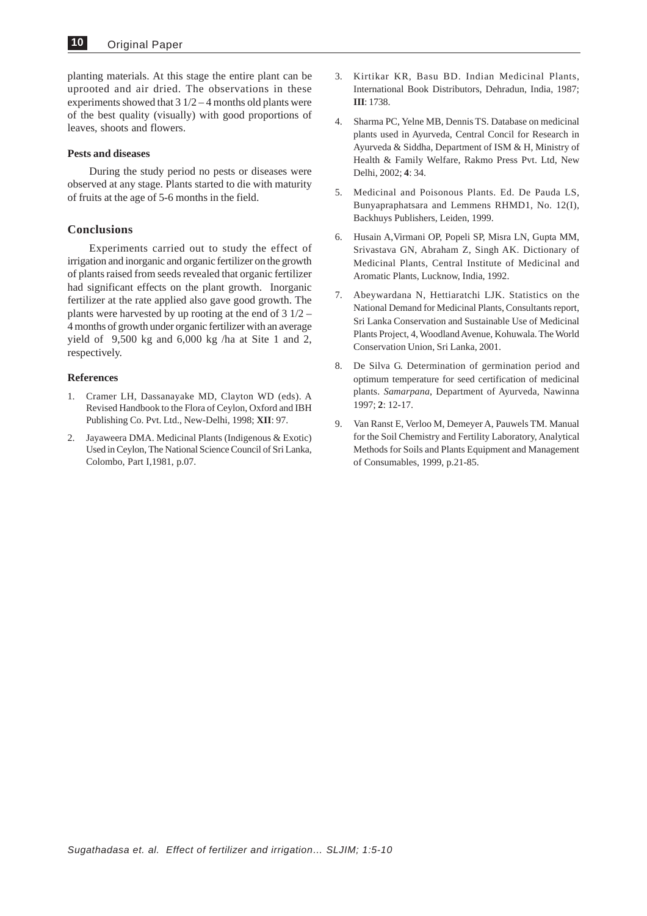planting materials. At this stage the entire plant can be uprooted and air dried. The observations in these experiments showed that 3 1/2 – 4 months old plants were of the best quality (visually) with good proportions of leaves, shoots and flowers.

#### **Pests and diseases**

During the study period no pests or diseases were observed at any stage. Plants started to die with maturity of fruits at the age of 5-6 months in the field.

#### **Conclusions**

Experiments carried out to study the effect of irrigation and inorganic and organic fertilizer on the growth of plants raised from seeds revealed that organic fertilizer had significant effects on the plant growth. Inorganic fertilizer at the rate applied also gave good growth. The plants were harvested by up rooting at the end of 3 1/2 – 4 months of growth under organic fertilizer with an average yield of 9,500 kg and 6,000 kg /ha at Site 1 and 2, respectively.

#### **References**

- 1. Cramer LH, Dassanayake MD, Clayton WD (eds). A Revised Handbook to the Flora of Ceylon, Oxford and IBH Publishing Co. Pvt. Ltd., New-Delhi, 1998; **XII**: 97.
- 2. Jayaweera DMA. Medicinal Plants (Indigenous & Exotic) Used in Ceylon, The National Science Council of Sri Lanka, Colombo, Part I,1981, p.07.
- 3. Kirtikar KR, Basu BD. Indian Medicinal Plants, International Book Distributors, Dehradun, India, 1987; **III**: 1738.
- 4. Sharma PC, Yelne MB, Dennis TS. Database on medicinal plants used in Ayurveda, Central Concil for Research in Ayurveda & Siddha, Department of ISM & H, Ministry of Health & Family Welfare, Rakmo Press Pvt. Ltd, New Delhi, 2002; **4**: 34.
- 5. Medicinal and Poisonous Plants. Ed. De Pauda LS, Bunyapraphatsara and Lemmens RHMD1, No. 12(I), Backhuys Publishers, Leiden, 1999.
- 6. Husain A,Virmani OP, Popeli SP, Misra LN, Gupta MM, Srivastava GN, Abraham Z, Singh AK. Dictionary of Medicinal Plants, Central Institute of Medicinal and Aromatic Plants, Lucknow, India, 1992.
- 7. Abeywardana N, Hettiaratchi LJK. Statistics on the National Demand for Medicinal Plants, Consultants report, Sri Lanka Conservation and Sustainable Use of Medicinal Plants Project, 4, Woodland Avenue, Kohuwala. The World Conservation Union, Sri Lanka, 2001.
- 8. De Silva G. Determination of germination period and optimum temperature for seed certification of medicinal plants. *Samarpana*, Department of Ayurveda, Nawinna 1997; **2**: 12-17.
- 9. Van Ranst E, Verloo M, Demeyer A, Pauwels TM. Manual for the Soil Chemistry and Fertility Laboratory, Analytical Methods for Soils and Plants Equipment and Management of Consumables, 1999, p.21-85.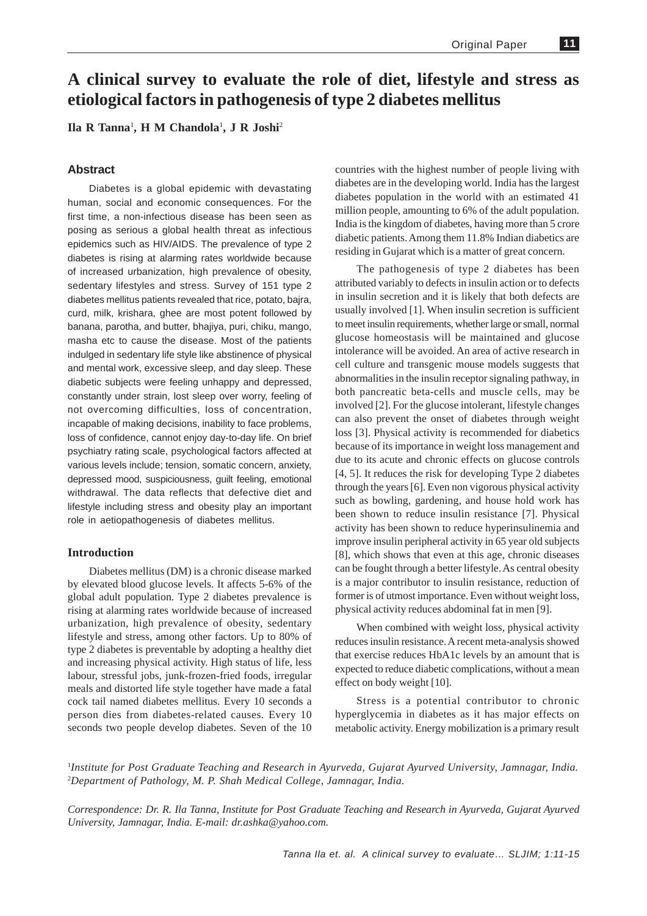# **A clinical survey to evaluate the role of diet, lifestyle and stress as etiological factors in pathogenesis of type 2 diabetes mellitus**

**Ila R Tanna**<sup>1</sup> **, H M Chandola**<sup>1</sup> **, J R Joshi**<sup>2</sup>

# **Abstract**

Diabetes is a global epidemic with devastating human, social and economic consequences. For the first time, a non-infectious disease has been seen as posing as serious a global health threat as infectious epidemics such as HIV/AIDS. The prevalence of type 2 diabetes is rising at alarming rates worldwide because of increased urbanization, high prevalence of obesity, sedentary lifestyles and stress. Survey of 151 type 2 diabetes mellitus patients revealed that rice, potato, bajra, curd, milk, krishara, ghee are most potent followed by banana, parotha, and butter, bhajiya, puri, chiku, mango, masha etc to cause the disease. Most of the patients indulged in sedentary life style like abstinence of physical and mental work, excessive sleep, and day sleep. These diabetic subjects were feeling unhappy and depressed, constantly under strain, lost sleep over worry, feeling of not overcoming difficulties, loss of concentration, incapable of making decisions, inability to face problems, loss of confidence, cannot enjoy day-to-day life. On brief psychiatry rating scale, psychological factors affected at various levels include; tension, somatic concern, anxiety, depressed mood, suspiciousness, guilt feeling, emotional withdrawal. The data reflects that defective diet and lifestyle including stress and obesity play an important role in aetiopathogenesis of diabetes mellitus.

### **Introduction**

Diabetes mellitus (DM) is a chronic disease marked by elevated blood glucose levels. It affects 5-6% of the global adult population. Type 2 diabetes prevalence is rising at alarming rates worldwide because of increased urbanization, high prevalence of obesity, sedentary lifestyle and stress, among other factors. Up to 80% of type 2 diabetes is preventable by adopting a healthy diet and increasing physical activity. High status of life, less labour, stressful jobs, junk-frozen-fried foods, irregular meals and distorted life style together have made a fatal cock tail named diabetes mellitus. Every 10 seconds a person dies from diabetes-related causes. Every 10 seconds two people develop diabetes. Seven of the 10

countries with the highest number of people living with diabetes are in the developing world. India has the largest diabetes population in the world with an estimated 41 million people, amounting to 6% of the adult population. India is the kingdom of diabetes, having more than 5 crore diabetic patients. Among them 11.8% Indian diabetics are residing in Gujarat which is a matter of great concern.

The pathogenesis of type 2 diabetes has been attributed variably to defects in insulin action or to defects in insulin secretion and it is likely that both defects are usually involved [1]. When insulin secretion is sufficient to meet insulin requirements, whether large or small, normal glucose homeostasis will be maintained and glucose intolerance will be avoided. An area of active research in cell culture and transgenic mouse models suggests that abnormalities in the insulin receptor signaling pathway, in both pancreatic beta-cells and muscle cells, may be involved [2]. For the glucose intolerant, lifestyle changes can also prevent the onset of diabetes through weight loss [3]. Physical activity is recommended for diabetics because of its importance in weight loss management and due to its acute and chronic effects on glucose controls [4, 5]. It reduces the risk for developing Type 2 diabetes through the years [6]. Even non vigorous physical activity such as bowling, gardening, and house hold work has been shown to reduce insulin resistance [7]. Physical activity has been shown to reduce hyperinsulinemia and improve insulin peripheral activity in 65 year old subjects [8], which shows that even at this age, chronic diseases can be fought through a better lifestyle. As central obesity is a major contributor to insulin resistance, reduction of former is of utmost importance. Even without weight loss, physical activity reduces abdominal fat in men [9].

When combined with weight loss, physical activity reduces insulin resistance. A recent meta-analysis showed that exercise reduces HbA1c levels by an amount that is expected to reduce diabetic complications, without a mean effect on body weight [10].

Stress is a potential contributor to chronic hyperglycemia in diabetes as it has major effects on metabolic activity. Energy mobilization is a primary result

1 *Institute for Post Graduate Teaching and Research in Ayurveda, Gujarat Ayurved University, Jamnagar, India.* 2 *Department of Pathology, M. P. Shah Medical College, Jamnagar, India.*

*Correspondence: Dr. R. Ila Tanna, Institute for Post Graduate Teaching and Research in Ayurveda, Gujarat Ayurved University, Jamnagar, India. E-mail: dr.ashka@yahoo.com.*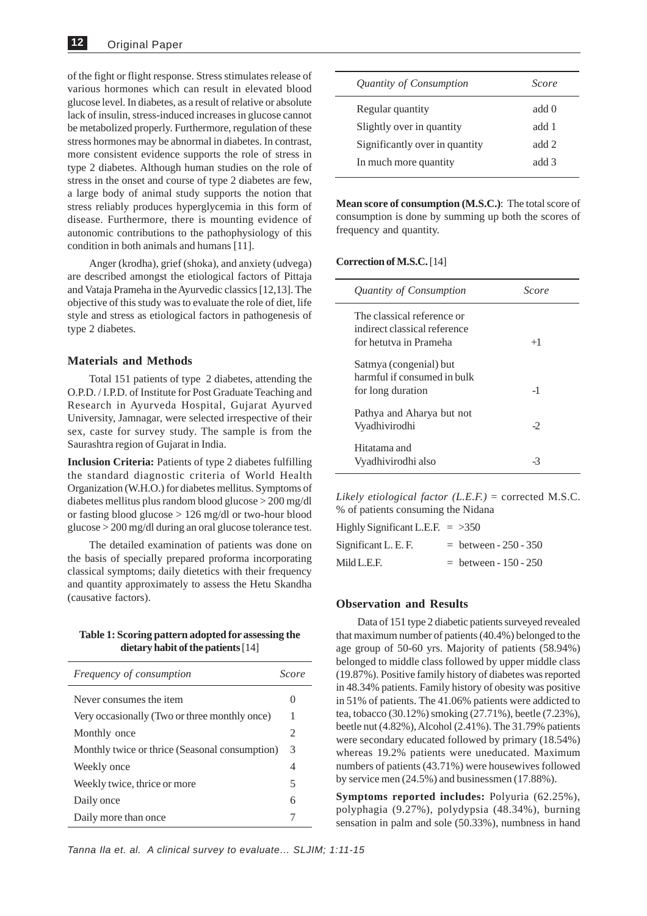of the fight or flight response. Stress stimulates release of various hormones which can result in elevated blood glucose level. In diabetes, as a result of relative or absolute lack of insulin, stress-induced increases in glucose cannot be metabolized properly. Furthermore, regulation of these stress hormones may be abnormal in diabetes. In contrast, more consistent evidence supports the role of stress in type 2 diabetes. Although human studies on the role of stress in the onset and course of type 2 diabetes are few, a large body of animal study supports the notion that stress reliably produces hyperglycemia in this form of disease. Furthermore, there is mounting evidence of autonomic contributions to the pathophysiology of this condition in both animals and humans [11].

Anger (krodha), grief (shoka), and anxiety (udvega) are described amongst the etiological factors of Pittaja and Vataja Prameha in the Ayurvedic classics [12,13]. The objective of this study was to evaluate the role of diet, life style and stress as etiological factors in pathogenesis of type 2 diabetes.

#### **Materials and Methods**

Total 151 patients of type 2 diabetes, attending the O.P.D. / I.P.D. of Institute for Post Graduate Teaching and Research in Ayurveda Hospital, Gujarat Ayurved University, Jamnagar, were selected irrespective of their sex, caste for survey study. The sample is from the Saurashtra region of Gujarat in India.

**Inclusion Criteria:** Patients of type 2 diabetes fulfilling the standard diagnostic criteria of World Health Organization (W.H.O.) for diabetes mellitus. Symptoms of diabetes mellitus plus random blood glucose > 200 mg/dl or fasting blood glucose > 126 mg/dl or two-hour blood glucose > 200 mg/dl during an oral glucose tolerance test.

The detailed examination of patients was done on the basis of specially prepared proforma incorporating classical symptoms; daily dietetics with their frequency and quantity approximately to assess the Hetu Skandha (causative factors).

### **Table 1: Scoring pattern adopted for assessing the dietary habit of the patients** [14]

| Frequency of consumption                       | Score |
|------------------------------------------------|-------|
| Never consumes the item                        |       |
| Very occasionally (Two or three monthly once)  | 1     |
| Monthly once                                   | 2     |
| Monthly twice or thrice (Seasonal consumption) | 3     |
| Weekly once                                    | 4     |
| Weekly twice, thrice or more                   | 5     |
| Daily once                                     | 6     |
| Daily more than once                           |       |

| Quantity of Consumption        | Score |
|--------------------------------|-------|
| Regular quantity               | add 0 |
| Slightly over in quantity      | add 1 |
| Significantly over in quantity | add 2 |
| In much more quantity          | add 3 |
|                                |       |

**Mean score of consumption (M.S.C.)**: The total score of consumption is done by summing up both the scores of frequency and quantity.

#### **Correction of M.S.C.** [14]

| Quantity of Consumption                                                              | Score |
|--------------------------------------------------------------------------------------|-------|
| The classical reference or<br>indirect classical reference<br>for hetutva in Prameha | $+1$  |
| Satmya (congenial) but<br>harmful if consumed in bulk<br>for long duration           | $-1$  |
| Pathya and Aharya but not<br>Vyadhivirodhi                                           | $-2$  |
| Hitatama and<br>Vyadhivirodhi also                                                   |       |

*Likely etiological factor (L.E.F.)* = corrected M.S.C. % of patients consuming the Nidana

| Highly Significant L.E.F. $=$ >350 |                         |
|------------------------------------|-------------------------|
| Significant L. E. F.               | $=$ between - 250 - 350 |
| Mild L.E.F.                        | $=$ between - 150 - 250 |

#### **Observation and Results**

Data of 151 type 2 diabetic patients surveyed revealed that maximum number of patients (40.4%) belonged to the age group of 50-60 yrs. Majority of patients (58.94%) belonged to middle class followed by upper middle class (19.87%). Positive family history of diabetes was reported in 48.34% patients. Family history of obesity was positive in 51% of patients. The 41.06% patients were addicted to tea, tobacco (30.12%) smoking (27.71%), beetle (7.23%), beetle nut (4.82%), Alcohol (2.41%). The 31.79% patients were secondary educated followed by primary (18.54%) whereas 19.2% patients were uneducated. Maximum numbers of patients (43.71%) were housewives followed by service men (24.5%) and businessmen (17.88%).

**Symptoms reported includes:** Polyuria (62.25%), polyphagia (9.27%), polydypsia (48.34%), burning sensation in palm and sole (50.33%), numbness in hand

*Tanna Ila et. al. A clinical survey to evaluate… SLJIM; 1:11-15*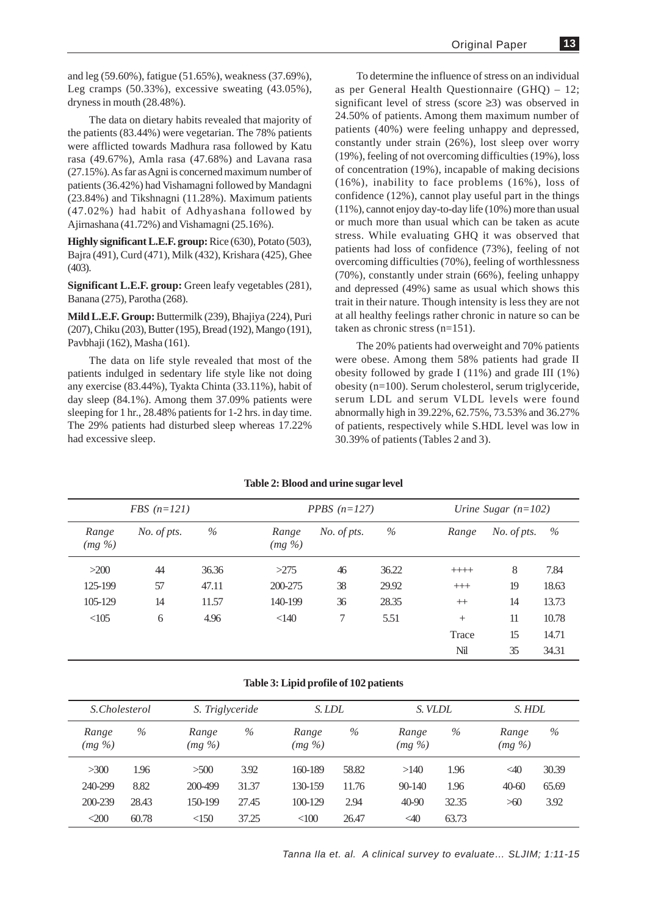and leg (59.60%), fatigue (51.65%), weakness (37.69%), Leg cramps (50.33%), excessive sweating (43.05%), dryness in mouth (28.48%).

The data on dietary habits revealed that majority of the patients (83.44%) were vegetarian. The 78% patients were afflicted towards Madhura rasa followed by Katu rasa (49.67%), Amla rasa (47.68%) and Lavana rasa (27.15%). As far as Agni is concerned maximum number of patients (36.42%) had Vishamagni followed by Mandagni (23.84%) and Tikshnagni (11.28%). Maximum patients (47.02%) had habit of Adhyashana followed by Ajirnashana (41.72%) and Vishamagni (25.16%).

**Highly significant L.E.F. group:** Rice (630), Potato (503), Bajra (491), Curd (471), Milk (432), Krishara (425), Ghee (403).

**Significant L.E.F. group:** Green leafy vegetables (281), Banana (275), Parotha (268).

**Mild L.E.F. Group:** Buttermilk (239), Bhajiya (224), Puri (207), Chiku (203), Butter (195), Bread (192), Mango (191), Pavbhaji (162), Masha (161).

The data on life style revealed that most of the patients indulged in sedentary life style like not doing any exercise (83.44%), Tyakta Chinta (33.11%), habit of day sleep (84.1%). Among them 37.09% patients were sleeping for 1 hr., 28.48% patients for 1-2 hrs. in day time. The 29% patients had disturbed sleep whereas 17.22% had excessive sleep.

To determine the influence of stress on an individual as per General Health Questionnaire (GHQ) – 12; significant level of stress (score ≥3) was observed in 24.50% of patients. Among them maximum number of patients (40%) were feeling unhappy and depressed, constantly under strain (26%), lost sleep over worry (19%), feeling of not overcoming difficulties (19%), loss of concentration (19%), incapable of making decisions (16%), inability to face problems (16%), loss of confidence (12%), cannot play useful part in the things (11%), cannot enjoy day-to-day life (10%) more than usual or much more than usual which can be taken as acute stress. While evaluating GHQ it was observed that patients had loss of confidence (73%), feeling of not overcoming difficulties (70%), feeling of worthlessness (70%), constantly under strain (66%), feeling unhappy and depressed (49%) same as usual which shows this trait in their nature. Though intensity is less they are not at all healthy feelings rather chronic in nature so can be taken as chronic stress (n=151).

The 20% patients had overweight and 70% patients were obese. Among them 58% patients had grade II obesity followed by grade I  $(11\%)$  and grade III  $(1\%)$ obesity (n=100). Serum cholesterol, serum triglyceride, serum LDL and serum VLDL levels were found abnormally high in 39.22%, 62.75%, 73.53% and 36.27% of patients, respectively while S.HDL level was low in 30.39% of patients (Tables 2 and 3).

#### **Table 2: Blood and urine sugar level**

|                    | $FBS(n=121)$ |       |                    | PPBS $(n=127)$ |       |           | Urine Sugar $(n=102)$ |       |
|--------------------|--------------|-------|--------------------|----------------|-------|-----------|-----------------------|-------|
| Range<br>$(mg \%)$ | No. of pts.  | $\%$  | Range<br>$(mg \%)$ | No. of pts.    | %     | Range     | No. of pts.           | %     |
| >200               | 44           | 36.36 | >275               | 46             | 36.22 | $+\cdots$ | 8                     | 7.84  |
| 125-199            | 57           | 47.11 | 200-275            | 38             | 29.92 | $++$      | 19                    | 18.63 |
| 105-129            | 14           | 11.57 | 140-199            | 36             | 28.35 | $+$       | 14                    | 13.73 |
| <105               | 6            | 4.96  | $<$ 140            | 7              | 5.51  | $^{+}$    | 11                    | 10.78 |
|                    |              |       |                    |                |       | Trace     | 15                    | 14.71 |
|                    |              |       |                    |                |       | Nil       | 35                    | 34.31 |

#### **Table 3: Lipid profile of 102 patients**

| S.Cholesterol      |       | S. Triglyceride    |       | S. LDL             |       | S. VLDL            |       | S. HDL             |       |
|--------------------|-------|--------------------|-------|--------------------|-------|--------------------|-------|--------------------|-------|
| Range<br>$(mg \%)$ | $\%$  | Range<br>$(mg \%)$ | %     | Range<br>$(mg \%)$ | $\%$  | Range<br>$(mg \%)$ | $\%$  | Range<br>$(mg \%)$ | $\%$  |
| >300               | 1.96  | >500               | 3.92  | 160-189            | 58.82 | >140               | 1.96  | $\leq 40$          | 30.39 |
| 240-299            | 8.82  | 200-499            | 31.37 | 130-159            | 11.76 | $90 - 140$         | 1.96  | $40 - 60$          | 65.69 |
| 200-239            | 28.43 | 150-199            | 27.45 | $100 - 129$        | 2.94  | $40-90$            | 32.35 | >60                | 3.92  |
| $\leq 200$         | 60.78 | <150               | 37.25 | <100               | 26.47 | $\leq 40$          | 63.73 |                    |       |

*Tanna Ila et. al. A clinical survey to evaluate… SLJIM; 1:11-15*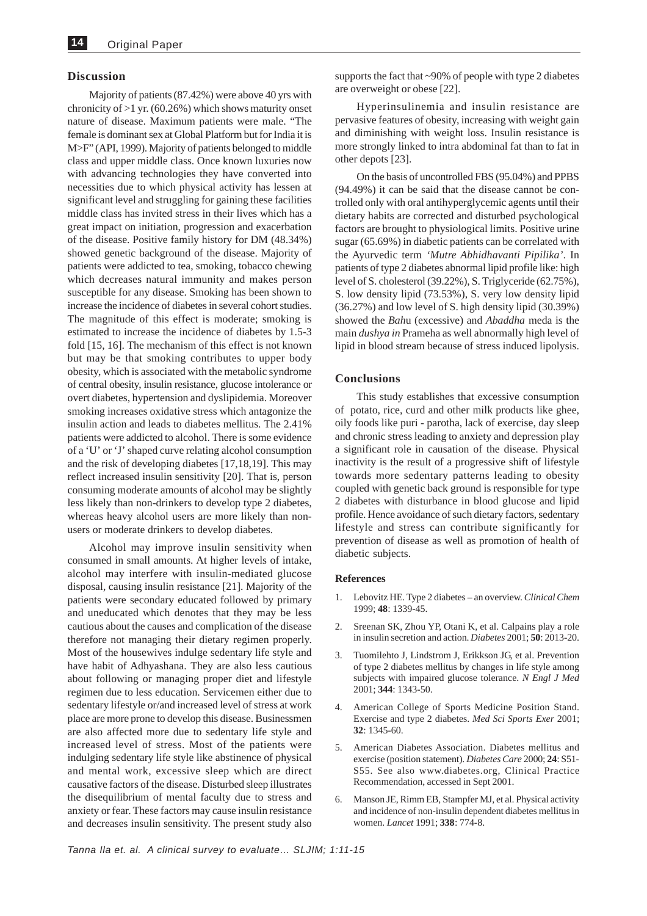#### **Discussion**

Majority of patients (87.42%) were above 40 yrs with chronicity of  $>1$  yr. (60.26%) which shows maturity onset nature of disease. Maximum patients were male. "The female is dominant sex at Global Platform but for India it is M>F" (API, 1999). Majority of patients belonged to middle class and upper middle class. Once known luxuries now with advancing technologies they have converted into necessities due to which physical activity has lessen at significant level and struggling for gaining these facilities middle class has invited stress in their lives which has a great impact on initiation, progression and exacerbation of the disease. Positive family history for DM (48.34%) showed genetic background of the disease. Majority of patients were addicted to tea, smoking, tobacco chewing which decreases natural immunity and makes person susceptible for any disease. Smoking has been shown to increase the incidence of diabetes in several cohort studies. The magnitude of this effect is moderate; smoking is estimated to increase the incidence of diabetes by 1.5-3 fold [15, 16]. The mechanism of this effect is not known but may be that smoking contributes to upper body obesity, which is associated with the metabolic syndrome of central obesity, insulin resistance, glucose intolerance or overt diabetes, hypertension and dyslipidemia. Moreover smoking increases oxidative stress which antagonize the insulin action and leads to diabetes mellitus. The 2.41% patients were addicted to alcohol. There is some evidence of a 'U' or 'J' shaped curve relating alcohol consumption and the risk of developing diabetes [17,18,19]. This may reflect increased insulin sensitivity [20]. That is, person consuming moderate amounts of alcohol may be slightly less likely than non-drinkers to develop type 2 diabetes, whereas heavy alcohol users are more likely than nonusers or moderate drinkers to develop diabetes.

Alcohol may improve insulin sensitivity when consumed in small amounts. At higher levels of intake, alcohol may interfere with insulin-mediated glucose disposal, causing insulin resistance [21]. Majority of the patients were secondary educated followed by primary and uneducated which denotes that they may be less cautious about the causes and complication of the disease therefore not managing their dietary regimen properly. Most of the housewives indulge sedentary life style and have habit of Adhyashana. They are also less cautious about following or managing proper diet and lifestyle regimen due to less education. Servicemen either due to sedentary lifestyle or/and increased level of stress at work place are more prone to develop this disease. Businessmen are also affected more due to sedentary life style and increased level of stress. Most of the patients were indulging sedentary life style like abstinence of physical and mental work, excessive sleep which are direct causative factors of the disease. Disturbed sleep illustrates the disequilibrium of mental faculty due to stress and anxiety or fear. These factors may cause insulin resistance and decreases insulin sensitivity. The present study also supports the fact that ~90% of people with type 2 diabetes are overweight or obese [22].

Hyperinsulinemia and insulin resistance are pervasive features of obesity, increasing with weight gain and diminishing with weight loss. Insulin resistance is more strongly linked to intra abdominal fat than to fat in other depots [23].

On the basis of uncontrolled FBS (95.04%) and PPBS (94.49%) it can be said that the disease cannot be controlled only with oral antihyperglycemic agents until their dietary habits are corrected and disturbed psychological factors are brought to physiological limits. Positive urine sugar (65.69%) in diabetic patients can be correlated with the Ayurvedic term *'Mutre Abhidhavanti Pipilika'*. In patients of type 2 diabetes abnormal lipid profile like: high level of S. cholesterol (39.22%), S. Triglyceride (62.75%), S. low density lipid (73.53%), S. very low density lipid (36.27%) and low level of S. high density lipid (30.39%) showed the *Bah*u (excessive) and *Abaddha* meda is the main *dushya in* Prameha as well abnormally high level of lipid in blood stream because of stress induced lipolysis.

# **Conclusions**

This study establishes that excessive consumption of potato, rice, curd and other milk products like ghee, oily foods like puri - parotha, lack of exercise, day sleep and chronic stress leading to anxiety and depression play a significant role in causation of the disease. Physical inactivity is the result of a progressive shift of lifestyle towards more sedentary patterns leading to obesity coupled with genetic back ground is responsible for type 2 diabetes with disturbance in blood glucose and lipid profile. Hence avoidance of such dietary factors, sedentary lifestyle and stress can contribute significantly for prevention of disease as well as promotion of health of diabetic subjects.

#### **References**

- 1. Lebovitz HE. Type 2 diabetes an overview. *Clinical Chem* 1999; **48**: 1339-45.
- 2. Sreenan SK, Zhou YP, Otani K, et al. Calpains play a role in insulin secretion and action. *Diabetes* 2001; **50**: 2013-20.
- 3. Tuomilehto J, Lindstrom J, Erikkson JG, et al. Prevention of type 2 diabetes mellitus by changes in life style among subjects with impaired glucose tolerance. *N Engl J Med* 2001; **344**: 1343-50.
- American College of Sports Medicine Position Stand. Exercise and type 2 diabetes. *Med Sci Sports Exer* 2001; **32**: 1345-60.
- 5. American Diabetes Association. Diabetes mellitus and exercise (position statement). *Diabetes Care* 2000; **24**: S51- S55. See also www.diabetes.org, Clinical Practice Recommendation, accessed in Sept 2001.
- 6. Manson JE, Rimm EB, Stampfer MJ, et al. Physical activity and incidence of non-insulin dependent diabetes mellitus in women. *Lancet* 1991; **338**: 774-8.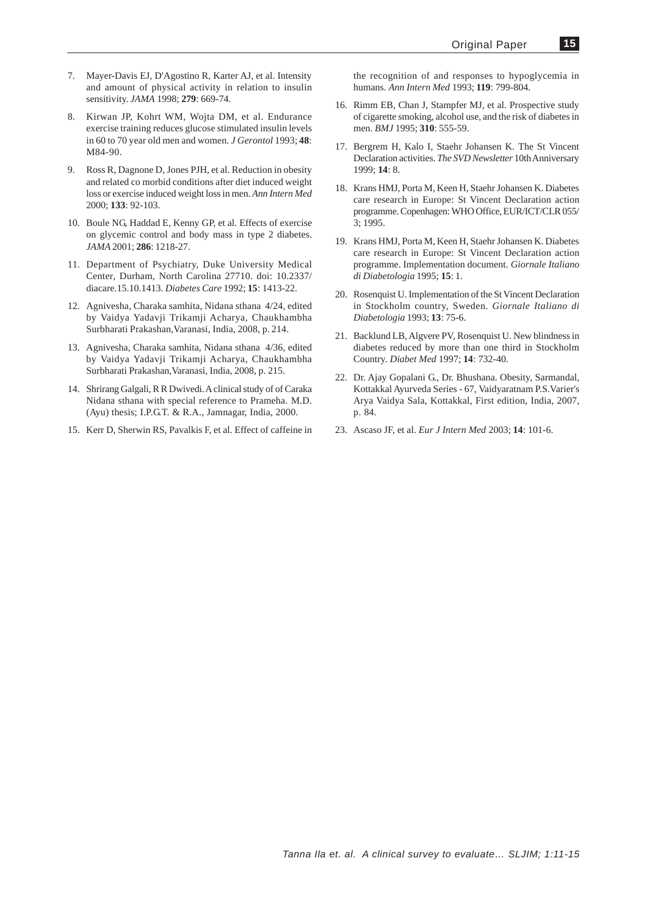- 7. Mayer-Davis EJ, D'Agostino R, Karter AJ, et al. Intensity and amount of physical activity in relation to insulin sensitivity. *JAMA* 1998; **279**: 669-74.
- 8. Kirwan JP, Kohrt WM, Wojta DM, et al. Endurance exercise training reduces glucose stimulated insulin levels in 60 to 70 year old men and women. *J Gerontol* 1993; **48**: M84-90.
- 9. Ross R, Dagnone D, Jones PJH, et al. Reduction in obesity and related co morbid conditions after diet induced weight loss or exercise induced weight loss in men. *Ann Intern Med* 2000; **133**: 92-103.
- 10. Boule NG, Haddad E, Kenny GP, et al. Effects of exercise on glycemic control and body mass in type 2 diabetes. *JAMA* 2001; **286**: 1218-27.
- 11. Department of Psychiatry, Duke University Medical Center, Durham, North Carolina 27710. doi: 10.2337/ diacare.15.10.1413. *Diabetes Care* 1992; **15**: 1413-22.
- 12. Agnivesha, Charaka samhita, Nidana sthana 4/24, edited by Vaidya Yadavji Trikamji Acharya, Chaukhambha Surbharati Prakashan,Varanasi, India, 2008, p. 214.
- 13. Agnivesha, Charaka samhita, Nidana sthana 4/36, edited by Vaidya Yadavji Trikamji Acharya, Chaukhambha Surbharati Prakashan,Varanasi, India, 2008, p. 215.
- 14. Shrirang Galgali, R R Dwivedi. A clinical study of of Caraka Nidana sthana with special reference to Prameha. M.D. (Ayu) thesis; I.P.G.T. & R.A., Jamnagar, India, 2000.
- 15. Kerr D, Sherwin RS, Pavalkis F, et al. Effect of caffeine in

the recognition of and responses to hypoglycemia in humans. *Ann Intern Med* 1993; **119**: 799-804.

- 16. Rimm EB, Chan J, Stampfer MJ, et al. Prospective study of cigarette smoking, alcohol use, and the risk of diabetes in men. *BMJ* 1995; **310**: 555-59.
- 17. Bergrem H, Kalo I, Staehr Johansen K. The St Vincent Declaration activities. *The SVD Newsletter* 10th Anniversary 1999; **14**: 8.
- 18. Krans HMJ, Porta M, Keen H, Staehr Johansen K. Diabetes care research in Europe: St Vincent Declaration action programme. Copenhagen: WHO Office, EUR/ICT/CLR 055/ 3; 1995.
- 19. Krans HMJ, Porta M, Keen H, Staehr Johansen K. Diabetes care research in Europe: St Vincent Declaration action programme. Implementation document. *Giornale Italiano di Diabetologia* 1995; **15**: 1.
- 20. Rosenquist U. Implementation of the St Vincent Declaration in Stockholm country, Sweden. *Giornale Italiano di Diabetologia* 1993; **13**: 75-6.
- 21. Backlund LB, Algvere PV, Rosenquist U. New blindness in diabetes reduced by more than one third in Stockholm Country. *Diabet Med* 1997; **14**: 732-40.
- 22. Dr. Ajay Gopalani G., Dr. Bhushana. Obesity, Sarmandal, Kottakkal Ayurveda Series - 67, Vaidyaratnam P.S.Varier's Arya Vaidya Sala, Kottakkal, First edition, India, 2007, p. 84.
- 23. Ascaso JF, et al. *Eur J Intern Med* 2003; **14**: 101-6.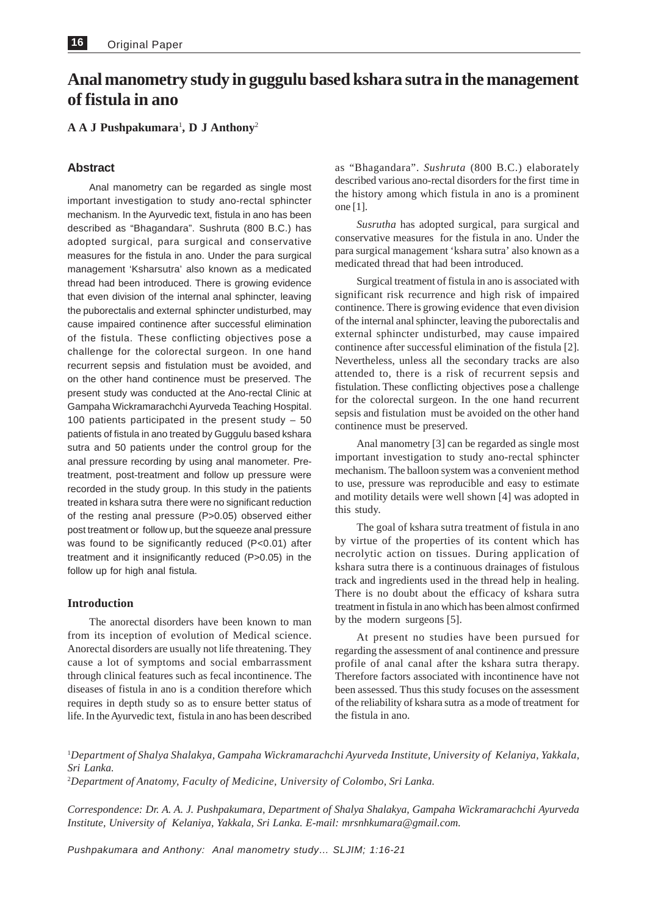# **Anal manometry study in guggulu based kshara sutra in the management of fistula in ano**

# **A A J Pushpakumara**<sup>1</sup> **, D J Anthony**<sup>2</sup>

# **Abstract**

Anal manometry can be regarded as single most important investigation to study ano-rectal sphincter mechanism. In the Ayurvedic text, fistula in ano has been described as "Bhagandara". Sushruta (800 B.C.) has adopted surgical, para surgical and conservative measures for the fistula in ano. Under the para surgical management 'Ksharsutra' also known as a medicated thread had been introduced. There is growing evidence that even division of the internal anal sphincter, leaving the puborectalis and external sphincter undisturbed, may cause impaired continence after successful elimination of the fistula. These conflicting objectives pose a challenge for the colorectal surgeon. In one hand recurrent sepsis and fistulation must be avoided, and on the other hand continence must be preserved. The present study was conducted at the Ano-rectal Clinic at Gampaha Wickramarachchi Ayurveda Teaching Hospital. 100 patients participated in the present study – 50 patients of fistula in ano treated by Guggulu based kshara sutra and 50 patients under the control group for the anal pressure recording by using anal manometer. Pretreatment, post-treatment and follow up pressure were recorded in the study group. In this study in the patients treated in kshara sutra there were no significant reduction of the resting anal pressure (P>0.05) observed either post treatment or follow up, but the squeeze anal pressure was found to be significantly reduced (P<0.01) after treatment and it insignificantly reduced (P>0.05) in the follow up for high anal fistula.

# **Introduction**

The anorectal disorders have been known to man from its inception of evolution of Medical science. Anorectal disorders are usually not life threatening. They cause a lot of symptoms and social embarrassment through clinical features such as fecal incontinence. The diseases of fistula in ano is a condition therefore which requires in depth study so as to ensure better status of life. In the Ayurvedic text, fistula in ano has been described

as "Bhagandara". *Sushruta* (800 B.C.) elaborately described various ano-rectal disorders for the first time in the history among which fistula in ano is a prominent one [1].

*Susrutha* has adopted surgical, para surgical and conservative measures for the fistula in ano. Under the para surgical management 'kshara sutra' also known as a medicated thread that had been introduced.

Surgical treatment of fistula in ano is associated with significant risk recurrence and high risk of impaired continence. There is growing evidence that even division of the internal anal sphincter, leaving the puborectalis and external sphincter undisturbed, may cause impaired continence after successful elimination of the fistula [2]. Nevertheless, unless all the secondary tracks are also attended to, there is a risk of recurrent sepsis and fistulation. These conflicting objectives pose a challenge for the colorectal surgeon. In the one hand recurrent sepsis and fistulation must be avoided on the other hand continence must be preserved.

Anal manometry [3] can be regarded as single most important investigation to study ano-rectal sphincter mechanism. The balloon system was a convenient method to use, pressure was reproducible and easy to estimate and motility details were well shown [4] was adopted in this study.

The goal of kshara sutra treatment of fistula in ano by virtue of the properties of its content which has necrolytic action on tissues. During application of kshara sutra there is a continuous drainages of fistulous track and ingredients used in the thread help in healing. There is no doubt about the efficacy of kshara sutra treatment in fistula in ano which has been almost confirmed by the modern surgeons [5].

At present no studies have been pursued for regarding the assessment of anal continence and pressure profile of anal canal after the kshara sutra therapy. Therefore factors associated with incontinence have not been assessed. Thus this study focuses on the assessment of the reliability of kshara sutra as a mode of treatment for the fistula in ano.

1 *Department of Shalya Shalakya, Gampaha Wickramarachchi Ayurveda Institute, University of Kelaniya, Yakkala, Sri Lanka.*

2 *Department of Anatomy, Faculty of Medicine, University of Colombo, Sri Lanka.*

*Correspondence: Dr. A. A. J. Pushpakumara, Department of Shalya Shalakya, Gampaha Wickramarachchi Ayurveda Institute, University of Kelaniya, Yakkala, Sri Lanka. E-mail: mrsnhkumara@gmail.com.*

*Pushpakumara and Anthony: Anal manometry study… SLJIM; 1:16-21*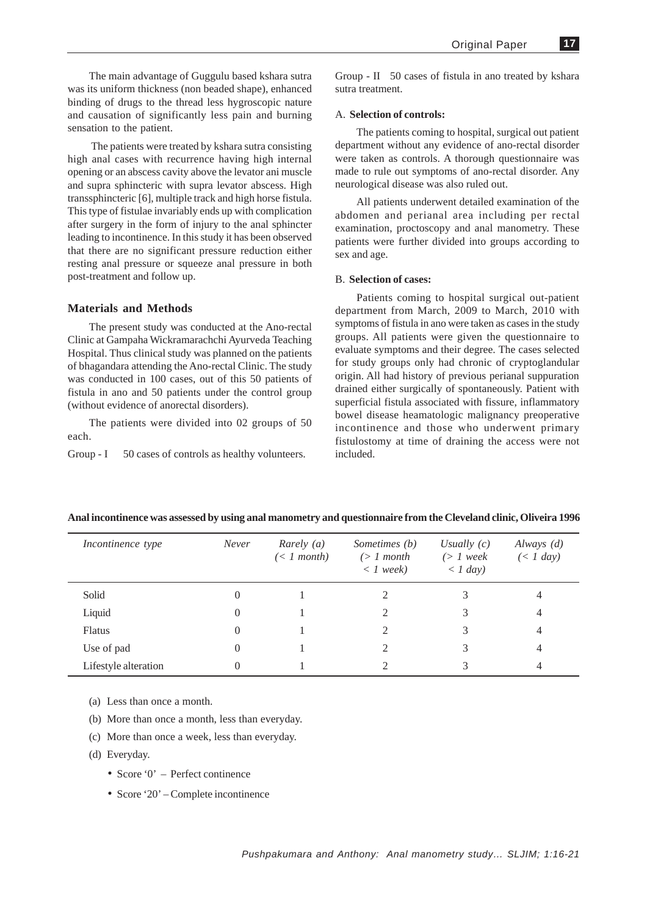The main advantage of Guggulu based kshara sutra was its uniform thickness (non beaded shape), enhanced binding of drugs to the thread less hygroscopic nature and causation of significantly less pain and burning sensation to the patient.

 The patients were treated by kshara sutra consisting high anal cases with recurrence having high internal opening or an abscess cavity above the levator ani muscle and supra sphincteric with supra levator abscess. High transsphincteric [6], multiple track and high horse fistula. This type of fistulae invariably ends up with complication after surgery in the form of injury to the anal sphincter leading to incontinence. In this study it has been observed that there are no significant pressure reduction either resting anal pressure or squeeze anal pressure in both post-treatment and follow up.

#### **Materials and Methods**

The present study was conducted at the Ano-rectal Clinic at Gampaha Wickramarachchi Ayurveda Teaching Hospital. Thus clinical study was planned on the patients of bhagandara attending the Ano-rectal Clinic. The study was conducted in 100 cases, out of this 50 patients of fistula in ano and 50 patients under the control group (without evidence of anorectal disorders).

The patients were divided into 02 groups of 50 each.

Group - I 50 cases of controls as healthy volunteers.

Group - II 50 cases of fistula in ano treated by kshara sutra treatment.

#### A. **Selection of controls:**

The patients coming to hospital, surgical out patient department without any evidence of ano-rectal disorder were taken as controls. A thorough questionnaire was made to rule out symptoms of ano-rectal disorder. Any neurological disease was also ruled out.

All patients underwent detailed examination of the abdomen and perianal area including per rectal examination, proctoscopy and anal manometry. These patients were further divided into groups according to sex and age.

#### B. **Selection of cases:**

Patients coming to hospital surgical out-patient department from March, 2009 to March, 2010 with symptoms of fistula in ano were taken as cases in the study groups. All patients were given the questionnaire to evaluate symptoms and their degree. The cases selected for study groups only had chronic of cryptoglandular origin. All had history of previous perianal suppuration drained either surgically of spontaneously. Patient with superficial fistula associated with fissure, inflammatory bowel disease heamatologic malignancy preoperative incontinence and those who underwent primary fistulostomy at time of draining the access were not included.

| Incontinence type    | Never    | Rarely $(a)$<br>$\left( < 1 \text{ month} \right)$ | Sometimes (b)<br>$\geq 1$ month<br>$\langle$ 1 week) | Usually $(c)$<br>$(> 1$ week<br>$\langle$ 1 day) | Always $(d)$<br>(< I day) |
|----------------------|----------|----------------------------------------------------|------------------------------------------------------|--------------------------------------------------|---------------------------|
| Solid                | $\theta$ |                                                    |                                                      | 3                                                |                           |
| Liquid               | 0        |                                                    |                                                      |                                                  |                           |
| <b>Flatus</b>        | 0        |                                                    | $\mathfrak{D}$                                       | 3                                                |                           |
| Use of pad           | 0        |                                                    |                                                      |                                                  | 4                         |
| Lifestyle alteration | 0        |                                                    | ◠                                                    | 3                                                |                           |

# **Anal incontinence was assessed by using anal manometry and questionnaire from the Cleveland clinic, Oliveira 1996**

(a) Less than once a month.

- (b) More than once a month, less than everyday.
- (c) More than once a week, less than everyday.
- (d) Everyday.
	- Score '0' Perfect continence
	- Score '20' Complete incontinence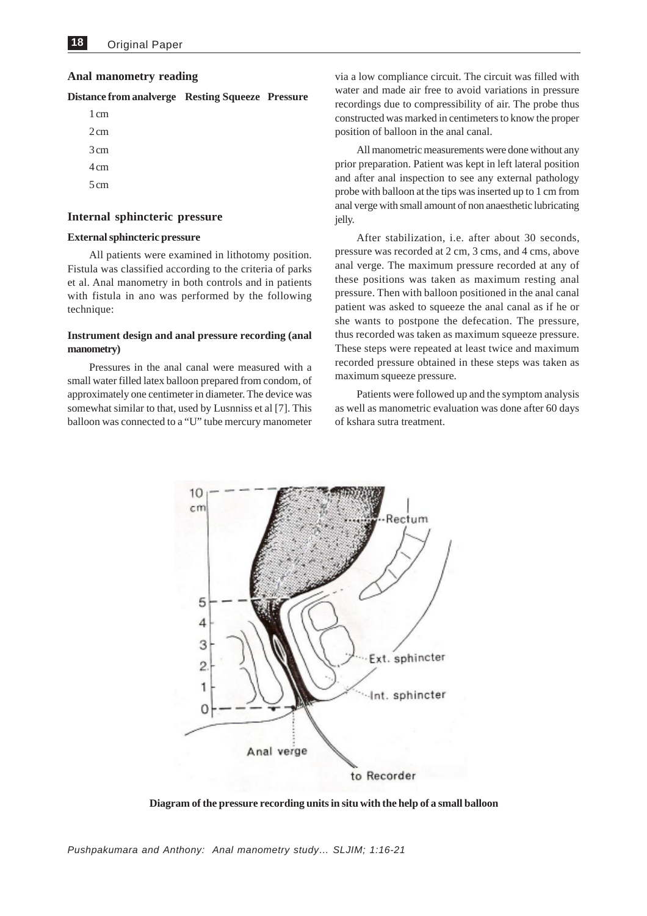# **Anal manometry reading**

| Distance from analverge Resting Squeeze Pressure |  |
|--------------------------------------------------|--|
|                                                  |  |

| 1 cm           |  |
|----------------|--|
| 2 cm           |  |
| 3 cm           |  |
| 4 cm           |  |
| $5 \text{ cm}$ |  |

# **Internal sphincteric pressure**

#### **External sphincteric pressure**

All patients were examined in lithotomy position. Fistula was classified according to the criteria of parks et al. Anal manometry in both controls and in patients with fistula in ano was performed by the following technique:

#### **Instrument design and anal pressure recording (anal manometry)**

Pressures in the anal canal were measured with a small water filled latex balloon prepared from condom, of approximately one centimeter in diameter. The device was somewhat similar to that, used by Lusnniss et al [7]. This balloon was connected to a "U" tube mercury manometer

via a low compliance circuit. The circuit was filled with water and made air free to avoid variations in pressure recordings due to compressibility of air. The probe thus constructed was marked in centimeters to know the proper position of balloon in the anal canal.

All manometric measurements were done without any prior preparation. Patient was kept in left lateral position and after anal inspection to see any external pathology probe with balloon at the tips was inserted up to 1 cm from anal verge with small amount of non anaesthetic lubricating jelly.

After stabilization, i.e. after about 30 seconds, pressure was recorded at 2 cm, 3 cms, and 4 cms, above anal verge. The maximum pressure recorded at any of these positions was taken as maximum resting anal pressure. Then with balloon positioned in the anal canal patient was asked to squeeze the anal canal as if he or she wants to postpone the defecation. The pressure, thus recorded was taken as maximum squeeze pressure. These steps were repeated at least twice and maximum recorded pressure obtained in these steps was taken as maximum squeeze pressure.

Patients were followed up and the symptom analysis as well as manometric evaluation was done after 60 days of kshara sutra treatment.



**Diagram of the pressure recording units in situ with the help of a small balloon**

*Pushpakumara and Anthony: Anal manometry study… SLJIM; 1:16-21*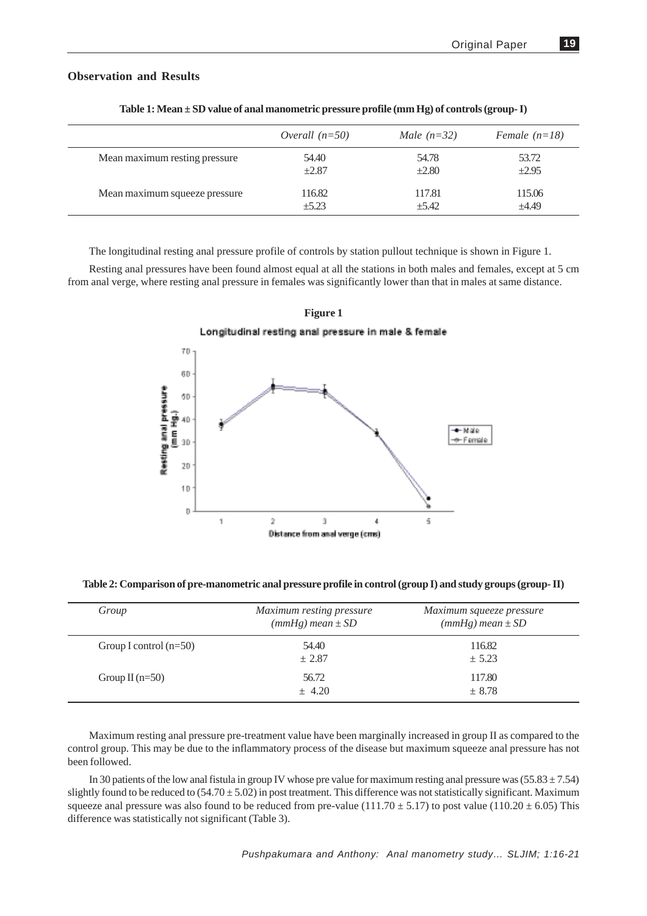# **Observation and Results**

|                               | Overall $(n=50)$ | Male $(n=32)$ | Female $(n=18)$ |
|-------------------------------|------------------|---------------|-----------------|
| Mean maximum resting pressure | 54.40            | 54.78         | 53.72           |
|                               | $\pm 2.87$       | $\pm 2.80$    | $\pm 2.95$      |
| Mean maximum squeeze pressure | 116.82           | 117.81        | 115.06          |
|                               | $\pm 5.23$       | $\pm 5.42$    | $\pm 4.49$      |

**Table 1: Mean ± SD value of anal manometric pressure profile (mm Hg) of controls (group- I)**

The longitudinal resting anal pressure profile of controls by station pullout technique is shown in Figure 1.

Resting anal pressures have been found almost equal at all the stations in both males and females, except at 5 cm from anal verge, where resting anal pressure in females was significantly lower than that in males at same distance.



**Table 2: Comparison of pre-manometric anal pressure profile in control (group I) and study groups (group- II)**

| Group                    | Maximum resting pressure<br>$(mmHg)$ mean $\pm SD$ | Maximum squeeze pressure<br>$(mmHg)$ mean $\pm SD$ |
|--------------------------|----------------------------------------------------|----------------------------------------------------|
| Group I control $(n=50)$ | 54.40<br>± 2.87                                    | 116.82<br>± 5.23                                   |
| Group II $(n=50)$        | 56.72<br>± 4.20                                    | 117.80<br>± 8.78                                   |

Maximum resting anal pressure pre-treatment value have been marginally increased in group II as compared to the control group. This may be due to the inflammatory process of the disease but maximum squeeze anal pressure has not been followed.

In 30 patients of the low anal fistula in group IV whose pre value for maximum resting anal pressure was  $(55.83 \pm 7.54)$ slightly found to be reduced to  $(54.70 \pm 5.02)$  in post treatment. This difference was not statistically significant. Maximum squeeze anal pressure was also found to be reduced from pre-value (111.70  $\pm$  5.17) to post value (110.20  $\pm$  6.05) This difference was statistically not significant (Table 3).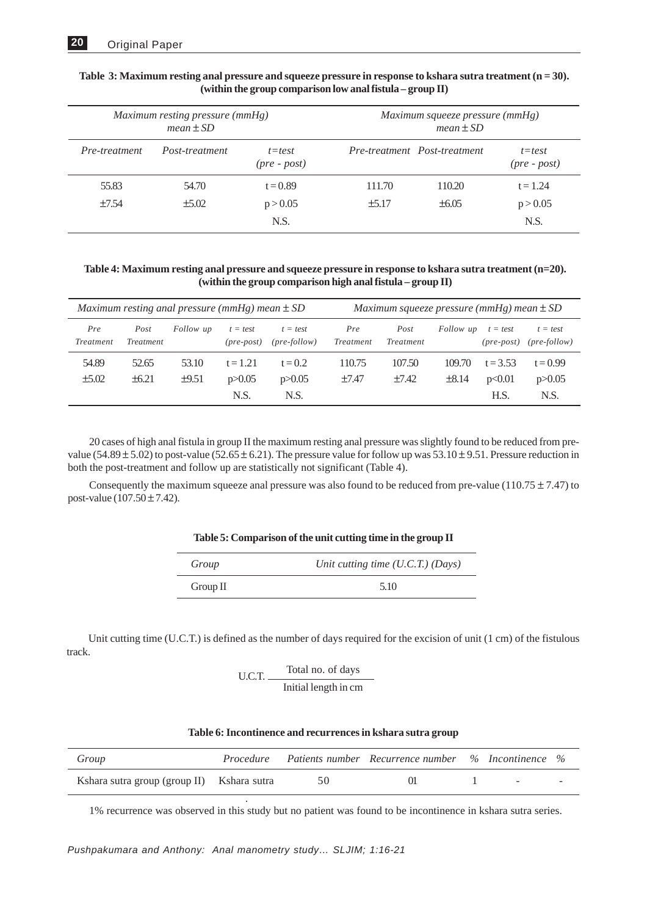| Maximum resting pressure (mmHg)<br>$mean \pm SD$ |                |                              | Maximum squeeze pressure (mmHg)<br>$mean \pm SD$ |                              |                              |
|--------------------------------------------------|----------------|------------------------------|--------------------------------------------------|------------------------------|------------------------------|
| Pre-treatment                                    | Post-treatment | $t = test$<br>$(pre - post)$ |                                                  | Pre-treatment Post-treatment | $t = test$<br>$(pre - post)$ |
| 55.83                                            | 54.70          | $t = 0.89$                   | 111.70                                           | 110.20                       | $t = 1.24$                   |
| ±7.54                                            | $\pm$ 5.02     | p > 0.05                     | ±5.17                                            | $\pm 6.05$                   | p > 0.05                     |
|                                                  |                | N.S.                         |                                                  |                              | N.S.                         |

# **Table 3: Maximum resting anal pressure and squeeze pressure in response to kshara sutra treatment (n = 30). (within the group comparison low anal fistula – group II)**

**Table 4: Maximum resting anal pressure and squeeze pressure in response to kshara sutra treatment (n=20). (within the group comparison high anal fistula – group II)**

|                         |                          | Maximum resting anal pressure (mmHg) mean $\pm$ SD |                            |                                     |                  | Maximum squeeze pressure (mmHg) mean $\pm$ SD |            |                                   |                                     |
|-------------------------|--------------------------|----------------------------------------------------|----------------------------|-------------------------------------|------------------|-----------------------------------------------|------------|-----------------------------------|-------------------------------------|
| Pre<br><b>Treatment</b> | Post<br><i>Treatment</i> | Follow up                                          | $t = test$<br>$(pre-post)$ | $t = test$<br>$(\text{pre-foldow})$ | Pre<br>Treatment | Post<br>Treatment                             | Follow up  | $t = test$<br>$(\text{pre-post})$ | $t = test$<br>$(\text{pre-foldow})$ |
| 54.89                   | 52.65                    | 53.10                                              | $t = 1.21$                 | $t = 0.2$                           | 110.75           | 107.50                                        | 109.70     | $t = 3.53$                        | $t = 0.99$                          |
| $\pm$ 5.02              | ±6.21                    | $\pm 9.51$                                         | p > 0.05                   | p > 0.05                            | $\pm 7.47$       | ±7.42                                         | $\pm 8.14$ | p<0.01                            | p > 0.05                            |
|                         |                          |                                                    | N.S.                       | N.S.                                |                  |                                               |            | H.S.                              | N.S.                                |

20 cases of high anal fistula in group II the maximum resting anal pressure was slightly found to be reduced from prevalue  $(54.89 \pm 5.02)$  to post-value  $(52.65 \pm 6.21)$ . The pressure value for follow up was  $53.10 \pm 9.51$ . Pressure reduction in both the post-treatment and follow up are statistically not significant (Table 4).

Consequently the maximum squeeze anal pressure was also found to be reduced from pre-value (110.75  $\pm$  7.47) to post-value  $(107.50 \pm 7.42)$ .

| Group       | Unit cutting time $(U.C.T.)$ (Days) |
|-------------|-------------------------------------|
| Group $\Pi$ | 5.10                                |

Unit cutting time (U.C.T.) is defined as the number of days required for the excision of unit (1 cm) of the fistulous track.

Total no. of days Initial length in cm U.C.T.

| Table 6: Incontinence and recurrences in kshara sutra group |  |  |  |  |  |
|-------------------------------------------------------------|--|--|--|--|--|
|-------------------------------------------------------------|--|--|--|--|--|

| Group                                      |    | Procedure Patients number Recurrence number % Incontinence % |                            |  |
|--------------------------------------------|----|--------------------------------------------------------------|----------------------------|--|
| Kshara sutra group (group II) Kshara sutra | 50 |                                                              | and the state of the state |  |

1% recurrence was observed in this study but no patient was found to be incontinence in kshara sutra series.

.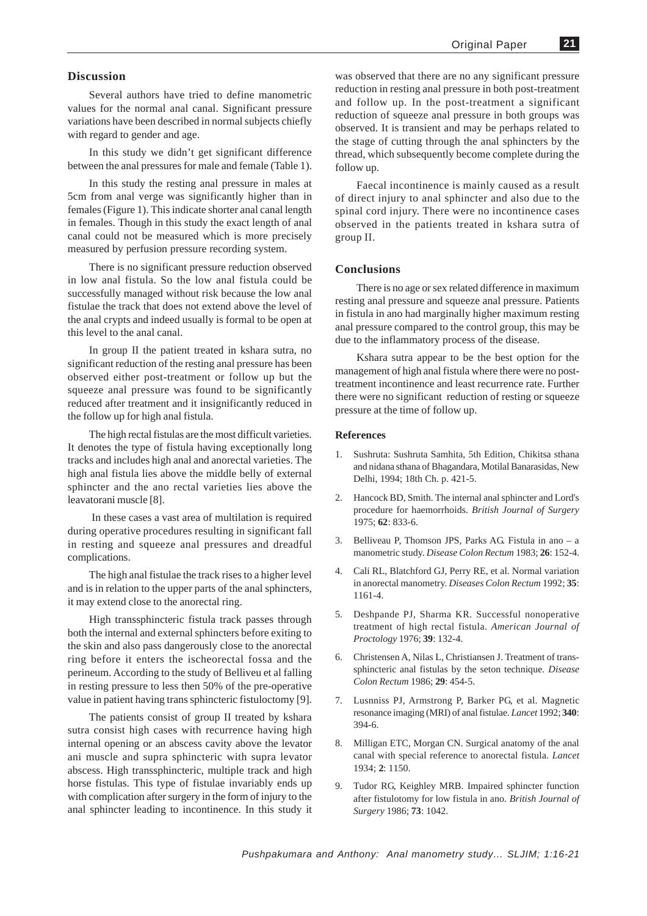#### **Discussion**

Several authors have tried to define manometric values for the normal anal canal. Significant pressure variations have been described in normal subjects chiefly with regard to gender and age.

In this study we didn't get significant difference between the anal pressures for male and female (Table 1).

In this study the resting anal pressure in males at 5cm from anal verge was significantly higher than in females (Figure 1). This indicate shorter anal canal length in females. Though in this study the exact length of anal canal could not be measured which is more precisely measured by perfusion pressure recording system.

There is no significant pressure reduction observed in low anal fistula. So the low anal fistula could be successfully managed without risk because the low anal fistulae the track that does not extend above the level of the anal crypts and indeed usually is formal to be open at this level to the anal canal.

In group II the patient treated in kshara sutra, no significant reduction of the resting anal pressure has been observed either post-treatment or follow up but the squeeze anal pressure was found to be significantly reduced after treatment and it insignificantly reduced in the follow up for high anal fistula.

The high rectal fistulas are the most difficult varieties. It denotes the type of fistula having exceptionally long tracks and includes high anal and anorectal varieties. The high anal fistula lies above the middle belly of external sphincter and the ano rectal varieties lies above the leavatorani muscle [8].

 In these cases a vast area of multilation is required during operative procedures resulting in significant fall in resting and squeeze anal pressures and dreadful complications.

The high anal fistulae the track rises to a higher level and is in relation to the upper parts of the anal sphincters, it may extend close to the anorectal ring.

High transsphincteric fistula track passes through both the internal and external sphincters before exiting to the skin and also pass dangerously close to the anorectal ring before it enters the ischeorectal fossa and the perineum. According to the study of Belliveu et al falling in resting pressure to less then 50% of the pre-operative value in patient having trans sphincteric fistuloctomy [9].

The patients consist of group II treated by kshara sutra consist high cases with recurrence having high internal opening or an abscess cavity above the levator ani muscle and supra sphincteric with supra levator abscess. High transsphincteric, multiple track and high horse fistulas. This type of fistulae invariably ends up with complication after surgery in the form of injury to the anal sphincter leading to incontinence. In this study it

was observed that there are no any significant pressure reduction in resting anal pressure in both post-treatment and follow up. In the post-treatment a significant reduction of squeeze anal pressure in both groups was observed. It is transient and may be perhaps related to the stage of cutting through the anal sphincters by the thread, which subsequently become complete during the follow up.

Faecal incontinence is mainly caused as a result of direct injury to anal sphincter and also due to the spinal cord injury. There were no incontinence cases observed in the patients treated in kshara sutra of group II.

#### **Conclusions**

There is no age or sex related difference in maximum resting anal pressure and squeeze anal pressure. Patients in fistula in ano had marginally higher maximum resting anal pressure compared to the control group, this may be due to the inflammatory process of the disease.

Kshara sutra appear to be the best option for the management of high anal fistula where there were no posttreatment incontinence and least recurrence rate. Further there were no significant reduction of resting or squeeze pressure at the time of follow up.

#### **References**

- 1. Sushruta: Sushruta Samhita, 5th Edition, Chikitsa sthana and nidana sthana of Bhagandara, Motilal Banarasidas, New Delhi, 1994; 18th Ch. p. 421-5.
- 2. Hancock BD, Smith. The internal anal sphincter and Lord's procedure for haemorrhoids. *British Journal of Surgery* 1975; **62**: 833-6.
- 3. Belliveau P, Thomson JPS, Parks AG. Fistula in ano a manometric study. *Disease Colon Rectum* 1983; **26**: 152-4.
- 4. Cali RL, Blatchford GJ, Perry RE, et al. Normal variation in anorectal manometry. *Diseases Colon Rectum* 1992; **35**: 1161-4.
- 5. Deshpande PJ, Sharma KR. Successful nonoperative treatment of high rectal fistula. *American Journal of Proctology* 1976; **39**: 132-4.
- 6. Christensen A, Nilas L, Christiansen J. Treatment of transsphincteric anal fistulas by the seton technique. *Disease Colon Rectum* 1986; **29**: 454-5.
- 7. Lusnniss PJ, Armstrong P, Barker PG, et al. Magnetic resonance imaging (MRI) of anal fistulae. *Lancet* 1992; **340**: 394-6.
- 8. Milligan ETC, Morgan CN. Surgical anatomy of the anal canal with special reference to anorectal fistula. *Lancet* 1934; **2**: 1150.
- 9. Tudor RG, Keighley MRB. Impaired sphincter function after fistulotomy for low fistula in ano. *British Journal of Surgery* 1986; **73**: 1042.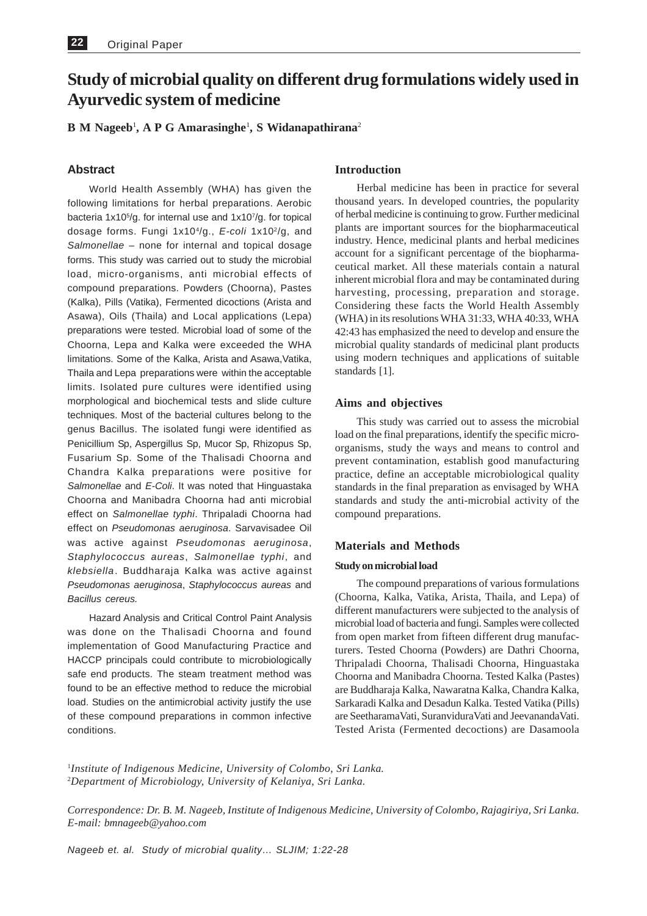# **Study of microbial quality on different drug formulations widely used in Ayurvedic system of medicine**

**B M Nageeb**<sup>1</sup> **, A P G Amarasinghe**<sup>1</sup> **, S Widanapathirana**<sup>2</sup>

# **Abstract**

World Health Assembly (WHA) has given the following limitations for herbal preparations. Aerobic bacteria 1x10<sup>5</sup>/g. for internal use and 1x10<sup>7</sup>/g. for topical dosage forms. Fungi 1x10<sup>4</sup>/g., *E-coli* 1x10<sup>2</sup>/g, and *Salmonellae* – none for internal and topical dosage forms. This study was carried out to study the microbial load, micro-organisms, anti microbial effects of compound preparations. Powders (Choorna), Pastes (Kalka), Pills (Vatika), Fermented dicoctions (Arista and Asawa), Oils (Thaila) and Local applications (Lepa) preparations were tested. Microbial load of some of the Choorna, Lepa and Kalka were exceeded the WHA limitations. Some of the Kalka, Arista and Asawa,Vatika, Thaila and Lepa preparations were within the acceptable limits. Isolated pure cultures were identified using morphological and biochemical tests and slide culture techniques. Most of the bacterial cultures belong to the genus Bacillus. The isolated fungi were identified as Penicillium Sp, Aspergillus Sp, Mucor Sp, Rhizopus Sp, Fusarium Sp. Some of the Thalisadi Choorna and Chandra Kalka preparations were positive for *Salmonellae* and *E-Coli*. It was noted that Hinguastaka Choorna and Manibadra Choorna had anti microbial effect on *Salmonellae typhi*. Thripaladi Choorna had effect on *Pseudomonas aeruginosa*. Sarvavisadee Oil was active against *Pseudomonas aeruginosa*, *Staphylococcus aureas*, *Salmonellae typhi*, and *klebsiella*. Buddharaja Kalka was active against *Pseudomonas aeruginosa*, *Staphylococcus aureas* and *Bacillus cereus.*

Hazard Analysis and Critical Control Paint Analysis was done on the Thalisadi Choorna and found implementation of Good Manufacturing Practice and HACCP principals could contribute to microbiologically safe end products. The steam treatment method was found to be an effective method to reduce the microbial load. Studies on the antimicrobial activity justify the use of these compound preparations in common infective conditions.

# **Introduction**

Herbal medicine has been in practice for several thousand years. In developed countries, the popularity of herbal medicine is continuing to grow. Further medicinal plants are important sources for the biopharmaceutical industry. Hence, medicinal plants and herbal medicines account for a significant percentage of the biopharmaceutical market. All these materials contain a natural inherent microbial flora and may be contaminated during harvesting, processing, preparation and storage. Considering these facts the World Health Assembly (WHA) in its resolutions WHA 31:33, WHA 40:33, WHA 42:43 has emphasized the need to develop and ensure the microbial quality standards of medicinal plant products using modern techniques and applications of suitable standards [1].

#### **Aims and objectives**

This study was carried out to assess the microbial load on the final preparations, identify the specific microorganisms, study the ways and means to control and prevent contamination, establish good manufacturing practice, define an acceptable microbiological quality standards in the final preparation as envisaged by WHA standards and study the anti-microbial activity of the compound preparations.

# **Materials and Methods**

#### **Study on microbial load**

The compound preparations of various formulations (Choorna, Kalka, Vatika, Arista, Thaila, and Lepa) of different manufacturers were subjected to the analysis of microbial load of bacteria and fungi. Samples were collected from open market from fifteen different drug manufacturers. Tested Choorna (Powders) are Dathri Choorna, Thripaladi Choorna, Thalisadi Choorna, Hinguastaka Choorna and Manibadra Choorna. Tested Kalka (Pastes) are Buddharaja Kalka, Nawaratna Kalka, Chandra Kalka, Sarkaradi Kalka and Desadun Kalka. Tested Vatika (Pills) are SeetharamaVati, SuranviduraVati and JeevanandaVati. Tested Arista (Fermented decoctions) are Dasamoola

1 *Institute of Indigenous Medicine, University of Colombo, Sri Lanka.* 2 *Department of Microbiology, University of Kelaniya, Sri Lanka.*

*Correspondence: Dr. B. M. Nageeb, Institute of Indigenous Medicine, University of Colombo, Rajagiriya, Sri Lanka. E-mail: bmnageeb@yahoo.com*

*Nageeb et. al. Study of microbial quality… SLJIM; 1:22-28*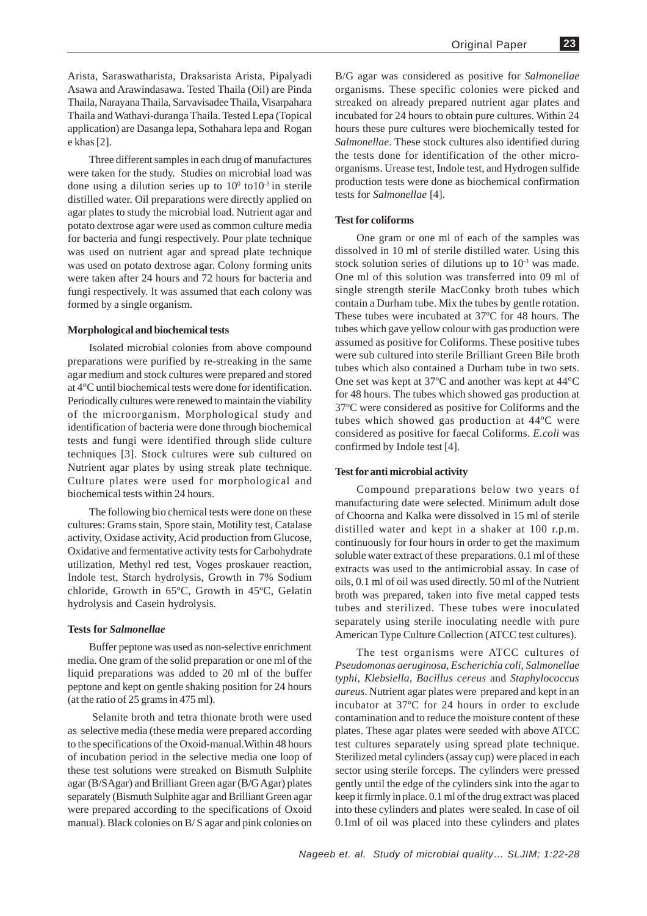Arista, Saraswatharista, Draksarista Arista, Pipalyadi Asawa and Arawindasawa. Tested Thaila (Oil) are Pinda Thaila, Narayana Thaila, Sarvavisadee Thaila, Visarpahara Thaila and Wathavi-duranga Thaila. Tested Lepa (Topical application) are Dasanga lepa, Sothahara lepa and Rogan e khas [2].

Three different samples in each drug of manufactures were taken for the study. Studies on microbial load was done using a dilution series up to  $10^{\circ}$  to  $10^{\circ}$  in sterile distilled water. Oil preparations were directly applied on agar plates to study the microbial load. Nutrient agar and potato dextrose agar were used as common culture media for bacteria and fungi respectively. Pour plate technique was used on nutrient agar and spread plate technique was used on potato dextrose agar. Colony forming units were taken after 24 hours and 72 hours for bacteria and fungi respectively. It was assumed that each colony was formed by a single organism.

#### **Morphological and biochemical tests**

Isolated microbial colonies from above compound preparations were purified by re-streaking in the same agar medium and stock cultures were prepared and stored at 4°C until biochemical tests were done for identification. Periodically cultures were renewed to maintain the viability of the microorganism. Morphological study and identification of bacteria were done through biochemical tests and fungi were identified through slide culture techniques [3]. Stock cultures were sub cultured on Nutrient agar plates by using streak plate technique. Culture plates were used for morphological and biochemical tests within 24 hours.

The following bio chemical tests were done on these cultures: Grams stain, Spore stain, Motility test, Catalase activity, Oxidase activity, Acid production from Glucose, Oxidative and fermentative activity tests for Carbohydrate utilization, Methyl red test, Voges proskauer reaction, Indole test, Starch hydrolysis, Growth in 7% Sodium chloride, Growth in 65ºC, Growth in 45ºC, Gelatin hydrolysis and Casein hydrolysis.

#### **Tests for** *Salmonellae*

Buffer peptone was used as non-selective enrichment media. One gram of the solid preparation or one ml of the liquid preparations was added to 20 ml of the buffer peptone and kept on gentle shaking position for 24 hours (at the ratio of 25 grams in 475 ml).

 Selanite broth and tetra thionate broth were used as selective media (these media were prepared according to the specifications of the Oxoid-manual.Within 48 hours of incubation period in the selective media one loop of these test solutions were streaked on Bismuth Sulphite agar (B/SAgar) and Brilliant Green agar (B/G Agar) plates separately (Bismuth Sulphite agar and Brilliant Green agar were prepared according to the specifications of Oxoid manual). Black colonies on B/ S agar and pink colonies on

B/G agar was considered as positive for *Salmonellae* organisms. These specific colonies were picked and streaked on already prepared nutrient agar plates and incubated for 24 hours to obtain pure cultures. Within 24 hours these pure cultures were biochemically tested for *Salmonellae*. These stock cultures also identified during the tests done for identification of the other microorganisms. Urease test, Indole test, and Hydrogen sulfide production tests were done as biochemical confirmation tests for *Salmonellae* [4].

#### **Test for coliforms**

One gram or one ml of each of the samples was dissolved in 10 ml of sterile distilled water. Using this stock solution series of dilutions up to  $10^{-3}$  was made. One ml of this solution was transferred into 09 ml of single strength sterile MacConky broth tubes which contain a Durham tube. Mix the tubes by gentle rotation. These tubes were incubated at 37ºC for 48 hours. The tubes which gave yellow colour with gas production were assumed as positive for Coliforms. These positive tubes were sub cultured into sterile Brilliant Green Bile broth tubes which also contained a Durham tube in two sets. One set was kept at 37ºC and another was kept at 44°C for 48 hours. The tubes which showed gas production at 37ºC were considered as positive for Coliforms and the tubes which showed gas production at 44ºC were considered as positive for faecal Coliforms. *E.coli* was confirmed by Indole test [4].

#### **Test for anti microbial activity**

Compound preparations below two years of manufacturing date were selected. Minimum adult dose of Choorna and Kalka were dissolved in 15 ml of sterile distilled water and kept in a shaker at 100 r.p.m. continuously for four hours in order to get the maximum soluble water extract of these preparations. 0.1 ml of these extracts was used to the antimicrobial assay. In case of oils, 0.1 ml of oil was used directly. 50 ml of the Nutrient broth was prepared, taken into five metal capped tests tubes and sterilized. These tubes were inoculated separately using sterile inoculating needle with pure American Type Culture Collection (ATCC test cultures).

The test organisms were ATCC cultures of *Pseudomonas aeruginosa, Escherichia coli, Salmonellae typhi, Klebsiella, Bacillus cereus* and *Staphylococcus aureus*. Nutrient agar plates were prepared and kept in an incubator at 37ºC for 24 hours in order to exclude contamination and to reduce the moisture content of these plates. These agar plates were seeded with above ATCC test cultures separately using spread plate technique. Sterilized metal cylinders (assay cup) were placed in each sector using sterile forceps. The cylinders were pressed gently until the edge of the cylinders sink into the agar to keep it firmly in place. 0.1 ml of the drug extract was placed into these cylinders and plates were sealed. In case of oil 0.1ml of oil was placed into these cylinders and plates

*Nageeb et. al. Study of microbial quality… SLJIM; 1:22-28*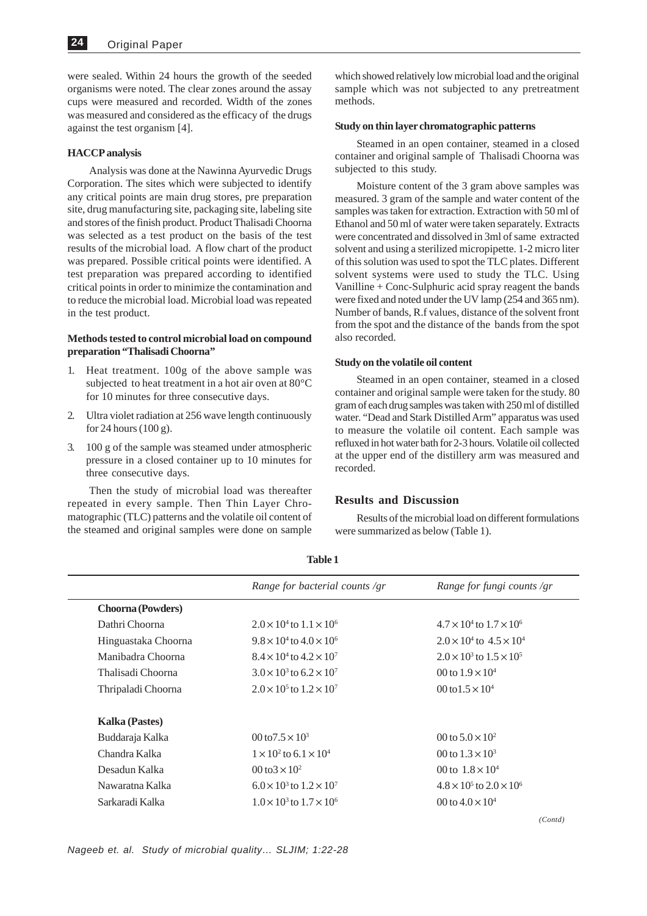were sealed. Within 24 hours the growth of the seeded organisms were noted. The clear zones around the assay cups were measured and recorded. Width of the zones was measured and considered as the efficacy of the drugs against the test organism [4].

#### **HACCP analysis**

Analysis was done at the Nawinna Ayurvedic Drugs Corporation. The sites which were subjected to identify any critical points are main drug stores, pre preparation site, drug manufacturing site, packaging site, labeling site and stores of the finish product. Product Thalisadi Choorna was selected as a test product on the basis of the test results of the microbial load. A flow chart of the product was prepared. Possible critical points were identified. A test preparation was prepared according to identified critical points in order to minimize the contamination and to reduce the microbial load. Microbial load was repeated in the test product.

#### **Methods tested to control microbial load on compound preparation "Thalisadi Choorna"**

- 1. Heat treatment. 100g of the above sample was subjected to heat treatment in a hot air oven at 80°C for 10 minutes for three consecutive days.
- 2. Ultra violet radiation at 256 wave length continuously for 24 hours (100 g).
- 3. 100 g of the sample was steamed under atmospheric pressure in a closed container up to 10 minutes for three consecutive days.

Then the study of microbial load was thereafter repeated in every sample. Then Thin Layer Chromatographic (TLC) patterns and the volatile oil content of the steamed and original samples were done on sample

which showed relatively low microbial load and the original sample which was not subjected to any pretreatment methods.

#### **Study on thin layer chromatographic patterns**

Steamed in an open container, steamed in a closed container and original sample of Thalisadi Choorna was subjected to this study.

Moisture content of the 3 gram above samples was measured. 3 gram of the sample and water content of the samples was taken for extraction. Extraction with 50 ml of Ethanol and 50 ml of water were taken separately. Extracts were concentrated and dissolved in 3ml of same extracted solvent and using a sterilized micropipette. 1-2 micro liter of this solution was used to spot the TLC plates. Different solvent systems were used to study the TLC. Using Vanilline + Conc-Sulphuric acid spray reagent the bands were fixed and noted under the UV lamp (254 and 365 nm). Number of bands, R.f values, distance of the solvent front from the spot and the distance of the bands from the spot also recorded.

#### **Study on the volatile oil content**

Steamed in an open container, steamed in a closed container and original sample were taken for the study. 80 gram of each drug samples was taken with 250 ml of distilled water. "Dead and Stark Distilled Arm" apparatus was used to measure the volatile oil content. Each sample was refluxed in hot water bath for 2-3 hours. Volatile oil collected at the upper end of the distillery arm was measured and recorded.

# **Results and Discussion**

Results of the microbial load on different formulations were summarized as below (Table 1).

|                          | Range for bacterial counts /gr         | Range for fungi counts /gr             |
|--------------------------|----------------------------------------|----------------------------------------|
| <b>Choorna</b> (Powders) |                                        |                                        |
| Dathri Choorna           | $2.0 \times 10^4$ to $1.1 \times 10^6$ | $4.7 \times 10^4$ to $1.7 \times 10^6$ |
| Hinguastaka Choorna      | $9.8 \times 10^4$ to $4.0 \times 10^6$ | $2.0 \times 10^4$ to $4.5 \times 10^4$ |
| Manibadra Choorna        | $8.4 \times 10^4$ to $4.2 \times 10^7$ | $2.0 \times 10^3$ to $1.5 \times 10^5$ |
| Thalisadi Choorna        | $3.0 \times 10^3$ to 6.2 $\times 10^7$ | 00 to $1.9 \times 10^4$                |
| Thripaladi Choorna       | $2.0 \times 10^5$ to $1.2 \times 10^7$ | 00 to $1.5 \times 10^4$                |
| <b>Kalka</b> (Pastes)    |                                        |                                        |
| Buddaraja Kalka          | 00 to $7.5 \times 10^3$                | 00 to $5.0 \times 10^2$                |
| Chandra Kalka            | $1 \times 10^2$ to 6.1 $\times 10^4$   | 00 to $1.3 \times 10^3$                |
| Desadun Kalka            | 00 to $3 \times 10^{2}$                | 00 to $1.8 \times 10^4$                |
| Nawaratna Kalka          | $6.0 \times 10^3$ to $1.2 \times 10^7$ | $4.8 \times 10^5$ to $2.0 \times 10^6$ |
| Sarkaradi Kalka          | $1.0 \times 10^3$ to $1.7 \times 10^6$ | 00 to $4.0 \times 10^4$                |

#### **Table 1**

*(Contd)*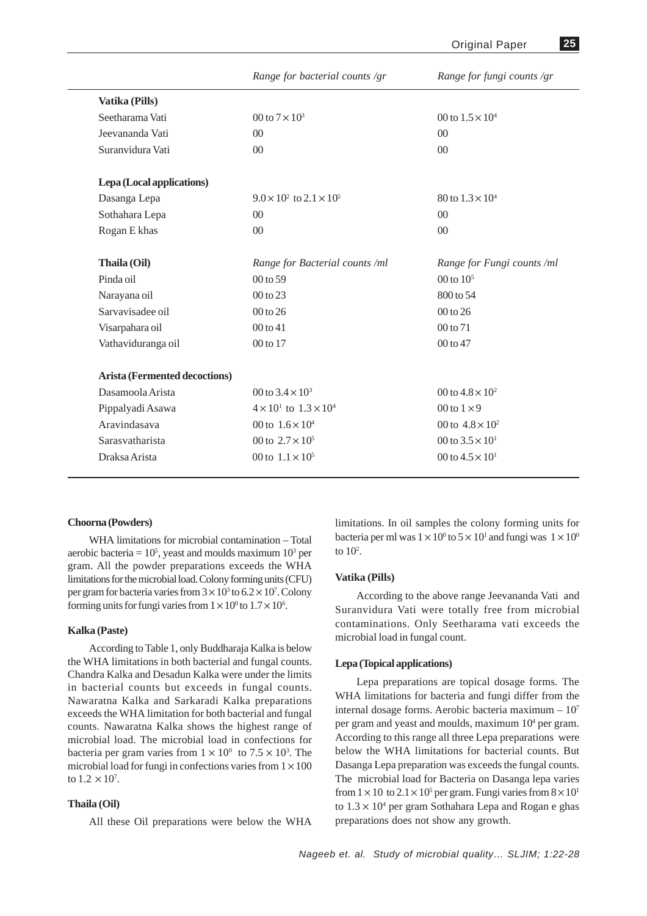|                               | Range for bacterial counts /gr           | Range for fungi counts /gr |
|-------------------------------|------------------------------------------|----------------------------|
| Vatika (Pills)                |                                          |                            |
| Seetharama Vati               | 00 to $7 \times 10^3$                    | 00 to $1.5 \times 10^4$    |
| Jeevananda Vati               | 0 <sup>0</sup>                           | 0 <sup>0</sup>             |
| Suranvidura Vati              | 0 <sup>0</sup>                           | 00 <sup>1</sup>            |
| Lepa (Local applications)     |                                          |                            |
| Dasanga Lepa                  | $9.0 \times 10^2$ to $2.1 \times 10^5$   | 80 to $1.3 \times 10^4$    |
| Sothahara Lepa                | $00\,$                                   | $00\,$                     |
| Rogan E khas                  | $00\,$                                   | 0 <sup>0</sup>             |
| Thaila (Oil)                  | Range for Bacterial counts /ml           | Range for Fungi counts /ml |
| Pinda oil                     | 00 to 59                                 | 00 to $105$                |
| Narayana oil                  | $00$ to 23                               | 800 to 54                  |
| Sarvavisadee oil              | $00$ to $26$                             | 00 to 26                   |
| Visarpahara oil               | $00 \text{ to } 41$                      | $00 \text{ to } 71$        |
| Vathaviduranga oil            | 00 to 17                                 | 00 to 47                   |
| Arista (Fermented decoctions) |                                          |                            |
| Dasamoola Arista              | 00 to $3.4 \times 10^3$                  | 00 to $4.8 \times 10^2$    |
| Pippalyadi Asawa              | $4 \times 10^{1}$ to $1.3 \times 10^{4}$ | 00 to $1 \times 9$         |
| Aravindasava                  | 00 to $1.6 \times 10^4$                  | 00 to $4.8 \times 10^2$    |
| Sarasvatharista               | 00 to $2.7 \times 10^5$                  | 00 to $3.5 \times 10^{1}$  |
| Draksa Arista                 | 00 to $1.1 \times 10^5$                  | 00 to $4.5 \times 10^{1}$  |

#### **Choorna (Powders)**

WHA limitations for microbial contamination – Total aerobic bacteria =  $10^5$ , yeast and moulds maximum  $10^3$  per gram. All the powder preparations exceeds the WHA limitations for the microbial load. Colony forming units (CFU) per gram for bacteria varies from  $3 \times 10^3$  to  $6.2 \times 10^7$ . Colony forming units for fungi varies from  $1 \times 10^6$  to  $1.7 \times 10^6$ .

#### **Kalka (Paste)**

According to Table 1, only Buddharaja Kalka is below the WHA limitations in both bacterial and fungal counts. Chandra Kalka and Desadun Kalka were under the limits in bacterial counts but exceeds in fungal counts. Nawaratna Kalka and Sarkaradi Kalka preparations exceeds the WHA limitation for both bacterial and fungal counts. Nawaratna Kalka shows the highest range of microbial load. The microbial load in confections for bacteria per gram varies from  $1 \times 10^0$  to  $7.5 \times 10^3$ . The microbial load for fungi in confections varies from  $1 \times 100$ to  $1.2 \times 10^7$ .

# **Thaila (Oil)**

All these Oil preparations were below the WHA

limitations. In oil samples the colony forming units for bacteria per ml was  $1 \times 10^0$  to  $5 \times 10^1$  and fungi was  $1 \times 10^0$ to  $10^2$ .

#### **Vatika (Pills)**

According to the above range Jeevananda Vati and Suranvidura Vati were totally free from microbial contaminations. Only Seetharama vati exceeds the microbial load in fungal count.

#### **Lepa (Topical applications)**

Lepa preparations are topical dosage forms. The WHA limitations for bacteria and fungi differ from the internal dosage forms. Aerobic bacteria maximum – 107 per gram and yeast and moulds, maximum 104 per gram. According to this range all three Lepa preparations were below the WHA limitations for bacterial counts. But Dasanga Lepa preparation was exceeds the fungal counts. The microbial load for Bacteria on Dasanga lepa varies from  $1 \times 10$  to  $2.1 \times 10^5$  per gram. Fungi varies from  $8 \times 10^1$ to  $1.3 \times 10^4$  per gram Sothahara Lepa and Rogan e ghas preparations does not show any growth.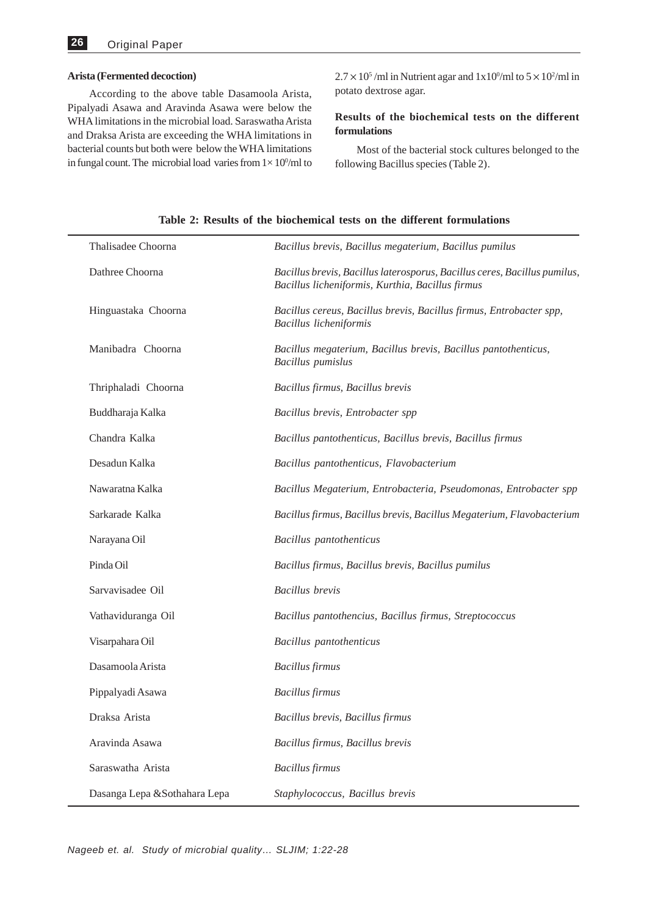#### **Arista (Fermented decoction)**

According to the above table Dasamoola Arista, Pipalyadi Asawa and Aravinda Asawa were below the WHA limitations in the microbial load. Saraswatha Arista and Draksa Arista are exceeding the WHA limitations in bacterial counts but both were below the WHA limitations in fungal count. The microbial load varies from  $1 \times 10^0$ /ml to

 $2.7 \times 10^5$ /ml in Nutrient agar and  $1 \times 10^0$ /ml to  $5 \times 10^2$ /ml in potato dextrose agar.

# **Results of the biochemical tests on the different formulations**

Most of the bacterial stock cultures belonged to the following Bacillus species (Table 2).

| Thalisadee Choorna           | Bacillus brevis, Bacillus megaterium, Bacillus pumilus                                                                        |
|------------------------------|-------------------------------------------------------------------------------------------------------------------------------|
| Dathree Choorna              | Bacillus brevis, Bacillus laterosporus, Bacillus ceres, Bacillus pumilus,<br>Bacillus licheniformis, Kurthia, Bacillus firmus |
| Hinguastaka Choorna          | Bacillus cereus, Bacillus brevis, Bacillus firmus, Entrobacter spp,<br>Bacillus licheniformis                                 |
| Manibadra Choorna            | Bacillus megaterium, Bacillus brevis, Bacillus pantothenticus,<br><b>Bacillus</b> pumislus                                    |
| Thriphaladi Choorna          | Bacillus firmus, Bacillus brevis                                                                                              |
| Buddharaja Kalka             | Bacillus brevis, Entrobacter spp                                                                                              |
| Chandra Kalka                | Bacillus pantothenticus, Bacillus brevis, Bacillus firmus                                                                     |
| Desadun Kalka                | Bacillus pantothenticus, Flavobacterium                                                                                       |
| Nawaratna Kalka              | Bacillus Megaterium, Entrobacteria, Pseudomonas, Entrobacter spp                                                              |
| Sarkarade Kalka              | Bacillus firmus, Bacillus brevis, Bacillus Megaterium, Flavobacterium                                                         |
| Narayana Oil                 | Bacillus pantothenticus                                                                                                       |
| Pinda Oil                    | Bacillus firmus, Bacillus brevis, Bacillus pumilus                                                                            |
| Sarvavisadee Oil             | <b>Bacillus</b> brevis                                                                                                        |
| Vathaviduranga Oil           | Bacillus pantothencius, Bacillus firmus, Streptococcus                                                                        |
| Visarpahara Oil              | Bacillus pantothenticus                                                                                                       |
| Dasamoola Arista             | <b>Bacillus</b> firmus                                                                                                        |
| Pippalyadi Asawa             | <b>Bacillus</b> firmus                                                                                                        |
| Draksa Arista                | Bacillus brevis, Bacillus firmus                                                                                              |
| Aravinda Asawa               | Bacillus firmus, Bacillus brevis                                                                                              |
| Saraswatha Arista            | <b>Bacillus</b> firmus                                                                                                        |
| Dasanga Lepa &Sothahara Lepa | Staphylococcus, Bacillus brevis                                                                                               |

**Table 2: Results of the biochemical tests on the different formulations**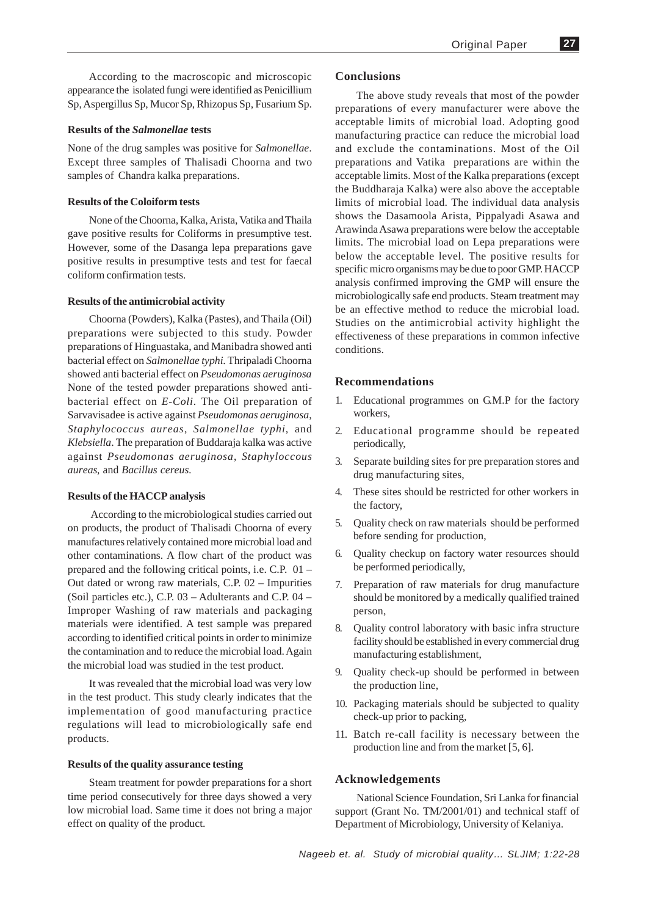According to the macroscopic and microscopic appearance the isolated fungi were identified as Penicillium Sp, Aspergillus Sp, Mucor Sp, Rhizopus Sp, Fusarium Sp.

#### **Results of the** *Salmonellae* **tests**

None of the drug samples was positive for *Salmonellae*. Except three samples of Thalisadi Choorna and two samples of Chandra kalka preparations.

#### **Results of the Coloiform tests**

None of the Choorna, Kalka, Arista, Vatika and Thaila gave positive results for Coliforms in presumptive test. However, some of the Dasanga lepa preparations gave positive results in presumptive tests and test for faecal coliform confirmation tests.

#### **Results of the antimicrobial activity**

Choorna (Powders), Kalka (Pastes), and Thaila (Oil) preparations were subjected to this study. Powder preparations of Hinguastaka, and Manibadra showed anti bacterial effect on *Salmonellae typhi*. Thripaladi Choorna showed anti bacterial effect on *Pseudomonas aeruginosa* None of the tested powder preparations showed antibacterial effect on *E-Coli*. The Oil preparation of Sarvavisadee is active against *Pseudomonas aeruginosa*, *Staphylococcus aureas*, *Salmonellae typhi*, and *Klebsiella*. The preparation of Buddaraja kalka was active against *Pseudomonas aeruginosa*, *Staphyloccous aureas*, and *Bacillus cereus.*

#### **Results of the HACCP analysis**

 According to the microbiological studies carried out on products, the product of Thalisadi Choorna of every manufactures relatively contained more microbial load and other contaminations. A flow chart of the product was prepared and the following critical points, i.e. C.P. 01 – Out dated or wrong raw materials, C.P. 02 – Impurities (Soil particles etc.), C.P. 03 – Adulterants and C.P. 04 – Improper Washing of raw materials and packaging materials were identified. A test sample was prepared according to identified critical points in order to minimize the contamination and to reduce the microbial load. Again the microbial load was studied in the test product.

It was revealed that the microbial load was very low in the test product. This study clearly indicates that the implementation of good manufacturing practice regulations will lead to microbiologically safe end products.

#### **Results of the quality assurance testing**

Steam treatment for powder preparations for a short time period consecutively for three days showed a very low microbial load. Same time it does not bring a major effect on quality of the product.

### **Conclusions**

The above study reveals that most of the powder preparations of every manufacturer were above the acceptable limits of microbial load. Adopting good manufacturing practice can reduce the microbial load and exclude the contaminations. Most of the Oil preparations and Vatika preparations are within the acceptable limits. Most of the Kalka preparations (except the Buddharaja Kalka) were also above the acceptable limits of microbial load. The individual data analysis shows the Dasamoola Arista, Pippalyadi Asawa and Arawinda Asawa preparations were below the acceptable limits. The microbial load on Lepa preparations were below the acceptable level. The positive results for specific micro organisms may be due to poor GMP. HACCP analysis confirmed improving the GMP will ensure the microbiologically safe end products. Steam treatment may be an effective method to reduce the microbial load. Studies on the antimicrobial activity highlight the effectiveness of these preparations in common infective conditions.

# **Recommendations**

- 1. Educational programmes on G.M.P for the factory workers,
- 2. Educational programme should be repeated periodically,
- 3. Separate building sites for pre preparation stores and drug manufacturing sites,
- 4. These sites should be restricted for other workers in the factory,
- 5. Quality check on raw materials should be performed before sending for production,
- 6. Quality checkup on factory water resources should be performed periodically,
- 7. Preparation of raw materials for drug manufacture should be monitored by a medically qualified trained person,
- 8. Quality control laboratory with basic infra structure facility should be established in every commercial drug manufacturing establishment,
- 9. Quality check-up should be performed in between the production line,
- 10. Packaging materials should be subjected to quality check-up prior to packing,
- 11. Batch re-call facility is necessary between the production line and from the market [5, 6].

### **Acknowledgements**

National Science Foundation, Sri Lanka for financial support (Grant No. TM/2001/01) and technical staff of Department of Microbiology, University of Kelaniya.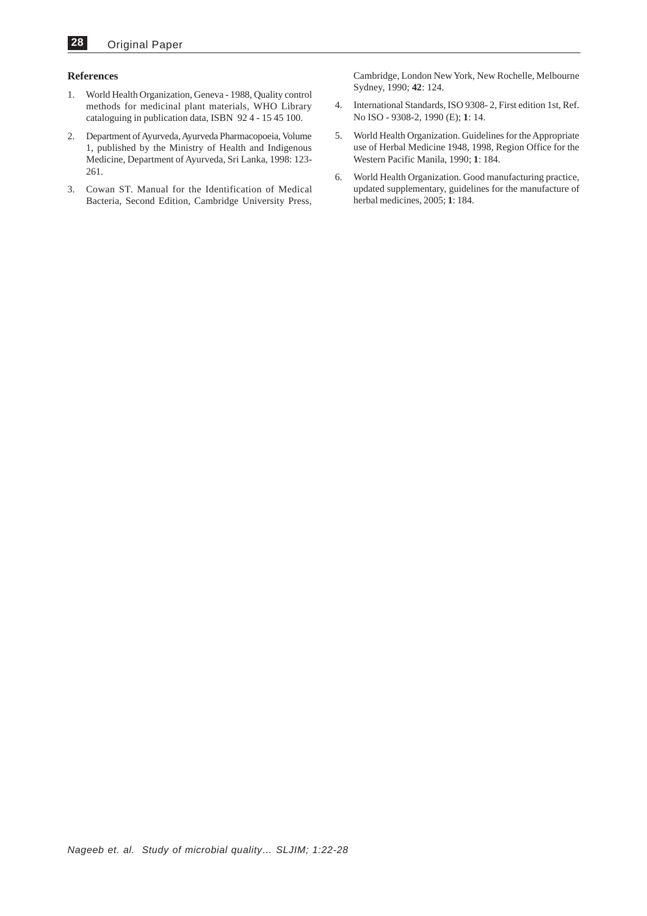# **References**

- 1. World Health Organization, Geneva 1988, Quality control methods for medicinal plant materials, WHO Library cataloguing in publication data, ISBN 92 4 - 15 45 100.
- 2. Department of Ayurveda, Ayurveda Pharmacopoeia, Volume 1, published by the Ministry of Health and Indigenous Medicine, Department of Ayurveda, Sri Lanka, 1998: 123- 261.
- 3. Cowan ST. Manual for the Identification of Medical Bacteria, Second Edition, Cambridge University Press,

Cambridge, London New York, New Rochelle, Melbourne Sydney, 1990; **42**: 124.

- 4. International Standards, ISO 9308- 2, First edition 1st, Ref. No ISO - 9308-2, 1990 (E); **1**: 14.
- 5. World Health Organization. Guidelines for the Appropriate use of Herbal Medicine 1948, 1998, Region Office for the Western Pacific Manila, 1990; **1**: 184.
- 6. World Health Organization. Good manufacturing practice, updated supplementary, guidelines for the manufacture of herbal medicines, 2005; **1**: 184.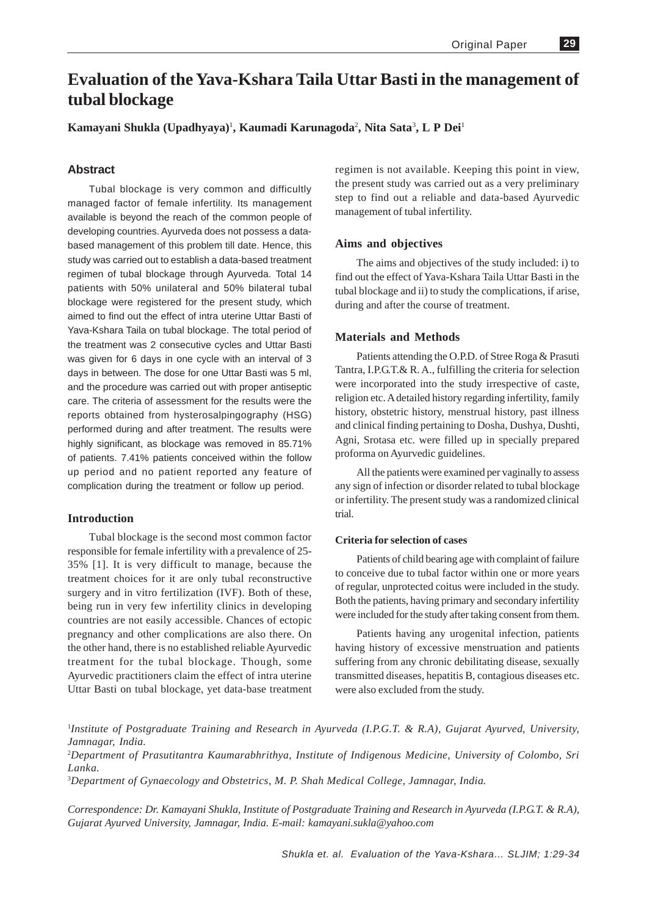# **Evaluation of the Yava-Kshara Taila Uttar Basti in the management of tubal blockage**

**Kamayani Shukla (Upadhyaya)**<sup>1</sup> **, Kaumadi Karunagoda**<sup>2</sup> **, Nita Sata**<sup>3</sup> **, L P Dei**<sup>1</sup>

# **Abstract**

Tubal blockage is very common and difficultly managed factor of female infertility. Its management available is beyond the reach of the common people of developing countries. Ayurveda does not possess a databased management of this problem till date. Hence, this study was carried out to establish a data-based treatment regimen of tubal blockage through Ayurveda. Total 14 patients with 50% unilateral and 50% bilateral tubal blockage were registered for the present study, which aimed to find out the effect of intra uterine Uttar Basti of Yava-Kshara Taila on tubal blockage. The total period of the treatment was 2 consecutive cycles and Uttar Basti was given for 6 days in one cycle with an interval of 3 days in between. The dose for one Uttar Basti was 5 ml, and the procedure was carried out with proper antiseptic care. The criteria of assessment for the results were the reports obtained from hysterosalpingography (HSG) performed during and after treatment. The results were highly significant, as blockage was removed in 85.71% of patients. 7.41% patients conceived within the follow up period and no patient reported any feature of complication during the treatment or follow up period.

# **Introduction**

Tubal blockage is the second most common factor responsible for female infertility with a prevalence of 25- 35% [1]. It is very difficult to manage, because the treatment choices for it are only tubal reconstructive surgery and in vitro fertilization (IVF). Both of these, being run in very few infertility clinics in developing countries are not easily accessible. Chances of ectopic pregnancy and other complications are also there. On the other hand, there is no established reliable Ayurvedic treatment for the tubal blockage. Though, some Ayurvedic practitioners claim the effect of intra uterine Uttar Basti on tubal blockage, yet data-base treatment regimen is not available. Keeping this point in view, the present study was carried out as a very preliminary step to find out a reliable and data-based Ayurvedic management of tubal infertility.

### **Aims and objectives**

The aims and objectives of the study included: i) to find out the effect of Yava-Kshara Taila Uttar Basti in the tubal blockage and ii) to study the complications, if arise, during and after the course of treatment.

#### **Materials and Methods**

Patients attending the O.P.D. of Stree Roga & Prasuti Tantra, I.P.G.T.& R. A., fulfilling the criteria for selection were incorporated into the study irrespective of caste, religion etc. A detailed history regarding infertility, family history, obstetric history, menstrual history, past illness and clinical finding pertaining to Dosha, Dushya, Dushti, Agni, Srotasa etc. were filled up in specially prepared proforma on Ayurvedic guidelines.

All the patients were examined per vaginally to assess any sign of infection or disorder related to tubal blockage or infertility. The present study was a randomized clinical trial.

### **Criteria for selection of cases**

Patients of child bearing age with complaint of failure to conceive due to tubal factor within one or more years of regular, unprotected coitus were included in the study. Both the patients, having primary and secondary infertility were included for the study after taking consent from them.

Patients having any urogenital infection, patients having history of excessive menstruation and patients suffering from any chronic debilitating disease, sexually transmitted diseases, hepatitis B, contagious diseases etc. were also excluded from the study.

1 *Institute of Postgraduate Training and Research in Ayurveda (I.P.G.T. & R.A), Gujarat Ayurved, University, Jamnagar, India.*

2 *Department of Prasutitantra Kaumarabhrithya, Institute of Indigenous Medicine, University of Colombo, Sri Lanka.*

3 *Department of Gynaecology and Obstetrics, M. P. Shah Medical College, Jamnagar, India.*

*Correspondence: Dr. Kamayani Shukla, Institute of Postgraduate Training and Research in Ayurveda (I.P.G.T. & R.A), Gujarat Ayurved University, Jamnagar, India. E-mail: kamayani.sukla@yahoo.com*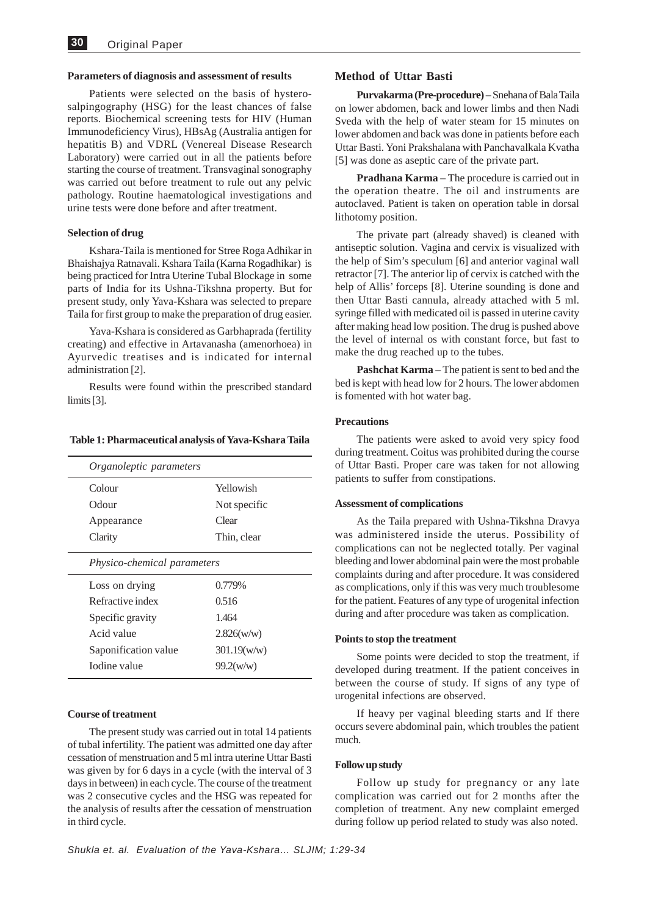#### **Parameters of diagnosis and assessment of results**

Patients were selected on the basis of hysterosalpingography (HSG) for the least chances of false reports. Biochemical screening tests for HIV (Human Immunodeficiency Virus), HBsAg (Australia antigen for hepatitis B) and VDRL (Venereal Disease Research Laboratory) were carried out in all the patients before starting the course of treatment. Transvaginal sonography was carried out before treatment to rule out any pelvic pathology. Routine haematological investigations and urine tests were done before and after treatment.

#### **Selection of drug**

Kshara-Taila is mentioned for Stree Roga Adhikar in Bhaishajya Ratnavali. Kshara Taila (Karna Rogadhikar) is being practiced for Intra Uterine Tubal Blockage in some parts of India for its Ushna-Tikshna property. But for present study, only Yava-Kshara was selected to prepare Taila for first group to make the preparation of drug easier.

Yava-Kshara is considered as Garbhaprada (fertility creating) and effective in Artavanasha (amenorhoea) in Ayurvedic treatises and is indicated for internal administration [2].

Results were found within the prescribed standard limits [3].

#### **Table 1: Pharmaceutical analysis of Yava-Kshara Taila**

| Organoleptic parameters            |              |
|------------------------------------|--------------|
| Colour                             | Yellowish    |
| Odour                              | Not specific |
| Appearance                         | Clear        |
| Clarity                            | Thin, clear  |
| <i>Physico-chemical parameters</i> |              |
| Loss on drying                     | 0.779%       |
| Refractive index                   | 0.516        |
| Specific gravity                   | 1.464        |
| Acid value                         | 2.826(w/w)   |
| Saponification value               | 301.19(w/w)  |
| Iodine value                       | 99.2(w/w)    |

#### **Course of treatment**

The present study was carried out in total 14 patients of tubal infertility. The patient was admitted one day after cessation of menstruation and 5 ml intra uterine Uttar Basti was given by for 6 days in a cycle (with the interval of 3 days in between) in each cycle. The course of the treatment was 2 consecutive cycles and the HSG was repeated for the analysis of results after the cessation of menstruation in third cycle.

#### **Method of Uttar Basti**

**Purvakarma (Pre-procedure)** – Snehana of Bala Taila on lower abdomen, back and lower limbs and then Nadi Sveda with the help of water steam for 15 minutes on lower abdomen and back was done in patients before each Uttar Basti. Yoni Prakshalana with Panchavalkala Kvatha [5] was done as aseptic care of the private part.

**Pradhana Karma** – The procedure is carried out in the operation theatre. The oil and instruments are autoclaved. Patient is taken on operation table in dorsal lithotomy position.

The private part (already shaved) is cleaned with antiseptic solution. Vagina and cervix is visualized with the help of Sim's speculum [6] and anterior vaginal wall retractor [7]. The anterior lip of cervix is catched with the help of Allis' forceps [8]. Uterine sounding is done and then Uttar Basti cannula, already attached with 5 ml. syringe filled with medicated oil is passed in uterine cavity after making head low position. The drug is pushed above the level of internal os with constant force, but fast to make the drug reached up to the tubes.

**Pashchat Karma** – The patient is sent to bed and the bed is kept with head low for 2 hours. The lower abdomen is fomented with hot water bag.

# **Precautions**

The patients were asked to avoid very spicy food during treatment. Coitus was prohibited during the course of Uttar Basti. Proper care was taken for not allowing patients to suffer from constipations.

#### **Assessment of complications**

As the Taila prepared with Ushna-Tikshna Dravya was administered inside the uterus. Possibility of complications can not be neglected totally. Per vaginal bleeding and lower abdominal pain were the most probable complaints during and after procedure. It was considered as complications, only if this was very much troublesome for the patient. Features of any type of urogenital infection during and after procedure was taken as complication.

#### **Points to stop the treatment**

Some points were decided to stop the treatment, if developed during treatment. If the patient conceives in between the course of study. If signs of any type of urogenital infections are observed.

If heavy per vaginal bleeding starts and If there occurs severe abdominal pain, which troubles the patient much.

#### **Follow up study**

Follow up study for pregnancy or any late complication was carried out for 2 months after the completion of treatment. Any new complaint emerged during follow up period related to study was also noted.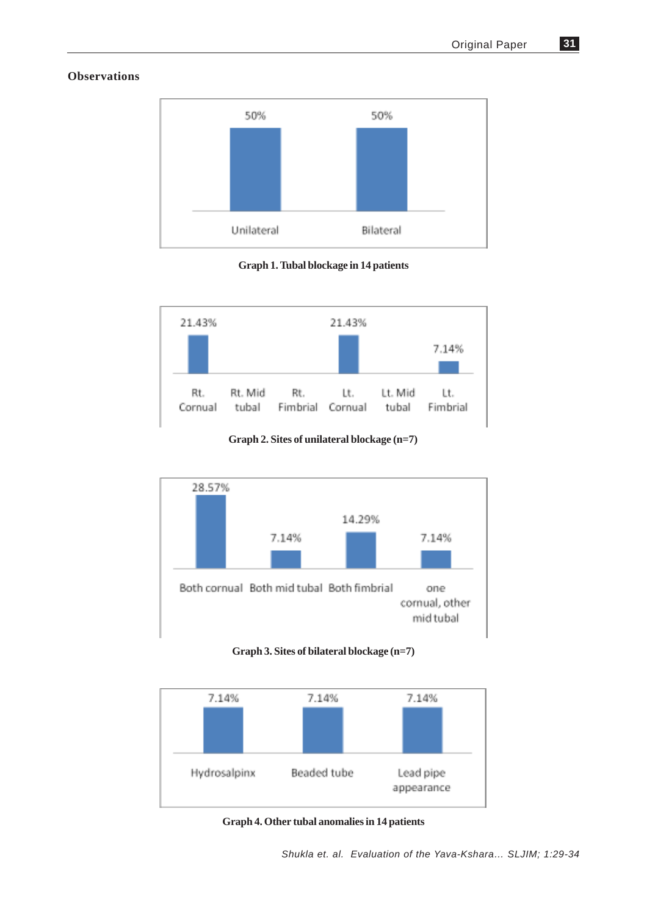# **Observations**



**Graph 1. Tubal blockage in 14 patients**



# **Graph 2. Sites of unilateral blockage (n=7)**



**Graph 3. Sites of bilateral blockage (n=7)**



**Graph 4. Other tubal anomalies in 14 patients**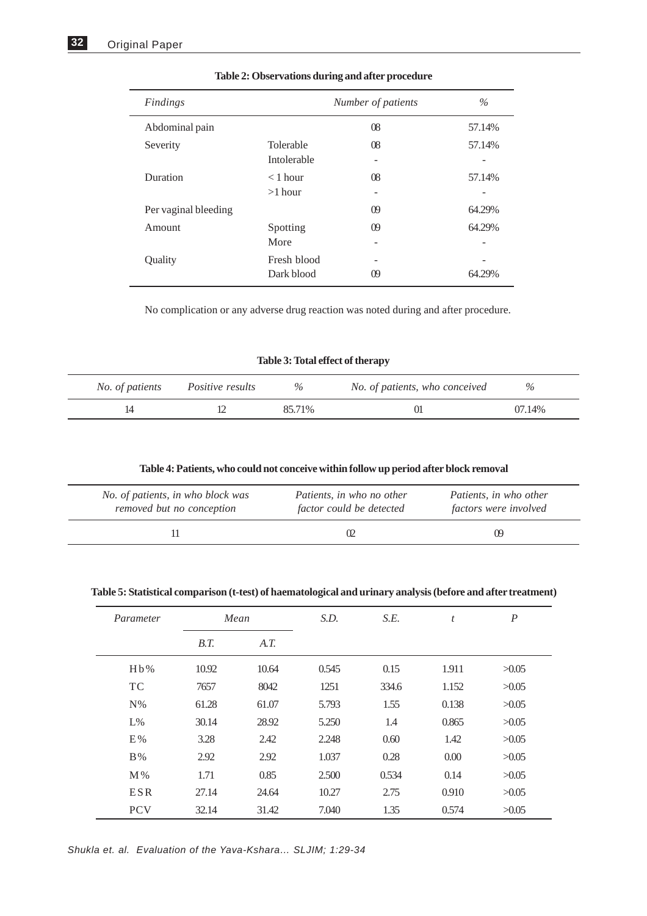| Findings             |             | Number of patients | $\%$   |
|----------------------|-------------|--------------------|--------|
| Abdominal pain       |             | 08                 | 57.14% |
| Severity             | Tolerable   | $\Omega$           | 57.14% |
|                      | Intolerable |                    |        |
| Duration             | $<$ 1 hour  | $\Omega$           | 57.14% |
|                      | $>1$ hour   |                    |        |
| Per vaginal bleeding |             | $\omega$           | 64.29% |
| Amount               | Spotting    | $\omega$           | 64.29% |
|                      | More        |                    |        |
| Quality              | Fresh blood |                    |        |
|                      | Dark blood  | 09                 | 64.29% |

No complication or any adverse drug reaction was noted during and after procedure.

# **Table 3: Total effect of therapy**

| No. of patients | <i>Positive results</i> | $\%$   | No. of patients, who conceived | $\%$   |
|-----------------|-------------------------|--------|--------------------------------|--------|
|                 |                         | 85.71% |                                | 07.14% |

| Table 4: Patients, who could not conceive within follow up period after block removal |  |  |
|---------------------------------------------------------------------------------------|--|--|
|                                                                                       |  |  |

| No. of patients, in who block was | Patients, in who no other | Patients, in who other       |
|-----------------------------------|---------------------------|------------------------------|
| removed but no conception         | factor could be detected  | <i>factors were involved</i> |
|                                   |                           |                              |

# **Table 5: Statistical comparison (t-test) of haematological and urinary analysis (before and after treatment)**

| Parameter      | Mean  |       | S.D.  | S.E.  | t     | $\boldsymbol{P}$ |
|----------------|-------|-------|-------|-------|-------|------------------|
|                | B.T.  | A.T.  |       |       |       |                  |
| Hb%            | 10.92 | 10.64 | 0.545 | 0.15  | 1.911 | >0.05            |
| <b>TC</b>      | 7657  | 8042  | 1251  | 334.6 | 1.152 | >0.05            |
| $\mathrm{N}\%$ | 61.28 | 61.07 | 5.793 | 1.55  | 0.138 | >0.05            |
| $L\%$          | 30.14 | 28.92 | 5.250 | 1.4   | 0.865 | >0.05            |
| E%             | 3.28  | 2.42  | 2.248 | 0.60  | 1.42  | >0.05            |
| B%             | 2.92  | 2.92  | 1.037 | 0.28  | 0.00  | >0.05            |
| $M\%$          | 1.71  | 0.85  | 2.500 | 0.534 | 0.14  | >0.05            |
| <b>ESR</b>     | 27.14 | 24.64 | 10.27 | 2.75  | 0.910 | >0.05            |
| <b>PCV</b>     | 32.14 | 31.42 | 7.040 | 1.35  | 0.574 | >0.05            |

*Shukla et. al. Evaluation of the Yava-Kshara… SLJIM; 1:29-34*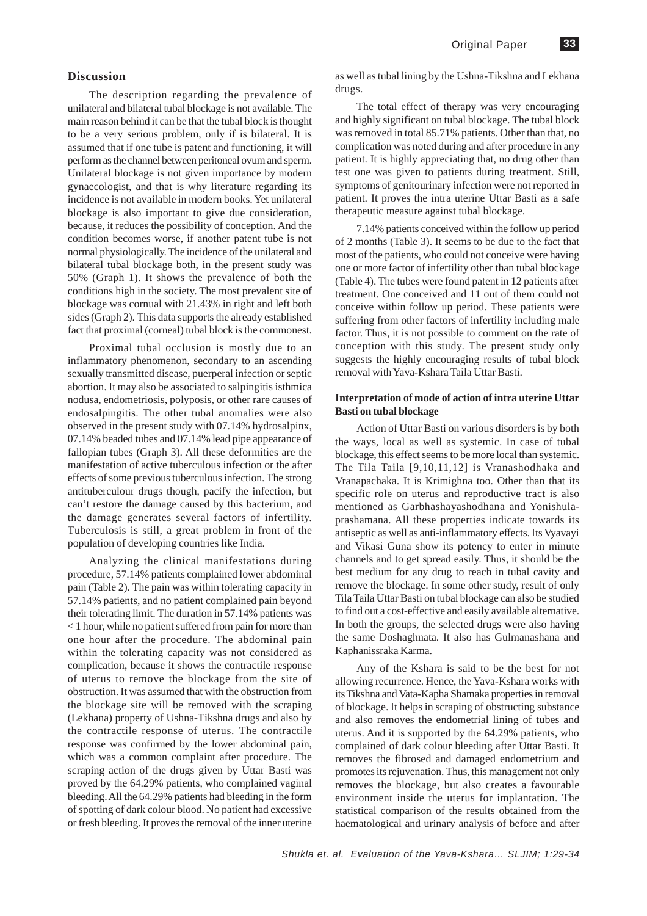#### **Discussion**

The description regarding the prevalence of unilateral and bilateral tubal blockage is not available. The main reason behind it can be that the tubal block is thought to be a very serious problem, only if is bilateral. It is assumed that if one tube is patent and functioning, it will perform as the channel between peritoneal ovum and sperm. Unilateral blockage is not given importance by modern gynaecologist, and that is why literature regarding its incidence is not available in modern books. Yet unilateral blockage is also important to give due consideration, because, it reduces the possibility of conception. And the condition becomes worse, if another patent tube is not normal physiologically. The incidence of the unilateral and bilateral tubal blockage both, in the present study was 50% (Graph 1). It shows the prevalence of both the conditions high in the society. The most prevalent site of blockage was cornual with 21.43% in right and left both sides (Graph 2). This data supports the already established fact that proximal (corneal) tubal block is the commonest.

Proximal tubal occlusion is mostly due to an inflammatory phenomenon, secondary to an ascending sexually transmitted disease, puerperal infection or septic abortion. It may also be associated to salpingitis isthmica nodusa, endometriosis, polyposis, or other rare causes of endosalpingitis. The other tubal anomalies were also observed in the present study with 07.14% hydrosalpinx, 07.14% beaded tubes and 07.14% lead pipe appearance of fallopian tubes (Graph 3). All these deformities are the manifestation of active tuberculous infection or the after effects of some previous tuberculous infection. The strong antituberculour drugs though, pacify the infection, but can't restore the damage caused by this bacterium, and the damage generates several factors of infertility. Tuberculosis is still, a great problem in front of the population of developing countries like India.

Analyzing the clinical manifestations during procedure, 57.14% patients complained lower abdominal pain (Table 2). The pain was within tolerating capacity in 57.14% patients, and no patient complained pain beyond their tolerating limit. The duration in 57.14% patients was < 1 hour, while no patient suffered from pain for more than one hour after the procedure. The abdominal pain within the tolerating capacity was not considered as complication, because it shows the contractile response of uterus to remove the blockage from the site of obstruction. It was assumed that with the obstruction from the blockage site will be removed with the scraping (Lekhana) property of Ushna-Tikshna drugs and also by the contractile response of uterus. The contractile response was confirmed by the lower abdominal pain, which was a common complaint after procedure. The scraping action of the drugs given by Uttar Basti was proved by the 64.29% patients, who complained vaginal bleeding. All the 64.29% patients had bleeding in the form of spotting of dark colour blood. No patient had excessive or fresh bleeding. It proves the removal of the inner uterine

as well as tubal lining by the Ushna-Tikshna and Lekhana drugs.

The total effect of therapy was very encouraging and highly significant on tubal blockage. The tubal block was removed in total 85.71% patients. Other than that, no complication was noted during and after procedure in any patient. It is highly appreciating that, no drug other than test one was given to patients during treatment. Still, symptoms of genitourinary infection were not reported in patient. It proves the intra uterine Uttar Basti as a safe therapeutic measure against tubal blockage.

7.14% patients conceived within the follow up period of 2 months (Table 3). It seems to be due to the fact that most of the patients, who could not conceive were having one or more factor of infertility other than tubal blockage (Table 4). The tubes were found patent in 12 patients after treatment. One conceived and 11 out of them could not conceive within follow up period. These patients were suffering from other factors of infertility including male factor. Thus, it is not possible to comment on the rate of conception with this study. The present study only suggests the highly encouraging results of tubal block removal with Yava-Kshara Taila Uttar Basti.

### **Interpretation of mode of action of intra uterine Uttar Basti on tubal blockage**

Action of Uttar Basti on various disorders is by both the ways, local as well as systemic. In case of tubal blockage, this effect seems to be more local than systemic. The Tila Taila [9,10,11,12] is Vranashodhaka and Vranapachaka. It is Krimighna too. Other than that its specific role on uterus and reproductive tract is also mentioned as Garbhashayashodhana and Yonishulaprashamana. All these properties indicate towards its antiseptic as well as anti-inflammatory effects. Its Vyavayi and Vikasi Guna show its potency to enter in minute channels and to get spread easily. Thus, it should be the best medium for any drug to reach in tubal cavity and remove the blockage. In some other study, result of only Tila Taila Uttar Basti on tubal blockage can also be studied to find out a cost-effective and easily available alternative. In both the groups, the selected drugs were also having the same Doshaghnata. It also has Gulmanashana and Kaphanissraka Karma.

Any of the Kshara is said to be the best for not allowing recurrence. Hence, the Yava-Kshara works with its Tikshna and Vata-Kapha Shamaka properties in removal of blockage. It helps in scraping of obstructing substance and also removes the endometrial lining of tubes and uterus. And it is supported by the 64.29% patients, who complained of dark colour bleeding after Uttar Basti. It removes the fibrosed and damaged endometrium and promotes its rejuvenation. Thus, this management not only removes the blockage, but also creates a favourable environment inside the uterus for implantation. The statistical comparison of the results obtained from the haematological and urinary analysis of before and after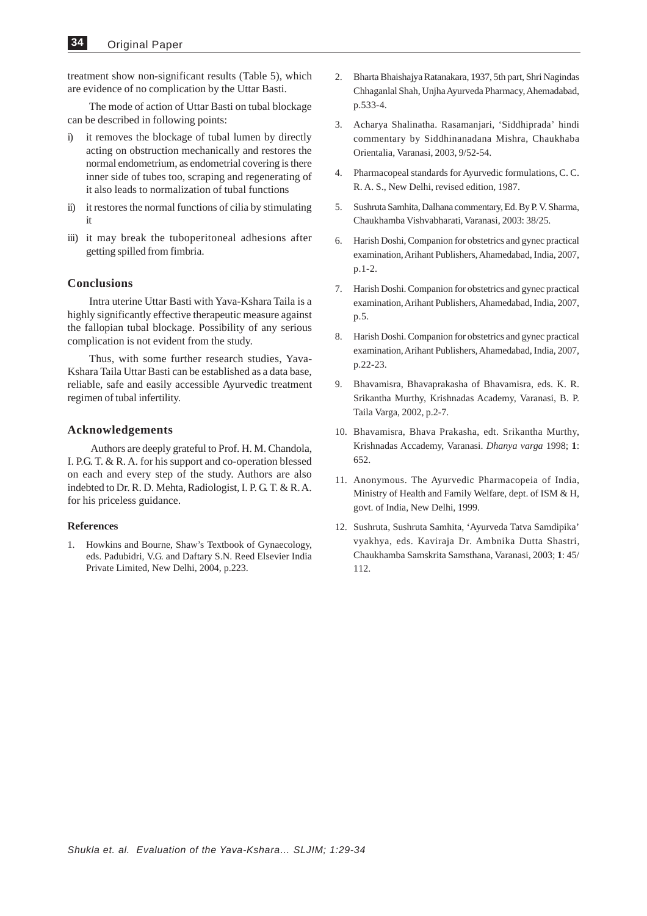treatment show non-significant results (Table 5), which are evidence of no complication by the Uttar Basti.

The mode of action of Uttar Basti on tubal blockage can be described in following points:

- i) it removes the blockage of tubal lumen by directly acting on obstruction mechanically and restores the normal endometrium, as endometrial covering is there inner side of tubes too, scraping and regenerating of it also leads to normalization of tubal functions
- ii) it restores the normal functions of cilia by stimulating it
- iii) it may break the tuboperitoneal adhesions after getting spilled from fimbria.

### **Conclusions**

Intra uterine Uttar Basti with Yava-Kshara Taila is a highly significantly effective therapeutic measure against the fallopian tubal blockage. Possibility of any serious complication is not evident from the study.

Thus, with some further research studies, Yava-Kshara Taila Uttar Basti can be established as a data base, reliable, safe and easily accessible Ayurvedic treatment regimen of tubal infertility.

#### **Acknowledgements**

 Authors are deeply grateful to Prof. H. M. Chandola, I. P.G. T. & R. A. for his support and co-operation blessed on each and every step of the study. Authors are also indebted to Dr. R. D. Mehta, Radiologist, I. P. G. T. & R. A. for his priceless guidance.

#### **References**

1. Howkins and Bourne, Shaw's Textbook of Gynaecology, eds. Padubidri, V.G. and Daftary S.N. Reed Elsevier India Private Limited, New Delhi, 2004, p.223.

- 2. Bharta Bhaishajya Ratanakara, 1937, 5th part, Shri Nagindas Chhaganlal Shah, Unjha Ayurveda Pharmacy, Ahemadabad, p.533-4.
- 3. Acharya Shalinatha. Rasamanjari, 'Siddhiprada' hindi commentary by Siddhinanadana Mishra, Chaukhaba Orientalia, Varanasi, 2003, 9/52-54.
- 4. Pharmacopeal standards for Ayurvedic formulations, C. C. R. A. S., New Delhi, revised edition, 1987.
- 5. Sushruta Samhita, Dalhana commentary, Ed. By P. V. Sharma, Chaukhamba Vishvabharati, Varanasi, 2003: 38/25.
- 6. Harish Doshi, Companion for obstetrics and gynec practical examination, Arihant Publishers, Ahamedabad, India, 2007, p.1-2.
- 7. Harish Doshi. Companion for obstetrics and gynec practical examination, Arihant Publishers, Ahamedabad, India, 2007, p.5.
- 8. Harish Doshi. Companion for obstetrics and gynec practical examination, Arihant Publishers, Ahamedabad, India, 2007, p.22-23.
- 9. Bhavamisra, Bhavaprakasha of Bhavamisra, eds. K. R. Srikantha Murthy, Krishnadas Academy, Varanasi, B. P. Taila Varga, 2002, p.2-7.
- 10. Bhavamisra, Bhava Prakasha, edt. Srikantha Murthy, Krishnadas Accademy, Varanasi. *Dhanya varga* 1998; **1**: 652.
- 11. Anonymous. The Ayurvedic Pharmacopeia of India, Ministry of Health and Family Welfare, dept. of ISM & H, govt. of India, New Delhi, 1999.
- 12. Sushruta, Sushruta Samhita, 'Ayurveda Tatva Samdipika' vyakhya, eds. Kaviraja Dr. Ambnika Dutta Shastri, Chaukhamba Samskrita Samsthana, Varanasi, 2003; **1**: 45/ 112.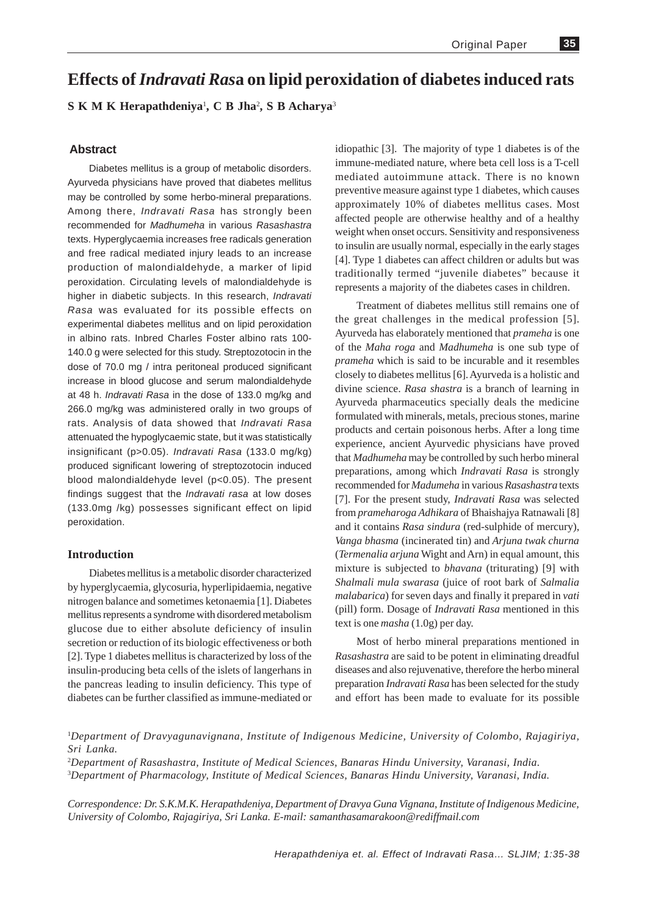# **Effects of** *Indravati Ras***a on lipid peroxidation of diabetes induced rats**

**S K M K Herapathdeniya**<sup>1</sup> **, C B Jha**<sup>2</sup> **, S B Acharya**<sup>3</sup>

#### **Abstract**

Diabetes mellitus is a group of metabolic disorders. Ayurveda physicians have proved that diabetes mellitus may be controlled by some herbo-mineral preparations. Among there, *Indravati Rasa* has strongly been recommended for *Madhumeha* in various *Rasashastra* texts. Hyperglycaemia increases free radicals generation and free radical mediated injury leads to an increase production of malondialdehyde, a marker of lipid peroxidation. Circulating levels of malondialdehyde is higher in diabetic subjects. In this research, *Indravati Rasa* was evaluated for its possible effects on experimental diabetes mellitus and on lipid peroxidation in albino rats. Inbred Charles Foster albino rats 100- 140.0 g were selected for this study. Streptozotocin in the dose of 70.0 mg / intra peritoneal produced significant increase in blood glucose and serum malondialdehyde at 48 h. *Indravati Rasa* in the dose of 133.0 mg/kg and 266.0 mg/kg was administered orally in two groups of rats. Analysis of data showed that *Indravati Rasa* attenuated the hypoglycaemic state, but it was statistically insignificant (p>0.05). *Indravati Rasa* (133.0 mg/kg) produced significant lowering of streptozotocin induced blood malondialdehyde level (p<0.05). The present findings suggest that the *Indravati rasa* at low doses (133.0mg /kg) possesses significant effect on lipid peroxidation.

# **Introduction**

Diabetes mellitus is a metabolic disorder characterized by hyperglycaemia, glycosuria, hyperlipidaemia, negative nitrogen balance and sometimes ketonaemia [1]. Diabetes mellitus represents a syndrome with disordered metabolism glucose due to either absolute deficiency of insulin secretion or reduction of its biologic effectiveness or both [2]. Type 1 diabetes mellitus is characterized by loss of the insulin-producing beta cells of the islets of langerhans in the pancreas leading to insulin deficiency. This type of diabetes can be further classified as immune-mediated or

idiopathic [3]. The majority of type 1 diabetes is of the immune-mediated nature, where beta cell loss is a T-cell mediated autoimmune attack. There is no known preventive measure against type 1 diabetes, which causes approximately 10% of diabetes mellitus cases. Most affected people are otherwise healthy and of a healthy weight when onset occurs. Sensitivity and responsiveness to insulin are usually normal, especially in the early stages [4]. Type 1 diabetes can affect children or adults but was traditionally termed "juvenile diabetes" because it represents a majority of the diabetes cases in children.

Treatment of diabetes mellitus still remains one of the great challenges in the medical profession [5]. Ayurveda has elaborately mentioned that *prameha* is one of the *Maha roga* and *Madhumeha* is one sub type of *prameha* which is said to be incurable and it resembles closely to diabetes mellitus [6]. Ayurveda is a holistic and divine science. *Rasa shastra* is a branch of learning in Ayurveda pharmaceutics specially deals the medicine formulated with minerals, metals, precious stones, marine products and certain poisonous herbs. After a long time experience, ancient Ayurvedic physicians have proved that *Madhumeha* may be controlled by such herbo mineral preparations, among which *Indravati Rasa* is strongly recommended for *Madumeha* in various *Rasashastra* texts [7]. For the present study, *Indravati Rasa* was selected from *prameharoga Adhikara* of Bhaishajya Ratnawali [8] and it contains *Rasa sindura* (red-sulphide of mercury), *Vanga bhasma* (incinerated tin) and *Arjuna twak churna* (*Termenalia arjuna* Wight and Arn) in equal amount, this mixture is subjected to *bhavana* (triturating) [9] with *Shalmali mula swarasa* (juice of root bark of *Salmalia malabarica*) for seven days and finally it prepared in *vati* (pill) form. Dosage of *Indravati Rasa* mentioned in this text is one *masha* (1.0g) per day.

Most of herbo mineral preparations mentioned in *Rasashastra* are said to be potent in eliminating dreadful diseases and also rejuvenative, therefore the herbo mineral preparation *Indravati Rasa* has been selected for the study and effort has been made to evaluate for its possible

1 *Department of Dravyagunavignana, Institute of Indigenous Medicine, University of Colombo, Rajagiriya, Sri Lanka.*

2 *Department of Rasashastra, Institute of Medical Sciences, Banaras Hindu University, Varanasi, India.* 3 *Department of Pharmacology, Institute of Medical Sciences, Banaras Hindu University, Varanasi, India.*

*Correspondence: Dr. S.K.M.K. Herapathdeniya, Department of Dravya Guna Vignana, Institute of Indigenous Medicine, University of Colombo, Rajagiriya, Sri Lanka. E-mail: samanthasamarakoon@rediffmail.com*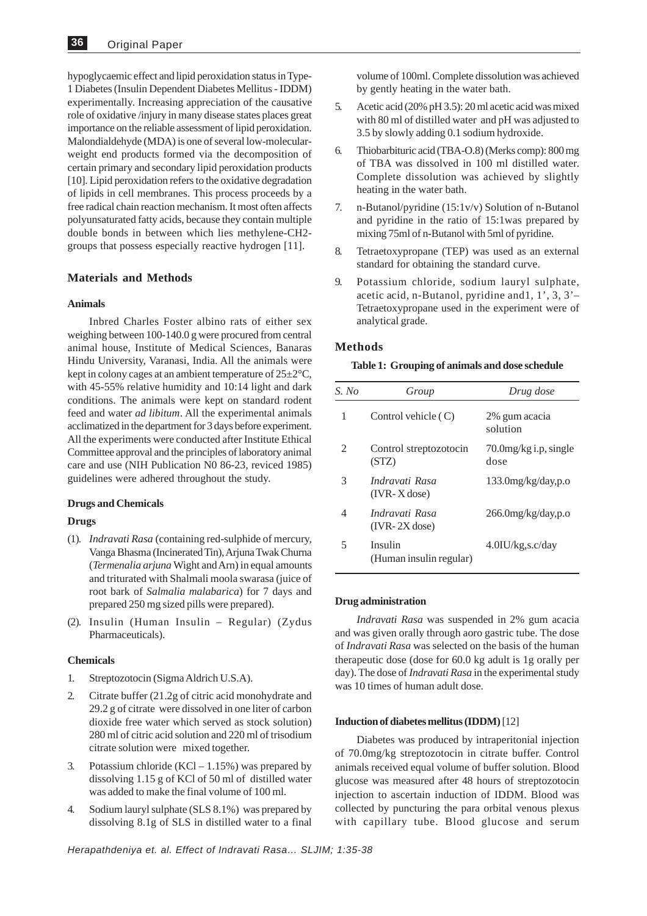hypoglycaemic effect and lipid peroxidation status in Type-1 Diabetes (Insulin Dependent Diabetes Mellitus - IDDM) experimentally. Increasing appreciation of the causative role of oxidative /injury in many disease states places great importance on the reliable assessment of lipid peroxidation. Malondialdehyde (MDA) is one of several low-molecularweight end products formed via the decomposition of certain primary and secondary lipid peroxidation products [10]. Lipid peroxidation refers to the oxidative degradation of lipids in cell membranes. This process proceeds by a free radical chain reaction mechanism. It most often affects polyunsaturated fatty acids, because they contain multiple double bonds in between which lies methylene-CH2 groups that possess especially reactive hydrogen [11].

#### **Materials and Methods**

#### **Animals**

Inbred Charles Foster albino rats of either sex weighing between 100-140.0 g were procured from central animal house, Institute of Medical Sciences, Banaras Hindu University, Varanasi, India. All the animals were kept in colony cages at an ambient temperature of 25±2°C, with 45-55% relative humidity and 10:14 light and dark conditions. The animals were kept on standard rodent feed and water *ad libitum*. All the experimental animals acclimatized in the department for 3 days before experiment. All the experiments were conducted after Institute Ethical Committee approval and the principles of laboratory animal care and use (NIH Publication N0 86-23, reviced 1985) guidelines were adhered throughout the study.

#### **Drugs and Chemicals**

#### **Drugs**

- (1). *Indravati Rasa* (containing red-sulphide of mercury, Vanga Bhasma (Incinerated Tin), Arjuna Twak Churna (*Termenalia arjuna* Wight and Arn) in equal amounts and triturated with Shalmali moola swarasa (juice of root bark of *Salmalia malabarica*) for 7 days and prepared 250 mg sized pills were prepared).
- (2). Insulin (Human Insulin Regular) (Zydus Pharmaceuticals).

#### **Chemicals**

- 1. Streptozotocin (Sigma Aldrich U.S.A).
- 2. Citrate buffer (21.2g of citric acid monohydrate and 29.2 g of citrate were dissolved in one liter of carbon dioxide free water which served as stock solution) 280 ml of citric acid solution and 220 ml of trisodium citrate solution were mixed together.
- 3. Potassium chloride  $(KCl 1.15\%)$  was prepared by dissolving 1.15 g of KCl of 50 ml of distilled water was added to make the final volume of 100 ml.
- 4. Sodium lauryl sulphate (SLS 8.1%) was prepared by dissolving 8.1g of SLS in distilled water to a final

volume of 100ml. Complete dissolution was achieved by gently heating in the water bath.

- 5. Acetic acid (20% pH 3.5): 20 ml acetic acid was mixed with 80 ml of distilled water and pH was adjusted to 3.5 by slowly adding 0.1 sodium hydroxide.
- 6. Thiobarbituric acid (TBA-O.8) (Merks comp): 800 mg of TBA was dissolved in 100 ml distilled water. Complete dissolution was achieved by slightly heating in the water bath.
- 7. n-Butanol/pyridine (15:1v/v) Solution of n-Butanol and pyridine in the ratio of 15:1was prepared by mixing 75ml of n-Butanol with 5ml of pyridine.
- 8. Tetraetoxypropane (TEP) was used as an external standard for obtaining the standard curve.
- 9. Potassium chloride, sodium lauryl sulphate, acetic acid, n-Butanol, pyridine and1, 1', 3, 3'– Tetraetoxypropane used in the experiment were of analytical grade.

#### **Methods**

#### **Table 1: Grouping of animals and dose schedule**

| S. No         | Group                              | Drug dose                        |
|---------------|------------------------------------|----------------------------------|
| 1             | Control vehicle (C)                | 2% gum acacia<br>solution        |
| $\mathcal{L}$ | Control streptozotocin<br>(STZ)    | $70.0$ mg/kg i.p, single<br>dose |
| 3             | Indravati Rasa<br>$(IVR-X$ dose)   | $133.0$ mg/kg/day,p.o            |
| 4             | Indravati Rasa<br>$(IVR-2X$ dose)  | $266.0$ mg/kg/day,p.o            |
| 5             | Insulin<br>(Human insulin regular) | 4.0IU/kg,s.c/day                 |

#### **Drug administration**

*Indravati Rasa* was suspended in 2% gum acacia and was given orally through aoro gastric tube. The dose of *Indravati Rasa* was selected on the basis of the human therapeutic dose (dose for 60.0 kg adult is 1g orally per day). The dose of *Indravati Rasa* in the experimental study was 10 times of human adult dose.

#### **Induction of diabetes mellitus (IDDM)** [12]

Diabetes was produced by intraperitonial injection of 70.0mg/kg streptozotocin in citrate buffer. Control animals received equal volume of buffer solution. Blood glucose was measured after 48 hours of streptozotocin injection to ascertain induction of IDDM. Blood was collected by puncturing the para orbital venous plexus with capillary tube. Blood glucose and serum

*Herapathdeniya et. al. Effect of Indravati Rasa… SLJIM; 1:35-38*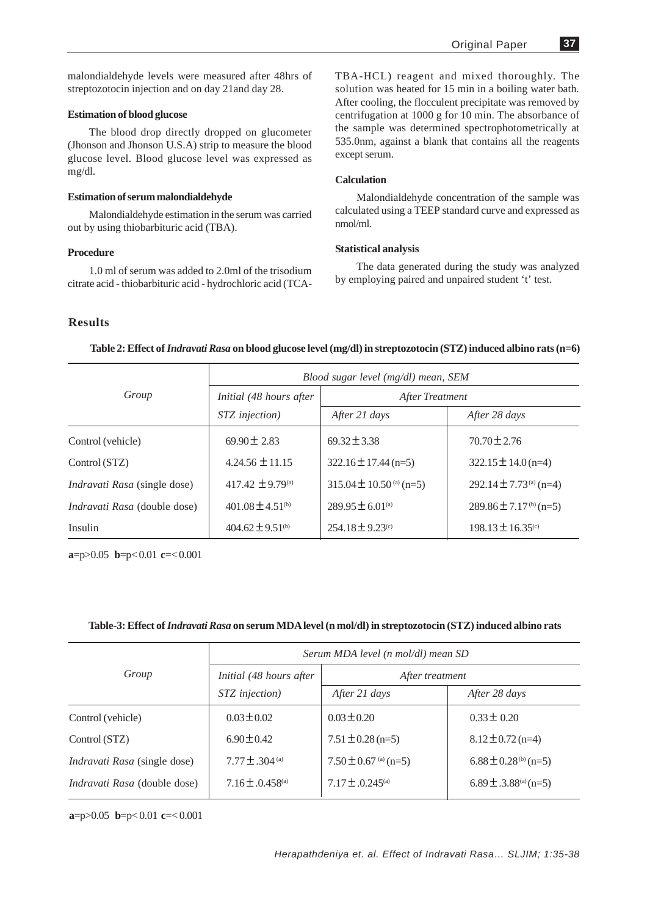malondialdehyde levels were measured after 48hrs of streptozotocin injection and on day 21and day 28.

#### **Estimation of blood glucose**

The blood drop directly dropped on glucometer (Jhonson and Jhonson U.S.A) strip to measure the blood glucose level. Blood glucose level was expressed as mg/dl.

#### **Estimation of serum malondialdehyde**

Malondialdehyde estimation in the serum was carried out by using thiobarbituric acid (TBA).

#### **Procedure**

1.0 ml of serum was added to 2.0ml of the trisodium citrate acid - thiobarbituric acid - hydrochloric acid (TCA- TBA-HCL) reagent and mixed thoroughly. The solution was heated for 15 min in a boiling water bath. After cooling, the flocculent precipitate was removed by centrifugation at 1000 g for 10 min. The absorbance of the sample was determined spectrophotometrically at 535.0nm, against a blank that contains all the reagents except serum.

#### **Calculation**

Malondialdehyde concentration of the sample was calculated using a TEEP standard curve and expressed as nmol/ml.

#### **Statistical analysis**

The data generated during the study was analyzed by employing paired and unpaired student 't' test.

# **Results**

|                                     | Blood sugar level (mg/dl) mean, SEM |                                  |                                        |  |  |
|-------------------------------------|-------------------------------------|----------------------------------|----------------------------------------|--|--|
| Group                               | Initial (48 hours after             | After Treatment                  |                                        |  |  |
|                                     | STZ injection)                      | After 21 days                    | After 28 days                          |  |  |
| Control (vehicle)                   | $69.90 \pm 2.83$                    | $69.32 \pm 3.38$                 | $70.70 \pm 2.76$                       |  |  |
| Control (STZ)                       | $4.24.56 \pm 11.15$                 | $322.16 \pm 17.44$ (n=5)         | $322.15 \pm 14.0$ (n=4)                |  |  |
| <i>Indravati Rasa</i> (single dose) | 417.42 $\pm$ 9.79 <sup>(a)</sup>    | $315.04 \pm 10.50^{(a)}$ (n=5)   | 292.14 $\pm$ 7.73 <sup>(a)</sup> (n=4) |  |  |
| Indravati Rasa (double dose)        | 401.08 $\pm$ 4.51 <sup>(b)</sup>    | $289.95 \pm 6.01^{(a)}$          | $289.86 \pm 7.17^{(b)}$ (n=5)          |  |  |
| Insulin                             | 404.62 $\pm$ 9.51 <sup>(b)</sup>    | $254.18 \pm 9.23$ <sup>(c)</sup> | $198.13 \pm 16.35$ <sup>(c)</sup>      |  |  |

### **Table 2: Effect of** *Indravati Rasa* **on blood glucose level (mg/dl) in streptozotocin (STZ) induced albino rats (n=6)**

**a**=p>0.05 **b**=p< 0.01 **c**=< 0.001

#### **Table-3: Effect of** *Indravati Rasa* **on serum MDA level (n mol/dl) in streptozotocin (STZ) induced albino rats**

| Serum MDA level (n mol/dl) mean SD |                               |                                            |  |  |
|------------------------------------|-------------------------------|--------------------------------------------|--|--|
| Initial (48 hours after            | After treatment               |                                            |  |  |
| STZ injection)                     | After 21 days                 | After 28 days                              |  |  |
| $0.03 \pm 0.02$                    | $0.03 \pm 0.20$               | $0.33 \pm 0.20$                            |  |  |
| $6.90 \pm 0.42$                    | $7.51 \pm 0.28$ (n=5)         | $8.12 \pm 0.72$ (n=4)                      |  |  |
| $7.77 + 304$ (a)                   | $7.50 \pm 0.67$ (a) (n=5)     | $6.88 \pm 0.28^{(b)}$ (n=5)                |  |  |
| 7.16 $\pm$ .0.458 <sup>(a)</sup>   | $7.17 \pm 0.245^{\text{(a)}}$ | $6.89 \pm .3.88^{\text{(a)}} (\text{n=5})$ |  |  |
|                                    |                               |                                            |  |  |

**a**=p>0.05 **b**=p< 0.01 **c**=< 0.001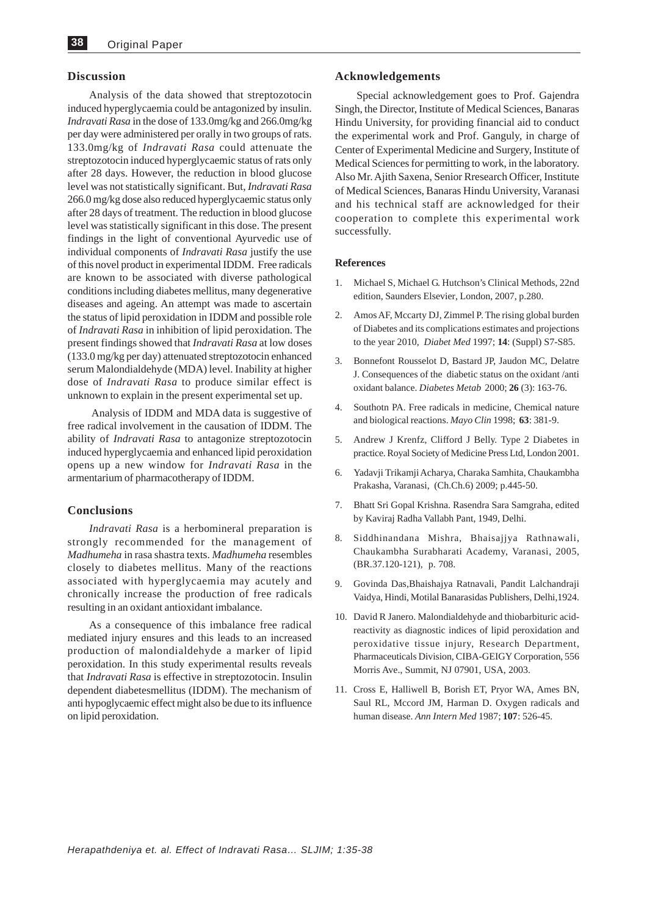#### **Discussion**

Analysis of the data showed that streptozotocin induced hyperglycaemia could be antagonized by insulin. *Indravati Rasa* in the dose of 133.0mg/kg and 266.0mg/kg per day were administered per orally in two groups of rats. 133.0mg/kg of *Indravati Rasa* could attenuate the streptozotocin induced hyperglycaemic status of rats only after 28 days. However, the reduction in blood glucose level was not statistically significant. But, *Indravati Rasa* 266.0 mg/kg dose also reduced hyperglycaemic status only after 28 days of treatment. The reduction in blood glucose level was statistically significant in this dose. The present findings in the light of conventional Ayurvedic use of individual components of *Indravati Rasa* justify the use of this novel product in experimental IDDM. Free radicals are known to be associated with diverse pathological conditions including diabetes mellitus, many degenerative diseases and ageing. An attempt was made to ascertain the status of lipid peroxidation in IDDM and possible role of *Indravati Rasa* in inhibition of lipid peroxidation. The present findings showed that *Indravati Rasa* at low doses (133.0 mg/kg per day) attenuated streptozotocin enhanced serum Malondialdehyde (MDA) level. Inability at higher dose of *Indravati Rasa* to produce similar effect is unknown to explain in the present experimental set up.

 Analysis of IDDM and MDA data is suggestive of free radical involvement in the causation of IDDM. The ability of *Indravati Rasa* to antagonize streptozotocin induced hyperglycaemia and enhanced lipid peroxidation opens up a new window for *Indravati Rasa* in the armentarium of pharmacotherapy of IDDM.

#### **Conclusions**

*Indravati Rasa* is a herbomineral preparation is strongly recommended for the management of *Madhumeha* in rasa shastra texts. *Madhumeha* resembles closely to diabetes mellitus. Many of the reactions associated with hyperglycaemia may acutely and chronically increase the production of free radicals resulting in an oxidant antioxidant imbalance.

As a consequence of this imbalance free radical mediated injury ensures and this leads to an increased production of malondialdehyde a marker of lipid peroxidation. In this study experimental results reveals that *Indravati Rasa* is effective in streptozotocin. Insulin dependent diabetesmellitus (IDDM). The mechanism of anti hypoglycaemic effect might also be due to its influence on lipid peroxidation.

### **Acknowledgements**

Special acknowledgement goes to Prof. Gajendra Singh, the Director, Institute of Medical Sciences, Banaras Hindu University, for providing financial aid to conduct the experimental work and Prof. Ganguly, in charge of Center of Experimental Medicine and Surgery, Institute of Medical Sciences for permitting to work, in the laboratory. Also Mr. Ajith Saxena, Senior Rresearch Officer, Institute of Medical Sciences, Banaras Hindu University, Varanasi and his technical staff are acknowledged for their cooperation to complete this experimental work successfully.

#### **References**

- 1. Michael S, Michael G. Hutchson's Clinical Methods, 22nd edition, Saunders Elsevier, London, 2007, p.280.
- 2. Amos AF, Mccarty DJ, Zimmel P. The rising global burden of Diabetes and its complications estimates and projections to the year 2010, *Diabet Med* 1997; **14**: (Suppl) S7-S85.
- 3. Bonnefont Rousselot D, Bastard JP, Jaudon MC, Delatre J. Consequences of the diabetic status on the oxidant /anti oxidant balance. *Diabetes Metab* 2000; **26** (3): 163-76.
- Southotn PA. Free radicals in medicine, Chemical nature and biological reactions. *Mayo Clin* 1998; **63**: 381-9.
- 5. Andrew J Krenfz, Clifford J Belly. Type 2 Diabetes in practice. Royal Society of Medicine Press Ltd, London 2001.
- 6. Yadavji Trikamji Acharya, Charaka Samhita, Chaukambha Prakasha, Varanasi, (Ch.Ch.6) 2009; p.445-50.
- 7. Bhatt Sri Gopal Krishna. Rasendra Sara Samgraha, edited by Kaviraj Radha Vallabh Pant, 1949, Delhi.
- 8. Siddhinandana Mishra, Bhaisajjya Rathnawali, Chaukambha Surabharati Academy, Varanasi, 2005, (BR.37.120-121), p. 708.
- 9. Govinda Das,Bhaishajya Ratnavali, Pandit Lalchandraji Vaidya, Hindi, Motilal Banarasidas Publishers, Delhi,1924.
- 10. David R Janero. Malondialdehyde and thiobarbituric acidreactivity as diagnostic indices of lipid peroxidation and peroxidative tissue injury, Research Department, Pharmaceuticals Division, CIBA-GEIGY Corporation, 556 Morris Ave., Summit, NJ 07901, USA, 2003.
- 11. Cross E, Halliwell B, Borish ET, Pryor WA, Ames BN, Saul RL, Mccord JM, Harman D. Oxygen radicals and human disease. *Ann Intern Med* 1987; **107**: 526-45.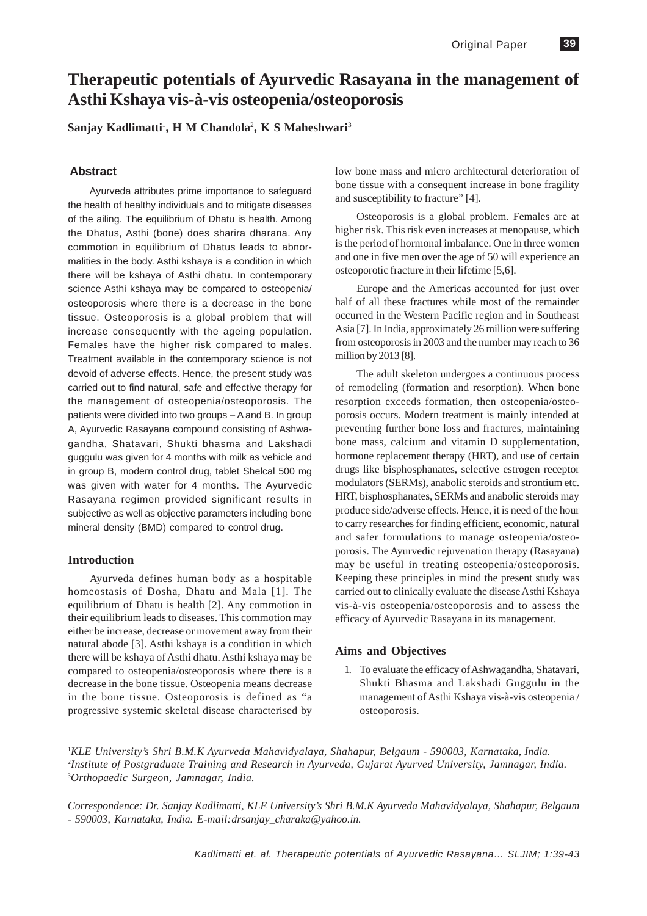# **Therapeutic potentials of Ayurvedic Rasayana in the management of Asthi Kshaya vis-à-vis osteopenia/osteoporosis**

**Sanjay Kadlimatti**<sup>1</sup> **, H M Chandola**<sup>2</sup> **, K S Maheshwari**<sup>3</sup>

# **Abstract**

Ayurveda attributes prime importance to safeguard the health of healthy individuals and to mitigate diseases of the ailing. The equilibrium of Dhatu is health. Among the Dhatus, Asthi (bone) does sharira dharana. Any commotion in equilibrium of Dhatus leads to abnormalities in the body. Asthi kshaya is a condition in which there will be kshaya of Asthi dhatu. In contemporary science Asthi kshaya may be compared to osteopenia/ osteoporosis where there is a decrease in the bone tissue. Osteoporosis is a global problem that will increase consequently with the ageing population. Females have the higher risk compared to males. Treatment available in the contemporary science is not devoid of adverse effects. Hence, the present study was carried out to find natural, safe and effective therapy for the management of osteopenia/osteoporosis. The patients were divided into two groups – A and B. In group A, Ayurvedic Rasayana compound consisting of Ashwagandha, Shatavari, Shukti bhasma and Lakshadi guggulu was given for 4 months with milk as vehicle and in group B, modern control drug, tablet Shelcal 500 mg was given with water for 4 months. The Ayurvedic Rasayana regimen provided significant results in subjective as well as objective parameters including bone mineral density (BMD) compared to control drug.

#### **Introduction**

Ayurveda defines human body as a hospitable homeostasis of Dosha, Dhatu and Mala [1]. The equilibrium of Dhatu is health [2]. Any commotion in their equilibrium leads to diseases. This commotion may either be increase, decrease or movement away from their natural abode [3]. Asthi kshaya is a condition in which there will be kshaya of Asthi dhatu. Asthi kshaya may be compared to osteopenia/osteoporosis where there is a decrease in the bone tissue. Osteopenia means decrease in the bone tissue. Osteoporosis is defined as "a progressive systemic skeletal disease characterised by

low bone mass and micro architectural deterioration of bone tissue with a consequent increase in bone fragility and susceptibility to fracture" [4].

Osteoporosis is a global problem. Females are at higher risk. This risk even increases at menopause, which is the period of hormonal imbalance. One in three women and one in five men over the age of 50 will experience an osteoporotic fracture in their lifetime [5,6].

Europe and the Americas accounted for just over half of all these fractures while most of the remainder occurred in the Western Pacific region and in Southeast Asia [7]. In India, approximately 26 million were suffering from osteoporosis in 2003 and the number may reach to 36 million by 2013 [8].

The adult skeleton undergoes a continuous process of remodeling (formation and resorption). When bone resorption exceeds formation, then osteopenia/osteoporosis occurs. Modern treatment is mainly intended at preventing further bone loss and fractures, maintaining bone mass, calcium and vitamin D supplementation, hormone replacement therapy (HRT), and use of certain drugs like bisphosphanates, selective estrogen receptor modulators (SERMs), anabolic steroids and strontium etc. HRT, bisphosphanates, SERMs and anabolic steroids may produce side/adverse effects. Hence, it is need of the hour to carry researches for finding efficient, economic, natural and safer formulations to manage osteopenia/osteoporosis. The Ayurvedic rejuvenation therapy (Rasayana) may be useful in treating osteopenia/osteoporosis. Keeping these principles in mind the present study was carried out to clinically evaluate the disease Asthi Kshaya vis-à-vis osteopenia/osteoporosis and to assess the efficacy of Ayurvedic Rasayana in its management.

### **Aims and Objectives**

1. To evaluate the efficacy of Ashwagandha, Shatavari, Shukti Bhasma and Lakshadi Guggulu in the management of Asthi Kshaya vis-à-vis osteopenia / osteoporosis.

1 *KLE University's Shri B.M.K Ayurveda Mahavidyalaya, Shahapur, Belgaum - 590003, Karnataka, India.* 2 *Institute of Postgraduate Training and Research in Ayurveda, Gujarat Ayurved University, Jamnagar, India.* 3 *Orthopaedic Surgeon, Jamnagar, India.*

*Correspondence: Dr. Sanjay Kadlimatti, KLE University's Shri B.M.K Ayurveda Mahavidyalaya, Shahapur, Belgaum - 590003, Karnataka, India. E-mail:drsanjay\_charaka@yahoo.in.*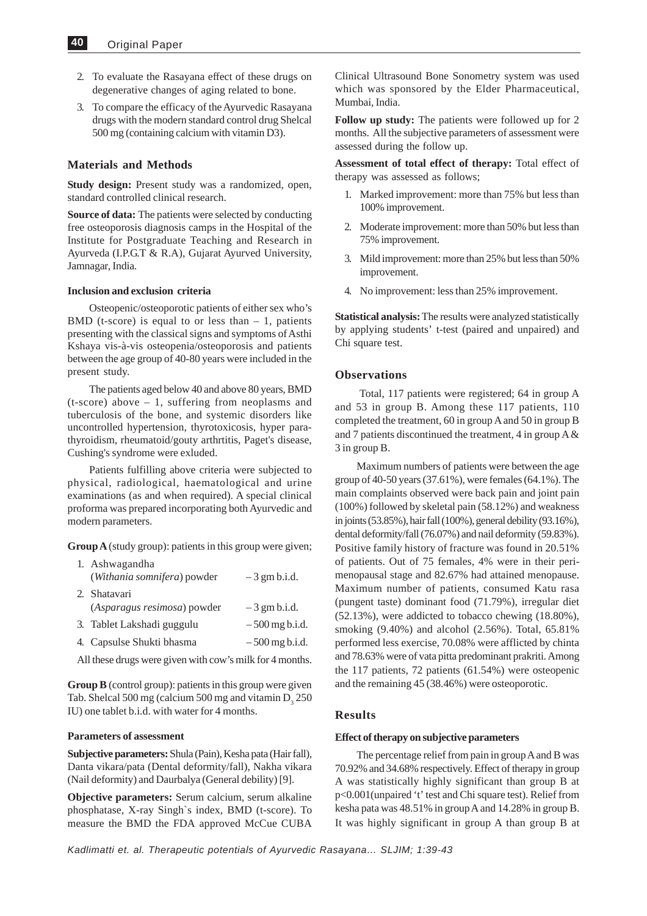- 2. To evaluate the Rasayana effect of these drugs on degenerative changes of aging related to bone.
- 3. To compare the efficacy of the Ayurvedic Rasayana drugs with the modern standard control drug Shelcal 500 mg (containing calcium with vitamin D3).

### **Materials and Methods**

**Study design:** Present study was a randomized, open, standard controlled clinical research.

**Source of data:** The patients were selected by conducting free osteoporosis diagnosis camps in the Hospital of the Institute for Postgraduate Teaching and Research in Ayurveda (I.P.G.T & R.A), Gujarat Ayurved University, Jamnagar, India.

#### **Inclusion and exclusion criteria**

Osteopenic/osteoporotic patients of either sex who's BMD (t-score) is equal to or less than  $-1$ , patients presenting with the classical signs and symptoms of Asthi Kshaya vis-à-vis osteopenia/osteoporosis and patients between the age group of 40-80 years were included in the present study.

The patients aged below 40 and above 80 years, BMD (t-score) above – 1, suffering from neoplasms and tuberculosis of the bone, and systemic disorders like uncontrolled hypertension, thyrotoxicosis, hyper parathyroidism, rheumatoid/gouty arthrtitis, Paget's disease, Cushing's syndrome were exluded.

Patients fulfilling above criteria were subjected to physical, radiological, haematological and urine examinations (as and when required). A special clinical proforma was prepared incorporating both Ayurvedic and modern parameters.

**Group A** (study group): patients in this group were given;

| 1. Ashwagandha              |                  |
|-----------------------------|------------------|
| (Withania somnifera) powder | $-3$ gm b.i.d.   |
| 2. Shatavari                |                  |
| (Asparagus resimosa) powder | $-3$ gm b.i.d.   |
| 3. Tablet Lakshadi guggulu  | $-500$ mg b.i.d. |
| 4. Capsulse Shukti bhasma   | $-500$ mg b.i.d. |
|                             |                  |

All these drugs were given with cow's milk for 4 months.

**Group B** (control group): patients in this group were given Tab. Shelcal 500 mg (calcium 500 mg and vitamin  $D_3$  250 IU) one tablet b.i.d. with water for 4 months.

#### **Parameters of assessment**

**Subjective parameters:** Shula (Pain), Kesha pata (Hair fall), Danta vikara/pata (Dental deformity/fall), Nakha vikara (Nail deformity) and Daurbalya (General debility) [9].

**Objective parameters:** Serum calcium, serum alkaline phosphatase, X-ray Singh`s index, BMD (t-score). To measure the BMD the FDA approved McCue CUBA

Clinical Ultrasound Bone Sonometry system was used which was sponsored by the Elder Pharmaceutical, Mumbai, India.

**Follow up study:** The patients were followed up for 2 months. All the subjective parameters of assessment were assessed during the follow up.

**Assessment of total effect of therapy:** Total effect of therapy was assessed as follows;

- 1. Marked improvement: more than 75% but less than 100% improvement.
- 2. Moderate improvement: more than 50% but less than 75% improvement.
- 3. Mild improvement: more than 25% but less than 50% improvement.
- 4. No improvement: less than 25% improvement.

**Statistical analysis:** The results were analyzed statistically by applying students' t-test (paired and unpaired) and Chi square test.

#### **Observations**

 Total, 117 patients were registered; 64 in group A and 53 in group B. Among these 117 patients, 110 completed the treatment, 60 in group A and 50 in group B and 7 patients discontinued the treatment, 4 in group A & 3 in group B.

Maximum numbers of patients were between the age group of 40-50 years (37.61%), were females (64.1%). The main complaints observed were back pain and joint pain (100%) followed by skeletal pain (58.12%) and weakness in joints (53.85%), hair fall (100%), general debility (93.16%), dental deformity/fall (76.07%) and nail deformity (59.83%). Positive family history of fracture was found in 20.51% of patients. Out of 75 females, 4% were in their perimenopausal stage and 82.67% had attained menopause. Maximum number of patients, consumed Katu rasa (pungent taste) dominant food (71.79%), irregular diet (52.13%), were addicted to tobacco chewing (18.80%), smoking (9.40%) and alcohol (2.56%). Total, 65.81% performed less exercise, 70.08% were afflicted by chinta and 78.63% were of vata pitta predominant prakriti. Among the 117 patients, 72 patients (61.54%) were osteopenic and the remaining 45 (38.46%) were osteoporotic.

#### **Results**

#### **Effect of therapy on subjective parameters**

The percentage relief from pain in group A and B was 70.92% and 34.68% respectively. Effect of therapy in group A was statistically highly significant than group B at p<0.001(unpaired 't' test and Chi square test). Relief from kesha pata was 48.51% in group A and 14.28% in group B. It was highly significant in group A than group B at

*Kadlimatti et. al. Therapeutic potentials of Ayurvedic Rasayana… SLJIM; 1:39-43*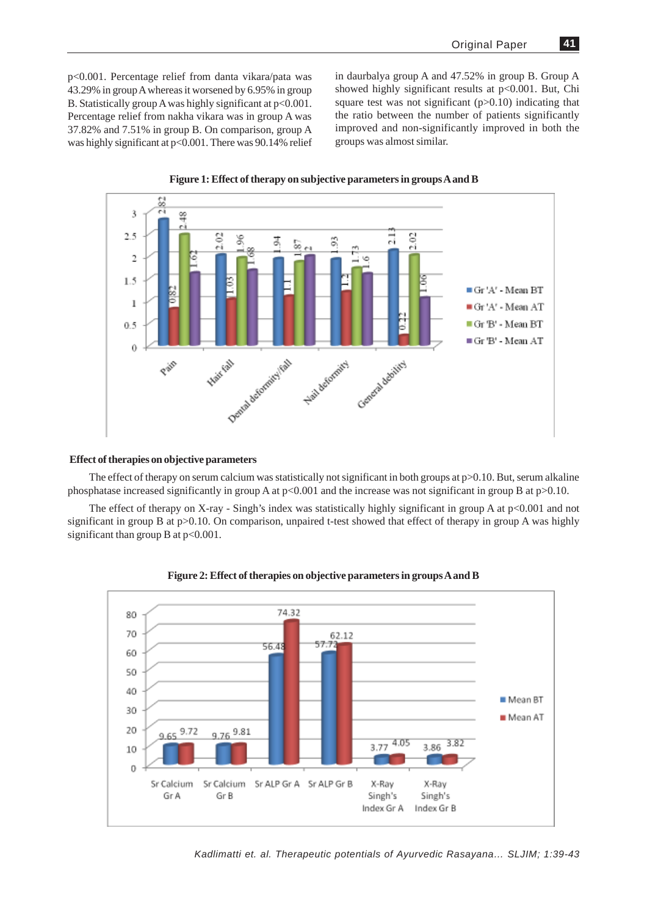p<0.001. Percentage relief from danta vikara/pata was 43.29% in group A whereas it worsened by 6.95% in group B. Statistically group A was highly significant at  $p<0.001$ . Percentage relief from nakha vikara was in group A was 37.82% and 7.51% in group B. On comparison, group A was highly significant at  $p<0.001$ . There was 90.14% relief in daurbalya group A and 47.52% in group B. Group A showed highly significant results at p<0.001. But, Chi square test was not significant (p>0.10) indicating that the ratio between the number of patients significantly improved and non-significantly improved in both the groups was almost similar.



**Figure 1: Effect of therapy on subjective parameters in groups A and B**

#### **Effect of therapies on objective parameters**

The effect of therapy on serum calcium was statistically not significant in both groups at  $p>0.10$ . But, serum alkaline phosphatase increased significantly in group A at p<0.001 and the increase was not significant in group B at p>0.10.

The effect of therapy on X-ray - Singh's index was statistically highly significant in group A at p<0.001 and not significant in group B at p>0.10. On comparison, unpaired t-test showed that effect of therapy in group A was highly significant than group B at  $p<0.001$ .



**Figure 2: Effect of therapies on objective parameters in groups A and B**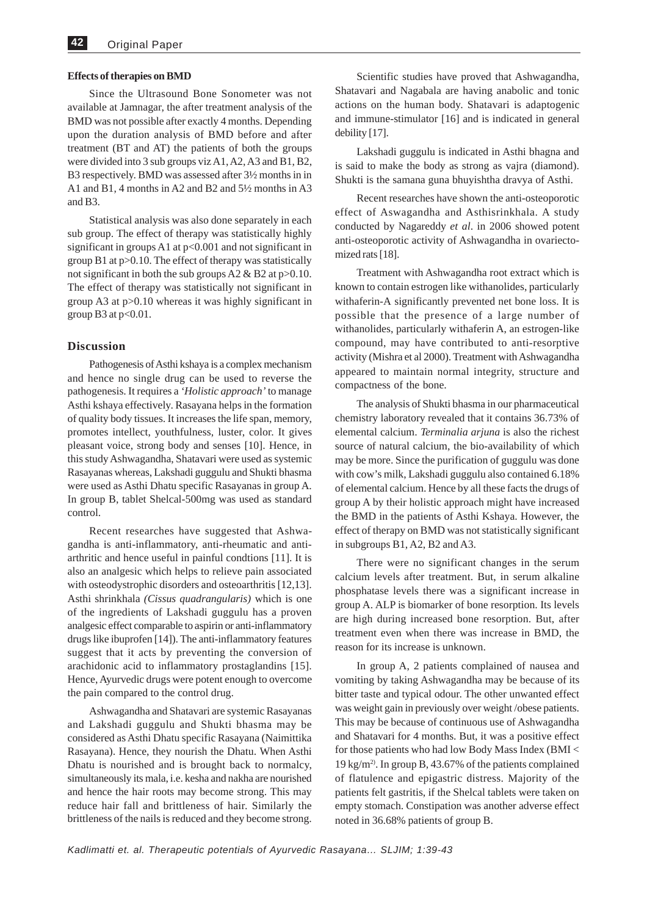#### **Effects of therapies on BMD**

Since the Ultrasound Bone Sonometer was not available at Jamnagar, the after treatment analysis of the BMD was not possible after exactly 4 months. Depending upon the duration analysis of BMD before and after treatment (BT and AT) the patients of both the groups were divided into 3 sub groups viz A1, A2, A3 and B1, B2, B3 respectively. BMD was assessed after 3½ months in in A1 and B1, 4 months in A2 and B2 and 5½ months in A3 and B3.

Statistical analysis was also done separately in each sub group. The effect of therapy was statistically highly significant in groups A1 at  $p<0.001$  and not significant in group B1 at  $p > 0.10$ . The effect of therapy was statistically not significant in both the sub groups A2 & B2 at p>0.10. The effect of therapy was statistically not significant in group A3 at p>0.10 whereas it was highly significant in group B3 at  $p<0.01$ .

#### **Discussion**

Pathogenesis of Asthi kshaya is a complex mechanism and hence no single drug can be used to reverse the pathogenesis. It requires a *'Holistic approach'* to manage Asthi kshaya effectively. Rasayana helps in the formation of quality body tissues. It increases the life span, memory, promotes intellect, youthfulness, luster, color. It gives pleasant voice, strong body and senses [10]. Hence, in this study Ashwagandha, Shatavari were used as systemic Rasayanas whereas, Lakshadi guggulu and Shukti bhasma were used as Asthi Dhatu specific Rasayanas in group A. In group B, tablet Shelcal-500mg was used as standard control.

Recent researches have suggested that Ashwagandha is anti-inflammatory, anti-rheumatic and antiarthritic and hence useful in painful condtions [11]. It is also an analgesic which helps to relieve pain associated with osteodystrophic disorders and osteoarthritis [12,13]. Asthi shrinkhala *(Cissus quadrangularis)* which is one of the ingredients of Lakshadi guggulu has a proven analgesic effect comparable to aspirin or anti-inflammatory drugs like ibuprofen [14]). The anti-inflammatory features suggest that it acts by preventing the conversion of arachidonic acid to inflammatory prostaglandins [15]. Hence, Ayurvedic drugs were potent enough to overcome the pain compared to the control drug.

Ashwagandha and Shatavari are systemic Rasayanas and Lakshadi guggulu and Shukti bhasma may be considered as Asthi Dhatu specific Rasayana (Naimittika Rasayana). Hence, they nourish the Dhatu. When Asthi Dhatu is nourished and is brought back to normalcy, simultaneously its mala, i.e. kesha and nakha are nourished and hence the hair roots may become strong. This may reduce hair fall and brittleness of hair. Similarly the brittleness of the nails is reduced and they become strong.

Scientific studies have proved that Ashwagandha, Shatavari and Nagabala are having anabolic and tonic actions on the human body. Shatavari is adaptogenic and immune-stimulator [16] and is indicated in general debility [17].

Lakshadi guggulu is indicated in Asthi bhagna and is said to make the body as strong as vajra (diamond). Shukti is the samana guna bhuyishtha dravya of Asthi.

Recent researches have shown the anti-osteoporotic effect of Aswagandha and Asthisrinkhala. A study conducted by Nagareddy *et al*. in 2006 showed potent anti-osteoporotic activity of Ashwagandha in ovariectomized rats [18].

Treatment with Ashwagandha root extract which is known to contain estrogen like withanolides, particularly withaferin-A significantly prevented net bone loss. It is possible that the presence of a large number of withanolides, particularly withaferin A, an estrogen-like compound, may have contributed to anti-resorptive activity (Mishra et al 2000). Treatment with Ashwagandha appeared to maintain normal integrity, structure and compactness of the bone.

The analysis of Shukti bhasma in our pharmaceutical chemistry laboratory revealed that it contains 36.73% of elemental calcium. *Terminalia arjuna* is also the richest source of natural calcium, the bio-availability of which may be more. Since the purification of guggulu was done with cow's milk, Lakshadi guggulu also contained 6.18% of elemental calcium. Hence by all these facts the drugs of group A by their holistic approach might have increased the BMD in the patients of Asthi Kshaya. However, the effect of therapy on BMD was not statistically significant in subgroups B1, A2, B2 and A3.

There were no significant changes in the serum calcium levels after treatment. But, in serum alkaline phosphatase levels there was a significant increase in group A. ALP is biomarker of bone resorption. Its levels are high during increased bone resorption. But, after treatment even when there was increase in BMD, the reason for its increase is unknown.

In group A, 2 patients complained of nausea and vomiting by taking Ashwagandha may be because of its bitter taste and typical odour. The other unwanted effect was weight gain in previously over weight /obese patients. This may be because of continuous use of Ashwagandha and Shatavari for 4 months. But, it was a positive effect for those patients who had low Body Mass Index (BMI < 19 kg/m2). In group B, 43.67% of the patients complained of flatulence and epigastric distress. Majority of the patients felt gastritis, if the Shelcal tablets were taken on empty stomach. Constipation was another adverse effect noted in 36.68% patients of group B.

*Kadlimatti et. al. Therapeutic potentials of Ayurvedic Rasayana… SLJIM; 1:39-43*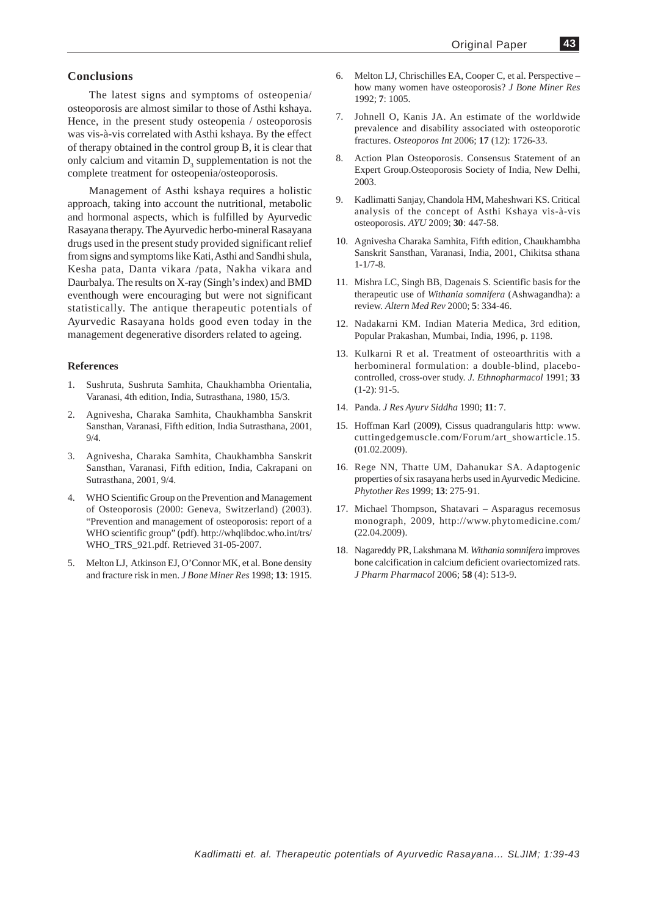#### **Conclusions**

The latest signs and symptoms of osteopenia/ osteoporosis are almost similar to those of Asthi kshaya. Hence, in the present study osteopenia / osteoporosis was vis-à-vis correlated with Asthi kshaya. By the effect of therapy obtained in the control group B, it is clear that only calcium and vitamin  $D_3$  supplementation is not the complete treatment for osteopenia/osteoporosis.

Management of Asthi kshaya requires a holistic approach, taking into account the nutritional, metabolic and hormonal aspects, which is fulfilled by Ayurvedic Rasayana therapy. The Ayurvedic herbo-mineral Rasayana drugs used in the present study provided significant relief from signs and symptoms like Kati, Asthi and Sandhi shula, Kesha pata, Danta vikara /pata, Nakha vikara and Daurbalya. The results on X-ray (Singh's index) and BMD eventhough were encouraging but were not significant statistically. The antique therapeutic potentials of Ayurvedic Rasayana holds good even today in the management degenerative disorders related to ageing.

#### **References**

- 1. Sushruta, Sushruta Samhita, Chaukhambha Orientalia, Varanasi, 4th edition, India, Sutrasthana, 1980, 15/3.
- 2. Agnivesha, Charaka Samhita, Chaukhambha Sanskrit Sansthan, Varanasi, Fifth edition, India Sutrasthana, 2001, 9/4.
- 3. Agnivesha, Charaka Samhita, Chaukhambha Sanskrit Sansthan, Varanasi, Fifth edition, India, Cakrapani on Sutrasthana, 2001, 9/4.
- WHO Scientific Group on the Prevention and Management of Osteoporosis (2000: Geneva, Switzerland) (2003). "Prevention and management of osteoporosis: report of a WHO scientific group" (pdf). http://whqlibdoc.who.int/trs/ WHO\_TRS\_921.pdf. Retrieved 31-05-2007.
- 5. Melton LJ, Atkinson EJ, O'Connor MK, et al. Bone density and fracture risk in men. *J Bone Miner Res* 1998; **13**: 1915.
- 6. Melton LJ, Chrischilles EA, Cooper C, et al. Perspective how many women have osteoporosis? *J Bone Miner Res* 1992; **7**: 1005.
- 7. Johnell O, Kanis JA. An estimate of the worldwide prevalence and disability associated with osteoporotic fractures. *Osteoporos Int* 2006; **17** (12): 1726-33.
- 8. Action Plan Osteoporosis. Consensus Statement of an Expert Group.Osteoporosis Society of India, New Delhi, 2003.
- 9. Kadlimatti Sanjay, Chandola HM, Maheshwari KS. Critical analysis of the concept of Asthi Kshaya vis-à-vis osteoporosis. *AYU* 2009; **30**: 447-58.
- 10. Agnivesha Charaka Samhita, Fifth edition, Chaukhambha Sanskrit Sansthan, Varanasi, India, 2001, Chikitsa sthana 1-1/7-8.
- 11. Mishra LC, Singh BB, Dagenais S. Scientific basis for the therapeutic use of *Withania somnifera* (Ashwagandha): a review. *Altern Med Rev* 2000; **5**: 334-46.
- 12. Nadakarni KM. Indian Materia Medica, 3rd edition, Popular Prakashan, Mumbai, India, 1996, p. 1198.
- 13. Kulkarni R et al. Treatment of osteoarthritis with a herbomineral formulation: a double-blind, placebocontrolled, cross-over study. *J. Ethnopharmacol* 1991; **33** (1-2): 91-5.
- 14. Panda. *J Res Ayurv Siddha* 1990; **11**: 7.
- 15. Hoffman Karl (2009), Cissus quadrangularis http: www. cuttingedgemuscle.com/Forum/art\_showarticle.15. (01.02.2009).
- 16. Rege NN, Thatte UM, Dahanukar SA. Adaptogenic properties of six rasayana herbs used in Ayurvedic Medicine. *Phytother Res* 1999; **13**: 275-91.
- 17. Michael Thompson, Shatavari Asparagus recemosus monograph, 2009, http://www.phytomedicine.com/ (22.04.2009).
- 18. Nagareddy PR, Lakshmana M. *Withania somnifera* improves bone calcification in calcium deficient ovariectomized rats. *J Pharm Pharmacol* 2006; **58** (4): 513-9.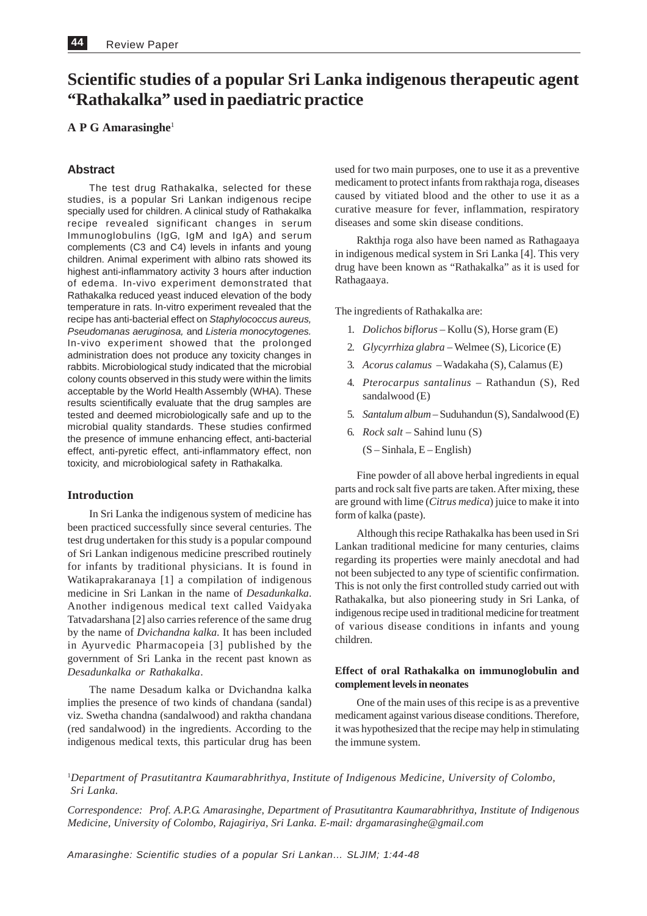# **Scientific studies of a popular Sri Lanka indigenous therapeutic agent "Rathakalka" used in paediatric practice**

# **A P G Amarasinghe**<sup>1</sup>

# **Abstract**

The test drug Rathakalka, selected for these studies, is a popular Sri Lankan indigenous recipe specially used for children. A clinical study of Rathakalka recipe revealed significant changes in serum Immunoglobulins (IgG, IgM and IgA) and serum complements (C3 and C4) levels in infants and young children. Animal experiment with albino rats showed its highest anti-inflammatory activity 3 hours after induction of edema. In-vivo experiment demonstrated that Rathakalka reduced yeast induced elevation of the body temperature in rats. In-vitro experiment revealed that the recipe has anti-bacterial effect on *Staphylococcus aureus, Pseudomanas aeruginosa,* and *Listeria monocytogenes.* In-vivo experiment showed that the prolonged administration does not produce any toxicity changes in rabbits. Microbiological study indicated that the microbial colony counts observed in this study were within the limits acceptable by the World Health Assembly (WHA). These results scientifically evaluate that the drug samples are tested and deemed microbiologically safe and up to the microbial quality standards. These studies confirmed the presence of immune enhancing effect, anti-bacterial effect, anti-pyretic effect, anti-inflammatory effect, non toxicity, and microbiological safety in Rathakalka.

# **Introduction**

In Sri Lanka the indigenous system of medicine has been practiced successfully since several centuries. The test drug undertaken for this study is a popular compound of Sri Lankan indigenous medicine prescribed routinely for infants by traditional physicians. It is found in Watikaprakaranaya [1] a compilation of indigenous medicine in Sri Lankan in the name of *Desadunkalka*. Another indigenous medical text called Vaidyaka Tatvadarshana [2] also carries reference of the same drug by the name of *Dvichandna kalka*. It has been included in Ayurvedic Pharmacopeia [3] published by the government of Sri Lanka in the recent past known as *Desadunkalka or Rathakalka*.

The name Desadum kalka or Dvichandna kalka implies the presence of two kinds of chandana (sandal) viz. Swetha chandna (sandalwood) and raktha chandana (red sandalwood) in the ingredients. According to the indigenous medical texts, this particular drug has been

used for two main purposes, one to use it as a preventive medicament to protect infants from rakthaja roga, diseases caused by vitiated blood and the other to use it as a curative measure for fever, inflammation, respiratory diseases and some skin disease conditions.

Rakthja roga also have been named as Rathagaaya in indigenous medical system in Sri Lanka [4]. This very drug have been known as "Rathakalka" as it is used for Rathagaaya.

The ingredients of Rathakalka are:

- 1. *Dolichos biflorus* Kollu (S), Horse gram (E)
- 2. *Glycyrrhiza glabra* Welmee (S), Licorice (E)
- 3. *Acorus calamus* Wadakaha (S), Calamus (E)
- 4. *Pterocarpus santalinus*  Rathandun (S), Red sandalwood (E)
- 5. *Santalum album*  Suduhandun (S), Sandalwood (E)
- 6. *Rock salt*  Sahind lunu (S)
	- $(S Sinhala, E English)$

Fine powder of all above herbal ingredients in equal parts and rock salt five parts are taken. After mixing, these are ground with lime (*Citrus medica*) juice to make it into form of kalka (paste).

Although this recipe Rathakalka has been used in Sri Lankan traditional medicine for many centuries, claims regarding its properties were mainly anecdotal and had not been subjected to any type of scientific confirmation. This is not only the first controlled study carried out with Rathakalka, but also pioneering study in Sri Lanka, of indigenous recipe used in traditional medicine for treatment of various disease conditions in infants and young children.

# **Effect of oral Rathakalka on immunoglobulin and complement levels in neonates**

One of the main uses of this recipe is as a preventive medicament against various disease conditions. Therefore, it was hypothesized that the recipe may help in stimulating the immune system.

1 *Department of Prasutitantra Kaumarabhrithya, Institute of Indigenous Medicine, University of Colombo, Sri Lanka.*

*Correspondence: Prof. A.P.G. Amarasinghe, Department of Prasutitantra Kaumarabhrithya, Institute of Indigenous Medicine, University of Colombo, Rajagiriya, Sri Lanka. E-mail: drgamarasinghe@gmail.com*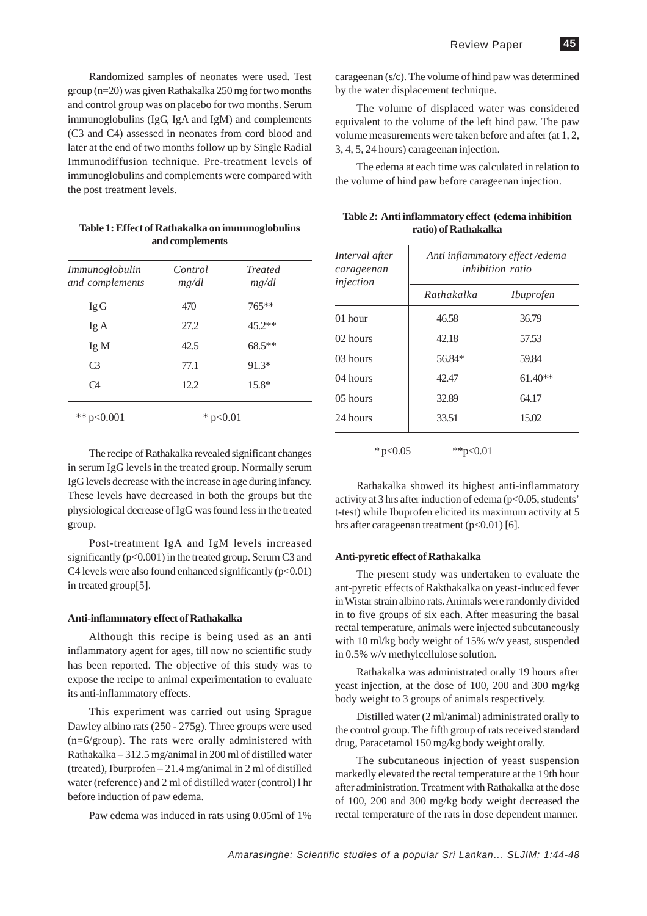Randomized samples of neonates were used. Test group (n=20) was given Rathakalka 250 mg for two months and control group was on placebo for two months. Serum immunoglobulins (IgG, IgA and IgM) and complements (C3 and C4) assessed in neonates from cord blood and later at the end of two months follow up by Single Radial Immunodiffusion technique. Pre-treatment levels of immunoglobulins and complements were compared with the post treatment levels.

| Immunoglobulin<br>and complements | Control<br>mg/dl | <b>Treated</b><br>mg/dl |
|-----------------------------------|------------------|-------------------------|
| IgG                               | 470              | 765**                   |
| IgA                               | 27.2             | $45.2**$                |
| Ig M                              | 42.5             | 68.5**                  |
| C <sub>3</sub>                    | 77.1             | $91.3*$                 |
| C <sub>4</sub>                    | 12.2             | $15.8*$                 |
| ** $p<0.001$                      | $*$ p<0.01       |                         |

| Table 1: Effect of Rathakalka on immunoglobulins |
|--------------------------------------------------|
| and complements                                  |

The recipe of Rathakalka revealed significant changes in serum IgG levels in the treated group. Normally serum IgG levels decrease with the increase in age during infancy. These levels have decreased in both the groups but the physiological decrease of IgG was found less in the treated group.

Post-treatment IgA and IgM levels increased significantly ( $p<0.001$ ) in the treated group. Serum C3 and C4 levels were also found enhanced significantly  $(p<0.01)$ in treated group[5].

#### **Anti-inflammatory effect of Rathakalka**

Although this recipe is being used as an anti inflammatory agent for ages, till now no scientific study has been reported. The objective of this study was to expose the recipe to animal experimentation to evaluate its anti-inflammatory effects.

This experiment was carried out using Sprague Dawley albino rats (250 - 275g). Three groups were used (n=6/group). The rats were orally administered with Rathakalka – 312.5 mg/animal in 200 ml of distilled water (treated), Iburprofen – 21.4 mg/animal in 2 ml of distilled water (reference) and 2 ml of distilled water (control) l hr before induction of paw edema.

Paw edema was induced in rats using 0.05ml of 1%

carageenan (s/c). The volume of hind paw was determined by the water displacement technique.

The volume of displaced water was considered equivalent to the volume of the left hind paw. The paw volume measurements were taken before and after (at 1, 2, 3, 4, 5, 24 hours) carageenan injection.

The edema at each time was calculated in relation to the volume of hind paw before carageenan injection.

**Table 2: Anti inflammatory effect (edema inhibition ratio) of Rathakalka**

| Interval after<br>carageenan<br>injection | Anti inflammatory effect/edema<br><i>inhibition ratio</i> |                  |  |  |
|-------------------------------------------|-----------------------------------------------------------|------------------|--|--|
|                                           | Rathakalka                                                | <i>Ibuprofen</i> |  |  |
| $01$ hour                                 | 46.58                                                     | 36.79            |  |  |
| 02 hours                                  | 42.18                                                     | 57.53            |  |  |
| 03 hours                                  | 56.84*                                                    | 59.84            |  |  |
| 04 hours                                  | 42.47                                                     | $61.40**$        |  |  |
| $05$ hours                                | 32.89                                                     | 64.17            |  |  |
| 24 hours                                  | 33.51                                                     | 15.02            |  |  |

Rathakalka showed its highest anti-inflammatory activity at 3 hrs after induction of edema (p<0.05, students' t-test) while Ibuprofen elicited its maximum activity at 5 hrs after carageenan treatment  $(p<0.01)$  [6].

 $*p<0.05$   $*p<0.01$ 

#### **Anti-pyretic effect of Rathakalka**

The present study was undertaken to evaluate the ant-pyretic effects of Rakthakalka on yeast-induced fever in Wistar strain albino rats. Animals were randomly divided in to five groups of six each. After measuring the basal rectal temperature, animals were injected subcutaneously with 10 ml/kg body weight of 15% w/v yeast, suspended in 0.5% w/v methylcellulose solution.

Rathakalka was administrated orally 19 hours after yeast injection, at the dose of 100, 200 and 300 mg/kg body weight to 3 groups of animals respectively.

Distilled water (2 ml/animal) administrated orally to the control group. The fifth group of rats received standard drug, Paracetamol 150 mg/kg body weight orally.

The subcutaneous injection of yeast suspension markedly elevated the rectal temperature at the 19th hour after administration. Treatment with Rathakalka at the dose of 100, 200 and 300 mg/kg body weight decreased the rectal temperature of the rats in dose dependent manner.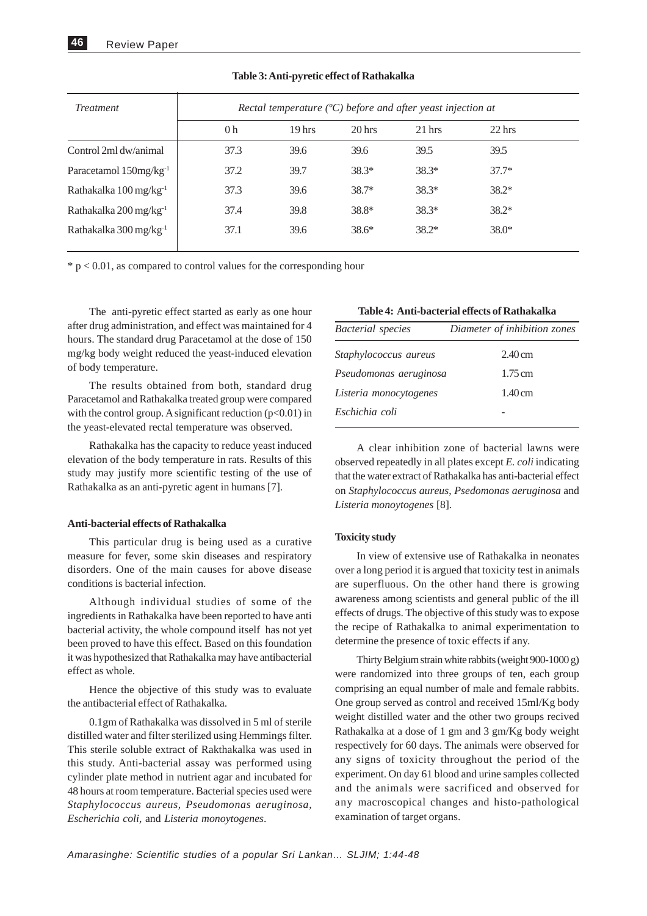| <i>Treatment</i>                      | Rectal temperature $(C)$ before and after yeast injection at |          |          |          |                  |  |
|---------------------------------------|--------------------------------------------------------------|----------|----------|----------|------------------|--|
|                                       | 0 <sub>h</sub>                                               | $19$ hrs | $20$ hrs | $21$ hrs | $22 \text{ hrs}$ |  |
| Control 2ml dw/animal                 | 37.3                                                         | 39.6     | 39.6     | 39.5     | 39.5             |  |
| Paracetamol $150$ mg/kg <sup>-1</sup> | 37.2                                                         | 39.7     | $38.3*$  | 38.3*    | $37.7*$          |  |
| Rathakalka 100 mg/kg <sup>-1</sup>    | 37.3                                                         | 39.6     | $38.7*$  | $38.3*$  | $38.2*$          |  |
| Rathakalka 200 mg/kg <sup>-1</sup>    | 37.4                                                         | 39.8     | 38.8*    | $38.3*$  | $38.2*$          |  |
| Rathakalka 300 mg/kg <sup>-1</sup>    | 37.1                                                         | 39.6     | $38.6*$  | $38.2*$  | $38.0*$          |  |

#### **Table 3: Anti-pyretic effect of Rathakalka**

\* p < 0.01, as compared to control values for the corresponding hour

The anti-pyretic effect started as early as one hour after drug administration, and effect was maintained for 4 hours. The standard drug Paracetamol at the dose of 150 mg/kg body weight reduced the yeast-induced elevation of body temperature.

The results obtained from both, standard drug Paracetamol and Rathakalka treated group were compared with the control group. A significant reduction  $(p<0.01)$  in the yeast-elevated rectal temperature was observed.

Rathakalka has the capacity to reduce yeast induced elevation of the body temperature in rats. Results of this study may justify more scientific testing of the use of Rathakalka as an anti-pyretic agent in humans [7].

#### **Anti-bacterial effects of Rathakalka**

This particular drug is being used as a curative measure for fever, some skin diseases and respiratory disorders. One of the main causes for above disease conditions is bacterial infection.

Although individual studies of some of the ingredients in Rathakalka have been reported to have anti bacterial activity, the whole compound itself has not yet been proved to have this effect. Based on this foundation it was hypothesized that Rathakalka may have antibacterial effect as whole.

Hence the objective of this study was to evaluate the antibacterial effect of Rathakalka.

0.1gm of Rathakalka was dissolved in 5 ml of sterile distilled water and filter sterilized using Hemmings filter. This sterile soluble extract of Rakthakalka was used in this study. Anti-bacterial assay was performed using cylinder plate method in nutrient agar and incubated for 48 hours at room temperature. Bacterial species used were *Staphylococcus aureus, Pseudomonas aeruginosa, Escherichia coli,* and *Listeria monoytogenes*.

|  | Table 4: Anti-bacterial effects of Rathakalka |  |  |
|--|-----------------------------------------------|--|--|
|--|-----------------------------------------------|--|--|

| Diameter of inhibition zones                   |
|------------------------------------------------|
| 2.40cm                                         |
| Pseudomonas aeruginosa<br>$1.75 \,\mathrm{cm}$ |
| 1.40cm                                         |
|                                                |
|                                                |

A clear inhibition zone of bacterial lawns were observed repeatedly in all plates except *E. coli* indicating that the water extract of Rathakalka has anti-bacterial effect on *Staphylococcus aureus*, *Psedomonas aeruginosa* and *Listeria monoytogenes* [8].

#### **Toxicity study**

In view of extensive use of Rathakalka in neonates over a long period it is argued that toxicity test in animals are superfluous. On the other hand there is growing awareness among scientists and general public of the ill effects of drugs. The objective of this study was to expose the recipe of Rathakalka to animal experimentation to determine the presence of toxic effects if any.

Thirty Belgium strain white rabbits (weight 900-1000 g) were randomized into three groups of ten, each group comprising an equal number of male and female rabbits. One group served as control and received 15ml/Kg body weight distilled water and the other two groups recived Rathakalka at a dose of 1 gm and 3 gm/Kg body weight respectively for 60 days. The animals were observed for any signs of toxicity throughout the period of the experiment. On day 61 blood and urine samples collected and the animals were sacrificed and observed for any macroscopical changes and histo-pathological examination of target organs.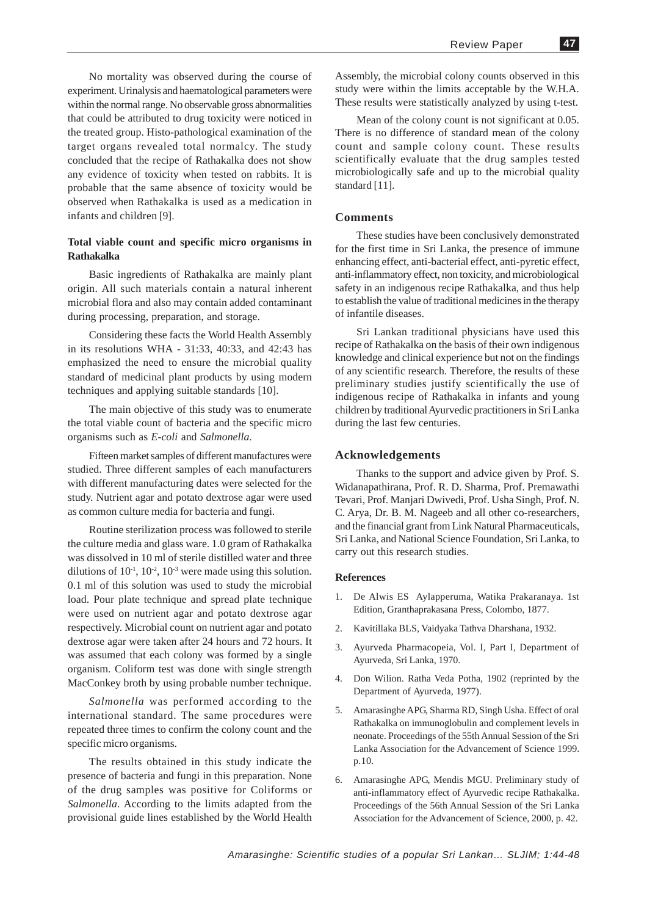No mortality was observed during the course of experiment. Urinalysis and haematological parameters were within the normal range. No observable gross abnormalities that could be attributed to drug toxicity were noticed in the treated group. Histo-pathological examination of the target organs revealed total normalcy. The study concluded that the recipe of Rathakalka does not show any evidence of toxicity when tested on rabbits. It is probable that the same absence of toxicity would be observed when Rathakalka is used as a medication in infants and children [9].

# **Total viable count and specific micro organisms in Rathakalka**

Basic ingredients of Rathakalka are mainly plant origin. All such materials contain a natural inherent microbial flora and also may contain added contaminant during processing, preparation, and storage.

Considering these facts the World Health Assembly in its resolutions WHA - 31:33, 40:33, and 42:43 has emphasized the need to ensure the microbial quality standard of medicinal plant products by using modern techniques and applying suitable standards [10].

The main objective of this study was to enumerate the total viable count of bacteria and the specific micro organisms such as *E-coli* and *Salmonella*.

Fifteen market samples of different manufactures were studied. Three different samples of each manufacturers with different manufacturing dates were selected for the study. Nutrient agar and potato dextrose agar were used as common culture media for bacteria and fungi.

Routine sterilization process was followed to sterile the culture media and glass ware. 1.0 gram of Rathakalka was dissolved in 10 ml of sterile distilled water and three dilutions of  $10^{-1}$ ,  $10^{-2}$ ,  $10^{-3}$  were made using this solution. 0.1 ml of this solution was used to study the microbial load. Pour plate technique and spread plate technique were used on nutrient agar and potato dextrose agar respectively. Microbial count on nutrient agar and potato dextrose agar were taken after 24 hours and 72 hours. It was assumed that each colony was formed by a single organism. Coliform test was done with single strength MacConkey broth by using probable number technique.

*Salmonella* was performed according to the international standard. The same procedures were repeated three times to confirm the colony count and the specific micro organisms.

The results obtained in this study indicate the presence of bacteria and fungi in this preparation. None of the drug samples was positive for Coliforms or *Salmonella*. According to the limits adapted from the provisional guide lines established by the World Health

Assembly, the microbial colony counts observed in this study were within the limits acceptable by the W.H.A. These results were statistically analyzed by using t-test.

Mean of the colony count is not significant at 0.05. There is no difference of standard mean of the colony count and sample colony count. These results scientifically evaluate that the drug samples tested microbiologically safe and up to the microbial quality standard [11].

#### **Comments**

These studies have been conclusively demonstrated for the first time in Sri Lanka, the presence of immune enhancing effect, anti-bacterial effect, anti-pyretic effect, anti-inflammatory effect, non toxicity, and microbiological safety in an indigenous recipe Rathakalka, and thus help to establish the value of traditional medicines in the therapy of infantile diseases.

Sri Lankan traditional physicians have used this recipe of Rathakalka on the basis of their own indigenous knowledge and clinical experience but not on the findings of any scientific research. Therefore, the results of these preliminary studies justify scientifically the use of indigenous recipe of Rathakalka in infants and young children by traditional Ayurvedic practitioners in Sri Lanka during the last few centuries.

#### **Acknowledgements**

Thanks to the support and advice given by Prof. S. Widanapathirana, Prof. R. D. Sharma, Prof. Premawathi Tevari, Prof. Manjari Dwivedi, Prof. Usha Singh, Prof. N. C. Arya, Dr. B. M. Nageeb and all other co-researchers, and the financial grant from Link Natural Pharmaceuticals, Sri Lanka, and National Science Foundation, Sri Lanka, to carry out this research studies.

#### **References**

- 1. De Alwis ES Aylapperuma, Watika Prakaranaya. 1st Edition, Granthaprakasana Press, Colombo, 1877.
- 2. Kavitillaka BLS, Vaidyaka Tathva Dharshana, 1932.
- 3. Ayurveda Pharmacopeia, Vol. I, Part I, Department of Ayurveda, Sri Lanka, 1970.
- 4. Don Wilion. Ratha Veda Potha, 1902 (reprinted by the Department of Ayurveda, 1977).
- 5. Amarasinghe APG, Sharma RD, Singh Usha. Effect of oral Rathakalka on immunoglobulin and complement levels in neonate. Proceedings of the 55th Annual Session of the Sri Lanka Association for the Advancement of Science 1999. p.10.
- 6. Amarasinghe APG, Mendis MGU. Preliminary study of anti-inflammatory effect of Ayurvedic recipe Rathakalka. Proceedings of the 56th Annual Session of the Sri Lanka Association for the Advancement of Science, 2000, p. 42.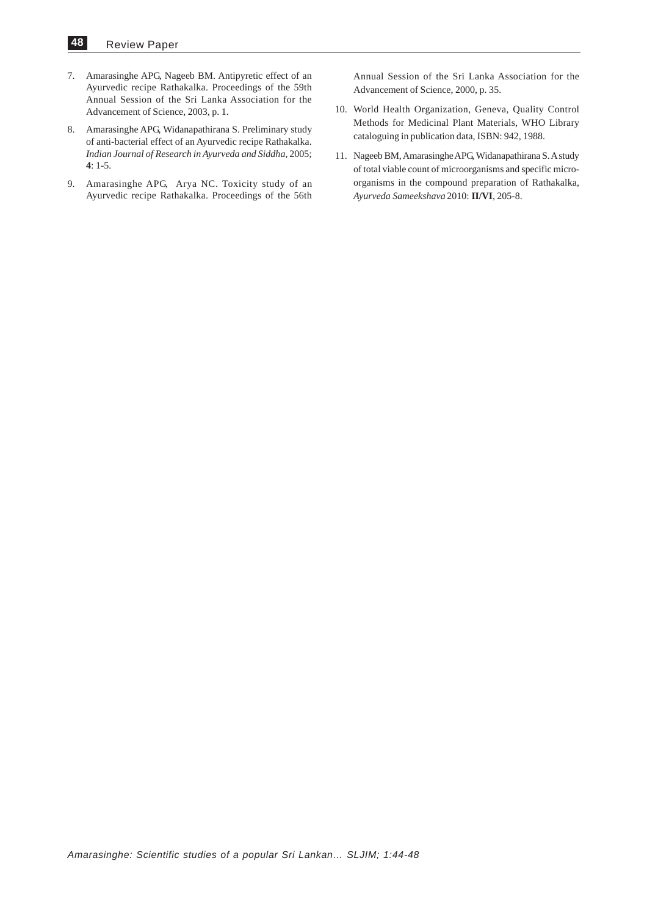- 7. Amarasinghe APG, Nageeb BM. Antipyretic effect of an Ayurvedic recipe Rathakalka. Proceedings of the 59th Annual Session of the Sri Lanka Association for the Advancement of Science, 2003, p. 1.
- 8. Amarasinghe APG, Widanapathirana S. Preliminary study of anti-bacterial effect of an Ayurvedic recipe Rathakalka. *Indian Journal of Research in Ayurveda and Siddha,* 2005; **4**: 1-5.
- 9. Amarasinghe APG, Arya NC. Toxicity study of an Ayurvedic recipe Rathakalka. Proceedings of the 56th

Annual Session of the Sri Lanka Association for the Advancement of Science, 2000, p. 35.

- 10. World Health Organization, Geneva, Quality Control Methods for Medicinal Plant Materials, WHO Library cataloguing in publication data, ISBN: 942, 1988.
- 11. Nageeb BM, Amarasinghe APG, Widanapathirana S. A study of total viable count of microorganisms and specific microorganisms in the compound preparation of Rathakalka, *Ayurveda Sameekshava* 2010: **II/VI**, 205-8.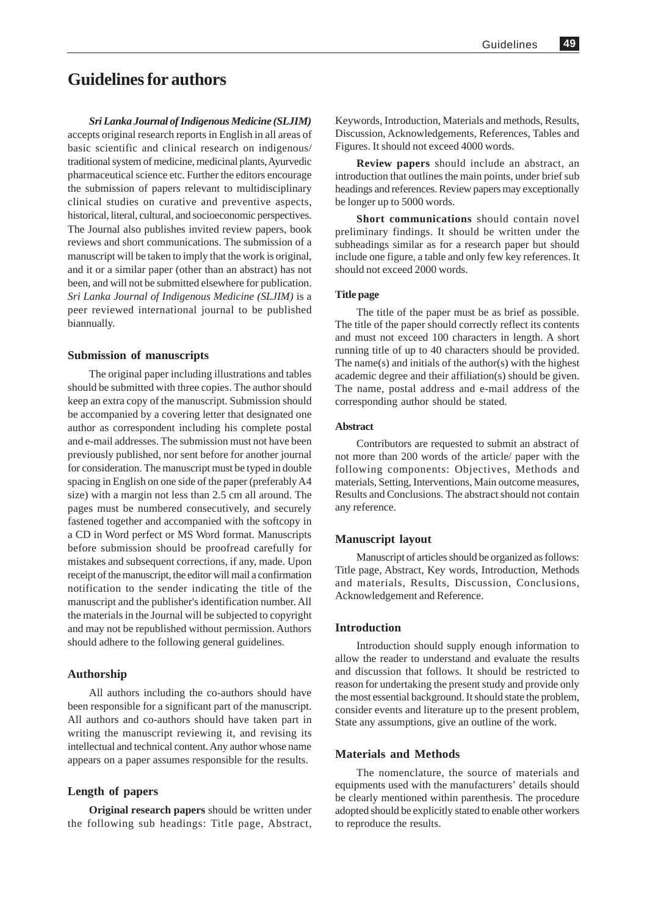# **Guidelines for authors**

*Sri Lanka Journal of Indigenous Medicine (SLJIM)* accepts original research reports in English in all areas of basic scientific and clinical research on indigenous/ traditional system of medicine, medicinal plants, Ayurvedic pharmaceutical science etc. Further the editors encourage the submission of papers relevant to multidisciplinary clinical studies on curative and preventive aspects, historical, literal, cultural, and socioeconomic perspectives. The Journal also publishes invited review papers, book reviews and short communications. The submission of a manuscript will be taken to imply that the work is original, and it or a similar paper (other than an abstract) has not been, and will not be submitted elsewhere for publication. *Sri Lanka Journal of Indigenous Medicine (SLJIM)* is a peer reviewed international journal to be published biannually.

#### **Submission of manuscripts**

The original paper including illustrations and tables should be submitted with three copies. The author should keep an extra copy of the manuscript. Submission should be accompanied by a covering letter that designated one author as correspondent including his complete postal and e-mail addresses. The submission must not have been previously published, nor sent before for another journal for consideration. The manuscript must be typed in double spacing in English on one side of the paper (preferably A4 size) with a margin not less than 2.5 cm all around. The pages must be numbered consecutively, and securely fastened together and accompanied with the softcopy in a CD in Word perfect or MS Word format. Manuscripts before submission should be proofread carefully for mistakes and subsequent corrections, if any, made. Upon receipt of the manuscript, the editor will mail a confirmation notification to the sender indicating the title of the manuscript and the publisher's identification number. All the materials in the Journal will be subjected to copyright and may not be republished without permission. Authors should adhere to the following general guidelines.

#### **Authorship**

All authors including the co-authors should have been responsible for a significant part of the manuscript. All authors and co-authors should have taken part in writing the manuscript reviewing it, and revising its intellectual and technical content. Any author whose name appears on a paper assumes responsible for the results.

# **Length of papers**

**Original research papers** should be written under the following sub headings: Title page, Abstract, Keywords, Introduction, Materials and methods, Results, Discussion, Acknowledgements, References, Tables and Figures. It should not exceed 4000 words.

**Review papers** should include an abstract, an introduction that outlines the main points, under brief sub headings and references. Review papers may exceptionally be longer up to 5000 words.

**Short communications** should contain novel preliminary findings. It should be written under the subheadings similar as for a research paper but should include one figure, a table and only few key references. It should not exceed 2000 words.

#### **Title page**

The title of the paper must be as brief as possible. The title of the paper should correctly reflect its contents and must not exceed 100 characters in length. A short running title of up to 40 characters should be provided. The name(s) and initials of the author(s) with the highest academic degree and their affiliation(s) should be given. The name, postal address and e-mail address of the corresponding author should be stated.

#### **Abstract**

Contributors are requested to submit an abstract of not more than 200 words of the article/ paper with the following components: Objectives, Methods and materials, Setting, Interventions, Main outcome measures, Results and Conclusions. The abstract should not contain any reference.

#### **Manuscript layout**

Manuscript of articles should be organized as follows: Title page, Abstract, Key words, Introduction, Methods and materials, Results, Discussion, Conclusions, Acknowledgement and Reference.

### **Introduction**

Introduction should supply enough information to allow the reader to understand and evaluate the results and discussion that follows. It should be restricted to reason for undertaking the present study and provide only the most essential background. It should state the problem, consider events and literature up to the present problem, State any assumptions, give an outline of the work.

#### **Materials and Methods**

The nomenclature, the source of materials and equipments used with the manufacturers' details should be clearly mentioned within parenthesis. The procedure adopted should be explicitly stated to enable other workers to reproduce the results.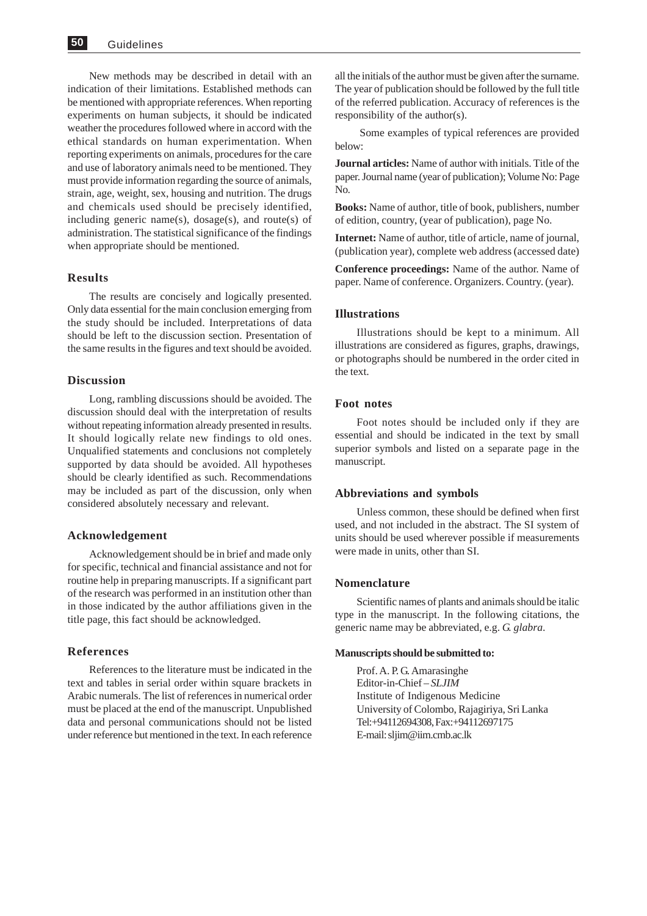New methods may be described in detail with an indication of their limitations. Established methods can be mentioned with appropriate references. When reporting experiments on human subjects, it should be indicated weather the procedures followed where in accord with the ethical standards on human experimentation. When reporting experiments on animals, procedures for the care and use of laboratory animals need to be mentioned. They must provide information regarding the source of animals, strain, age, weight, sex, housing and nutrition. The drugs and chemicals used should be precisely identified, including generic name(s), dosage(s), and route(s) of administration. The statistical significance of the findings when appropriate should be mentioned.

#### **Results**

The results are concisely and logically presented. Only data essential for the main conclusion emerging from the study should be included. Interpretations of data should be left to the discussion section. Presentation of the same results in the figures and text should be avoided.

#### **Discussion**

Long, rambling discussions should be avoided. The discussion should deal with the interpretation of results without repeating information already presented in results. It should logically relate new findings to old ones. Unqualified statements and conclusions not completely supported by data should be avoided. All hypotheses should be clearly identified as such. Recommendations may be included as part of the discussion, only when considered absolutely necessary and relevant.

#### **Acknowledgement**

Acknowledgement should be in brief and made only for specific, technical and financial assistance and not for routine help in preparing manuscripts. If a significant part of the research was performed in an institution other than in those indicated by the author affiliations given in the title page, this fact should be acknowledged.

### **References**

References to the literature must be indicated in the text and tables in serial order within square brackets in Arabic numerals. The list of references in numerical order must be placed at the end of the manuscript. Unpublished data and personal communications should not be listed under reference but mentioned in the text. In each reference

all the initials of the author must be given after the surname. The year of publication should be followed by the full title of the referred publication. Accuracy of references is the responsibility of the author(s).

 Some examples of typical references are provided below:

**Journal articles:** Name of author with initials. Title of the paper. Journal name (year of publication); Volume No: Page No.

**Books:** Name of author, title of book, publishers, number of edition, country, (year of publication), page No.

**Internet:** Name of author, title of article, name of journal, (publication year), complete web address (accessed date)

**Conference proceedings:** Name of the author. Name of paper. Name of conference. Organizers. Country. (year).

### **Illustrations**

Illustrations should be kept to a minimum. All illustrations are considered as figures, graphs, drawings, or photographs should be numbered in the order cited in the text.

#### **Foot notes**

Foot notes should be included only if they are essential and should be indicated in the text by small superior symbols and listed on a separate page in the manuscript.

#### **Abbreviations and symbols**

Unless common, these should be defined when first used, and not included in the abstract. The SI system of units should be used wherever possible if measurements were made in units, other than SI.

#### **Nomenclature**

Scientific names of plants and animals should be italic type in the manuscript. In the following citations, the generic name may be abbreviated, e.g. *G. glabra*.

#### **Manuscripts should be submitted to:**

Prof. A. P. G. Amarasinghe Editor-in-Chief – *SLJIM* Institute of Indigenous Medicine University of Colombo, Rajagiriya, Sri Lanka Tel:+94112694308, Fax:+94112697175 E-mail: sljim@iim.cmb.ac.lk